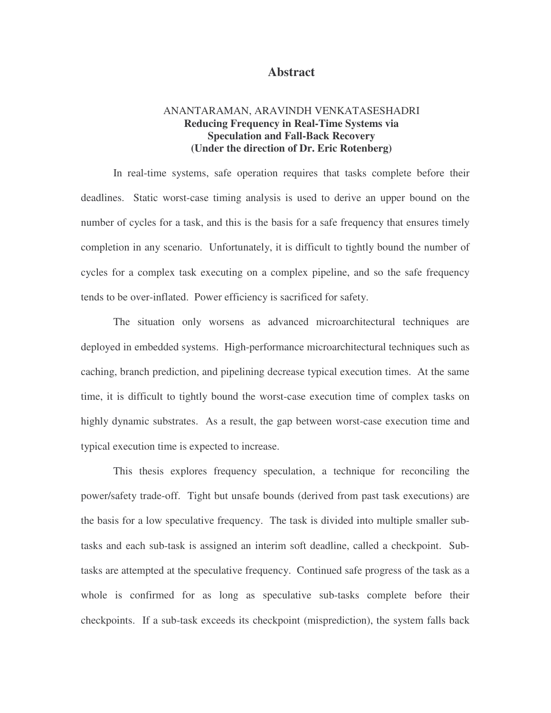#### **Abstract**

### ANANTARAMAN, ARAVINDH VENKATASESHADRI **Reducing Frequency in Real-Time Systems via Speculation and Fall-Back Recovery (Under the direction of Dr. Eric Rotenberg)**

In real-time systems, safe operation requires that tasks complete before their deadlines. Static worst-case timing analysis is used to derive an upper bound on the number of cycles for a task, and this is the basis for a safe frequency that ensures timely completion in any scenario. Unfortunately, it is difficult to tightly bound the number of cycles for a complex task executing on a complex pipeline, and so the safe frequency tends to be over-inflated. Power efficiency is sacrificed for safety.

The situation only worsens as advanced microarchitectural techniques are deployed in embedded systems. High-performance microarchitectural techniques such as caching, branch prediction, and pipelining decrease typical execution times. At the same time, it is difficult to tightly bound the worst-case execution time of complex tasks on highly dynamic substrates. As a result, the gap between worst-case execution time and typical execution time is expected to increase.

This thesis explores frequency speculation, a technique for reconciling the power/safety trade-off. Tight but unsafe bounds (derived from past task executions) are the basis for a low speculative frequency. The task is divided into multiple smaller subtasks and each sub-task is assigned an interim soft deadline, called a checkpoint. Subtasks are attempted at the speculative frequency. Continued safe progress of the task as a whole is confirmed for as long as speculative sub-tasks complete before their checkpoints. If a sub-task exceeds its checkpoint (misprediction), the system falls back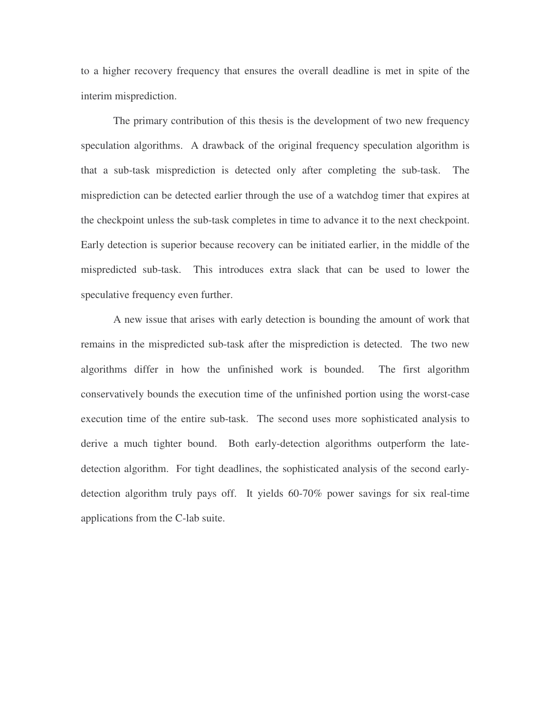to a higher recovery frequency that ensures the overall deadline is met in spite of the interim misprediction.

The primary contribution of this thesis is the development of two new frequency speculation algorithms. A drawback of the original frequency speculation algorithm is that a sub-task misprediction is detected only after completing the sub-task. The misprediction can be detected earlier through the use of a watchdog timer that expires at the checkpoint unless the sub-task completes in time to advance it to the next checkpoint. Early detection is superior because recovery can be initiated earlier, in the middle of the mispredicted sub-task. This introduces extra slack that can be used to lower the speculative frequency even further.

A new issue that arises with early detection is bounding the amount of work that remains in the mispredicted sub-task after the misprediction is detected. The two new algorithms differ in how the unfinished work is bounded. The first algorithm conservatively bounds the execution time of the unfinished portion using the worst-case execution time of the entire sub-task. The second uses more sophisticated analysis to derive a much tighter bound. Both early-detection algorithms outperform the latedetection algorithm. For tight deadlines, the sophisticated analysis of the second earlydetection algorithm truly pays off. It yields 60-70% power savings for six real-time applications from the C-lab suite.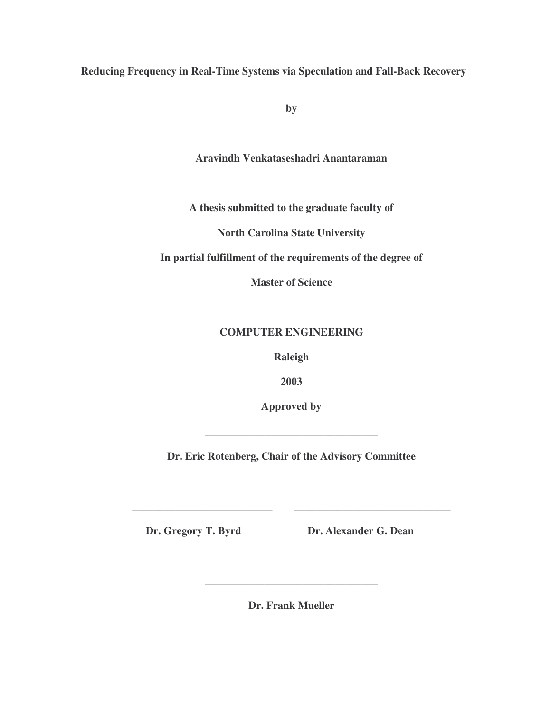**Reducing Frequency in Real-Time Systems via Speculation and Fall-Back Recovery**

**by**

**Aravindh Venkataseshadri Anantaraman**

**A thesis submitted to the graduate faculty of**

**North Carolina State University**

**In partial fulfillment of the requirements of the degree of**

**Master of Science**

## **COMPUTER ENGINEERING**

**Raleigh**

**2003**

**Approved by**

**\_\_\_\_\_\_\_\_\_\_\_\_\_\_\_\_\_\_\_\_\_\_\_\_\_\_\_\_\_\_\_\_**

**Dr. Eric Rotenberg, Chair of the Advisory Committee**

**\_\_\_\_\_\_\_\_\_\_\_\_\_\_\_\_\_\_\_\_\_\_\_\_\_\_ \_\_\_\_\_\_\_\_\_\_\_\_\_\_\_\_\_\_\_\_\_\_\_\_\_\_\_\_\_**

**Dr. Gregory T. Byrd Dr. Alexander G. Dean**

**Dr. Frank Mueller**

**\_\_\_\_\_\_\_\_\_\_\_\_\_\_\_\_\_\_\_\_\_\_\_\_\_\_\_\_\_\_\_\_**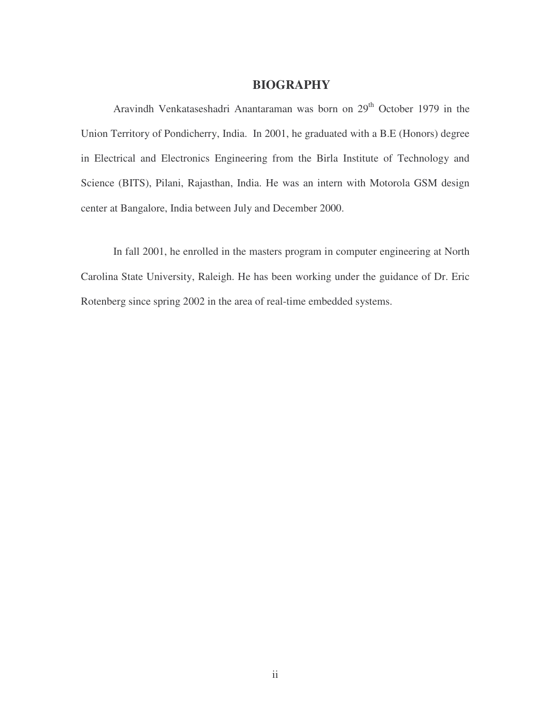## **BIOGRAPHY**

Aravindh Venkataseshadri Anantaraman was born on 29<sup>th</sup> October 1979 in the Union Territory of Pondicherry, India. In 2001, he graduated with a B.E (Honors) degree in Electrical and Electronics Engineering from the Birla Institute of Technology and Science (BITS), Pilani, Rajasthan, India. He was an intern with Motorola GSM design center at Bangalore, India between July and December 2000.

In fall 2001, he enrolled in the masters program in computer engineering at North Carolina State University, Raleigh. He has been working under the guidance of Dr. Eric Rotenberg since spring 2002 in the area of real-time embedded systems.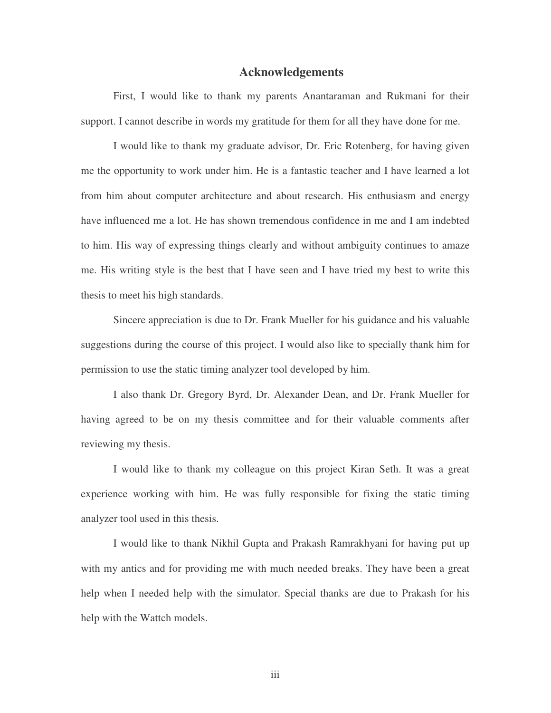#### **Acknowledgements**

First, I would like to thank my parents Anantaraman and Rukmani for their support. I cannot describe in words my gratitude for them for all they have done for me.

I would like to thank my graduate advisor, Dr. Eric Rotenberg, for having given me the opportunity to work under him. He is a fantastic teacher and I have learned a lot from him about computer architecture and about research. His enthusiasm and energy have influenced me a lot. He has shown tremendous confidence in me and I am indebted to him. His way of expressing things clearly and without ambiguity continues to amaze me. His writing style is the best that I have seen and I have tried my best to write this thesis to meet his high standards.

Sincere appreciation is due to Dr. Frank Mueller for his guidance and his valuable suggestions during the course of this project. I would also like to specially thank him for permission to use the static timing analyzer tool developed by him.

I also thank Dr. Gregory Byrd, Dr. Alexander Dean, and Dr. Frank Mueller for having agreed to be on my thesis committee and for their valuable comments after reviewing my thesis.

I would like to thank my colleague on this project Kiran Seth. It was a great experience working with him. He was fully responsible for fixing the static timing analyzer tool used in this thesis.

I would like to thank Nikhil Gupta and Prakash Ramrakhyani for having put up with my antics and for providing me with much needed breaks. They have been a great help when I needed help with the simulator. Special thanks are due to Prakash for his help with the Wattch models.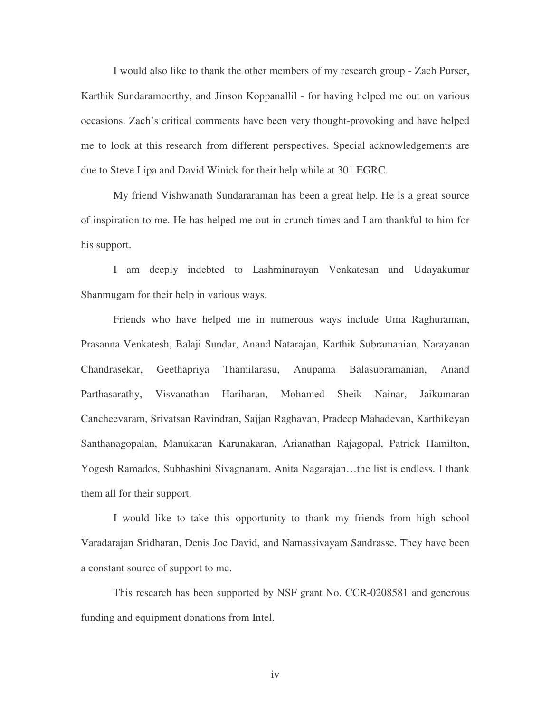I would also like to thank the other members of my research group - Zach Purser, Karthik Sundaramoorthy, and Jinson Koppanallil - for having helped me out on various occasions. Zach's critical comments have been very thought-provoking and have helped me to look at this research from different perspectives. Special acknowledgements are due to Steve Lipa and David Winick for their help while at 301 EGRC.

My friend Vishwanath Sundararaman has been a great help. He is a great source of inspiration to me. He has helped me out in crunch times and I am thankful to him for his support.

I am deeply indebted to Lashminarayan Venkatesan and Udayakumar Shanmugam for their help in various ways.

Friends who have helped me in numerous ways include Uma Raghuraman, Prasanna Venkatesh, Balaji Sundar, Anand Natarajan, Karthik Subramanian, Narayanan Chandrasekar, Geethapriya Thamilarasu, Anupama Balasubramanian, Anand Parthasarathy, Visvanathan Hariharan, Mohamed Sheik Nainar, Jaikumaran Cancheevaram, Srivatsan Ravindran, Sajjan Raghavan, Pradeep Mahadevan, Karthikeyan Santhanagopalan, Manukaran Karunakaran, Arianathan Rajagopal, Patrick Hamilton, Yogesh Ramados, Subhashini Sivagnanam, Anita Nagarajan…the list is endless. I thank them all for their support.

I would like to take this opportunity to thank my friends from high school Varadarajan Sridharan, Denis Joe David, and Namassivayam Sandrasse. They have been a constant source of support to me.

This research has been supported by NSF grant No. CCR-0208581 and generous funding and equipment donations from Intel.

iv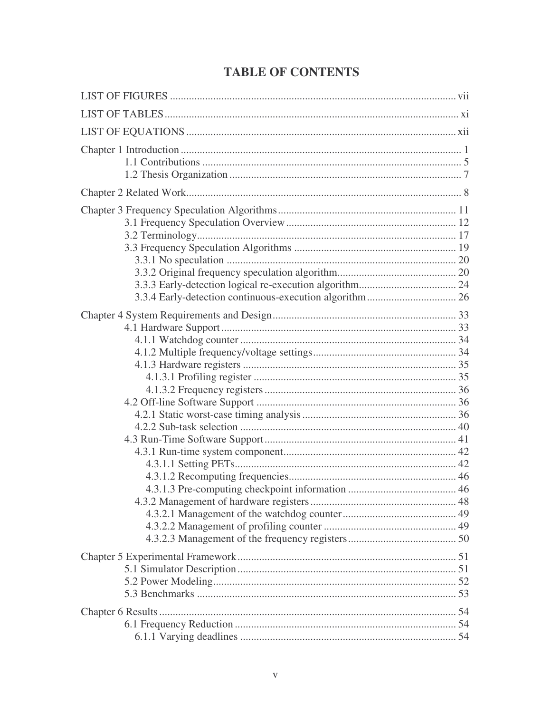## **TABLE OF CONTENTS**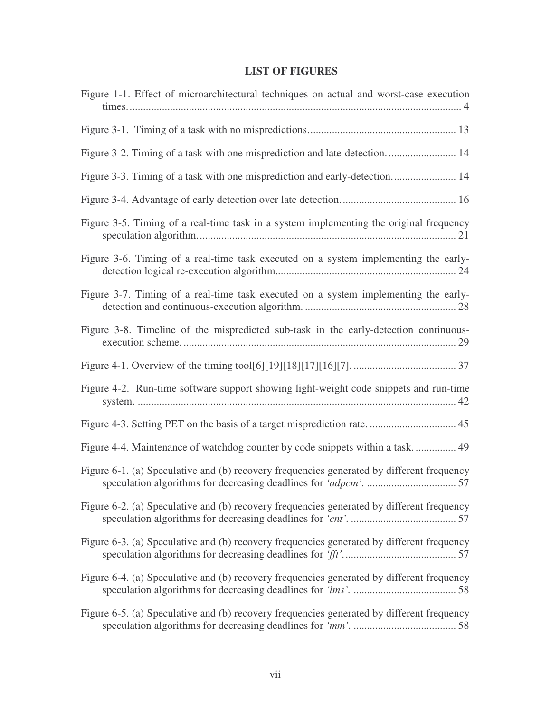## **LIST OF FIGURES**

| Figure 1-1. Effect of microarchitectural techniques on actual and worst-case execution    |
|-------------------------------------------------------------------------------------------|
|                                                                                           |
|                                                                                           |
| Figure 3-3. Timing of a task with one misprediction and early-detection 14                |
|                                                                                           |
| Figure 3-5. Timing of a real-time task in a system implementing the original frequency    |
| Figure 3-6. Timing of a real-time task executed on a system implementing the early-       |
| Figure 3-7. Timing of a real-time task executed on a system implementing the early-       |
| Figure 3-8. Timeline of the mispredicted sub-task in the early-detection continuous-      |
|                                                                                           |
| Figure 4-2. Run-time software support showing light-weight code snippets and run-time     |
|                                                                                           |
| Figure 4-4. Maintenance of watchdog counter by code snippets within a task 49             |
| Figure 6-1. (a) Speculative and (b) recovery frequencies generated by different frequency |
| Figure 6-2. (a) Speculative and (b) recovery frequencies generated by different frequency |
| Figure 6-3. (a) Speculative and (b) recovery frequencies generated by different frequency |
| Figure 6-4. (a) Speculative and (b) recovery frequencies generated by different frequency |
| Figure 6-5. (a) Speculative and (b) recovery frequencies generated by different frequency |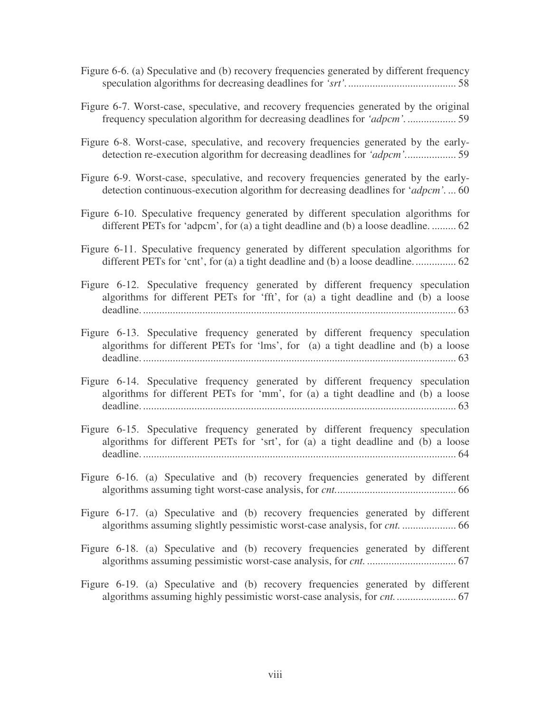- Figure 6-6. (a) Speculative and (b) recovery frequencies generated by different frequency speculation algorithms for decreasing deadlines for *'srt'.*........................................ 58
- Figure 6-7. Worst-case, speculative, and recovery frequencies generated by the original frequency speculation algorithm for decreasing deadlines for *'adpcm'.*.................. 59
- Figure 6-8. Worst-case, speculative, and recovery frequencies generated by the earlydetection re-execution algorithm for decreasing deadlines for *'adpcm'.*.................. 59
- Figure 6-9. Worst-case, speculative, and recovery frequencies generated by the earlydetection continuous-execution algorithm for decreasing deadlines for '*adpcm'.* ... 60
- Figure 6-10. Speculative frequency generated by different speculation algorithms for different PETs for 'adpcm', for (a) a tight deadline and (b) a loose deadline. ......... 62
- Figure 6-11. Speculative frequency generated by different speculation algorithms for different PETs for 'cnt', for (a) a tight deadline and (b) a loose deadline................ 62
- Figure 6-12. Speculative frequency generated by different frequency speculation algorithms for different PETs for 'fft', for (a) a tight deadline and (b) a loose deadline. .................................................................................................................... 63
- Figure 6-13. Speculative frequency generated by different frequency speculation algorithms for different PETs for 'lms', for (a) a tight deadline and (b) a loose deadline. .................................................................................................................... 63
- Figure 6-14. Speculative frequency generated by different frequency speculation algorithms for different PETs for 'mm', for (a) a tight deadline and (b) a loose deadline. .................................................................................................................... 63
- Figure 6-15. Speculative frequency generated by different frequency speculation algorithms for different PETs for 'srt', for (a) a tight deadline and (b) a loose deadline. .................................................................................................................... 64
- Figure 6-16. (a) Speculative and (b) recovery frequencies generated by different algorithms assuming tight worst-case analysis, for *cnt.*............................................ 66
- Figure 6-17. (a) Speculative and (b) recovery frequencies generated by different algorithms assuming slightly pessimistic worst-case analysis, for *cnt.* .................... 66
- Figure 6-18. (a) Speculative and (b) recovery frequencies generated by different algorithms assuming pessimistic worst-case analysis, for *cnt.* ................................. 67
- Figure 6-19. (a) Speculative and (b) recovery frequencies generated by different algorithms assuming highly pessimistic worst-case analysis, for *cnt.*...................... 67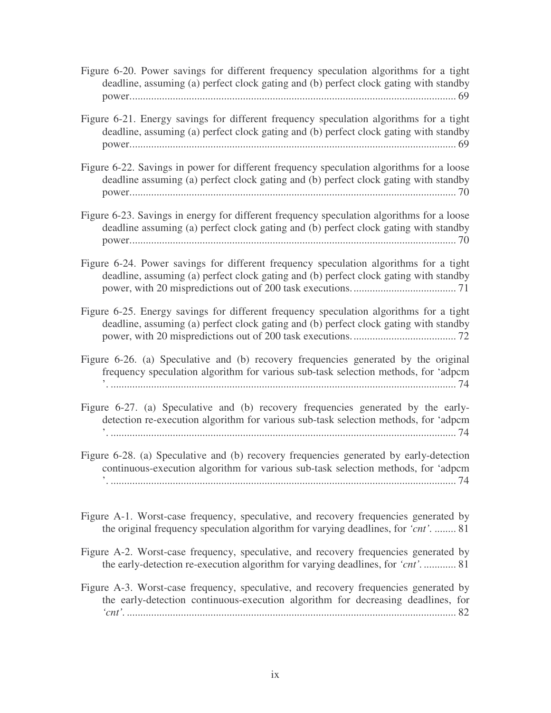Figure 6-20. Power savings for different frequency speculation algorithms for a tight deadline, assuming (a) perfect clock gating and (b) perfect clock gating with standby power......................................................................................................................... 69

- Figure 6-21. Energy savings for different frequency speculation algorithms for a tight deadline, assuming (a) perfect clock gating and (b) perfect clock gating with standby power......................................................................................................................... 69
- Figure 6-22. Savings in power for different frequency speculation algorithms for a loose deadline assuming (a) perfect clock gating and (b) perfect clock gating with standby power......................................................................................................................... 70
- Figure 6-23. Savings in energy for different frequency speculation algorithms for a loose deadline assuming (a) perfect clock gating and (b) perfect clock gating with standby power......................................................................................................................... 70
- Figure 6-24. Power savings for different frequency speculation algorithms for a tight deadline, assuming (a) perfect clock gating and (b) perfect clock gating with standby power, with 20 mispredictions out of 200 task executions....................................... 71
- Figure 6-25. Energy savings for different frequency speculation algorithms for a tight deadline, assuming (a) perfect clock gating and (b) perfect clock gating with standby power, with 20 mispredictions out of 200 task executions....................................... 72
- Figure 6-26. (a) Speculative and (b) recovery frequencies generated by the original frequency speculation algorithm for various sub-task selection methods, for 'adpcm '. ................................................................................................................................ 74
- Figure 6-27. (a) Speculative and (b) recovery frequencies generated by the earlydetection re-execution algorithm for various sub-task selection methods, for 'adpcm '. ................................................................................................................................ 74
- Figure 6-28. (a) Speculative and (b) recovery frequencies generated by early-detection continuous-execution algorithm for various sub-task selection methods, for 'adpcm '. ................................................................................................................................ 74
- Figure A-1. Worst-case frequency, speculative, and recovery frequencies generated by the original frequency speculation algorithm for varying deadlines, for *'cnt'.* ........ 81
- Figure A-2. Worst-case frequency, speculative, and recovery frequencies generated by the early-detection re-execution algorithm for varying deadlines, for *'cnt'.*............ 81
- Figure A-3. Worst-case frequency, speculative, and recovery frequencies generated by the early-detection continuous-execution algorithm for decreasing deadlines, for *'cnt'.* .......................................................................................................................... 82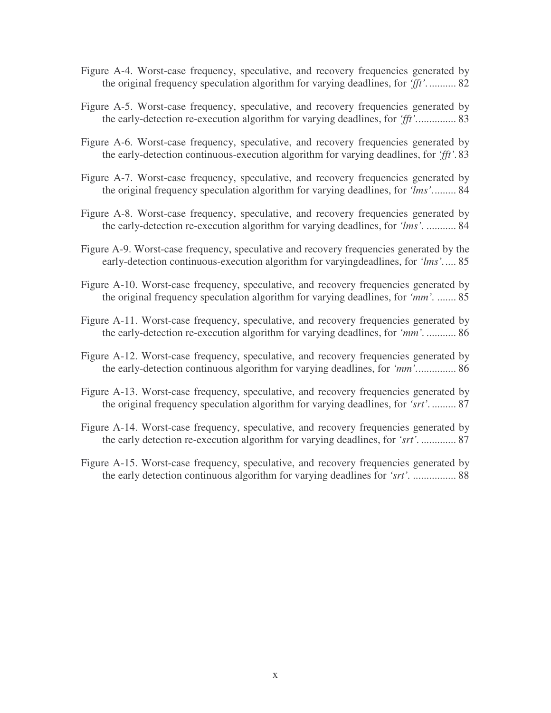- Figure A-4. Worst-case frequency, speculative, and recovery frequencies generated by the original frequency speculation algorithm for varying deadlines, for *'fft'.*.......... 82
- Figure A-5. Worst-case frequency, speculative, and recovery frequencies generated by the early-detection re-execution algorithm for varying deadlines, for *'fft'.*.............. 83
- Figure A-6. Worst-case frequency, speculative, and recovery frequencies generated by the early-detection continuous-execution algorithm for varying deadlines, for *'fft'.*83
- Figure A-7. Worst-case frequency, speculative, and recovery frequencies generated by the original frequency speculation algorithm for varying deadlines, for *'lms'.*........ 84
- Figure A-8. Worst-case frequency, speculative, and recovery frequencies generated by the early-detection re-execution algorithm for varying deadlines, for *'lms'.* ........... 84
- Figure A-9. Worst-case frequency, speculative and recovery frequencies generated by the early-detection continuous-execution algorithm for varyingdeadlines, for *'lms'.*.... 85
- Figure A-10. Worst-case frequency, speculative, and recovery frequencies generated by the original frequency speculation algorithm for varying deadlines, for *'mm'.* ....... 85
- Figure A-11. Worst-case frequency, speculative, and recovery frequencies generated by the early-detection re-execution algorithm for varying deadlines, for *'mm'.* ........... 86
- Figure A-12. Worst-case frequency, speculative, and recovery frequencies generated by the early-detection continuous algorithm for varying deadlines, for *'mm'.*.............. 86
- Figure A-13. Worst-case frequency, speculative, and recovery frequencies generated by the original frequency speculation algorithm for varying deadlines, for *'srt'.*......... 87
- Figure A-14. Worst-case frequency, speculative, and recovery frequencies generated by the early detection re-execution algorithm for varying deadlines, for *'srt'.* ............. 87
- Figure A-15. Worst-case frequency, speculative, and recovery frequencies generated by the early detection continuous algorithm for varying deadlines for *'srt'.* ................ 88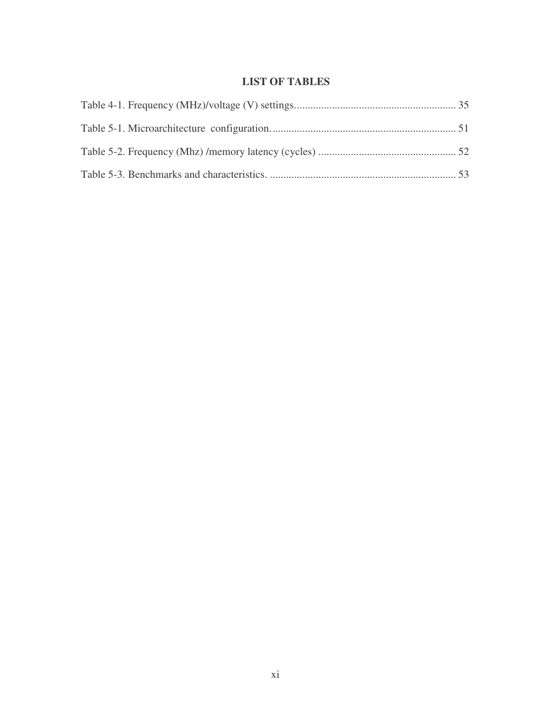## **LIST OF TABLES**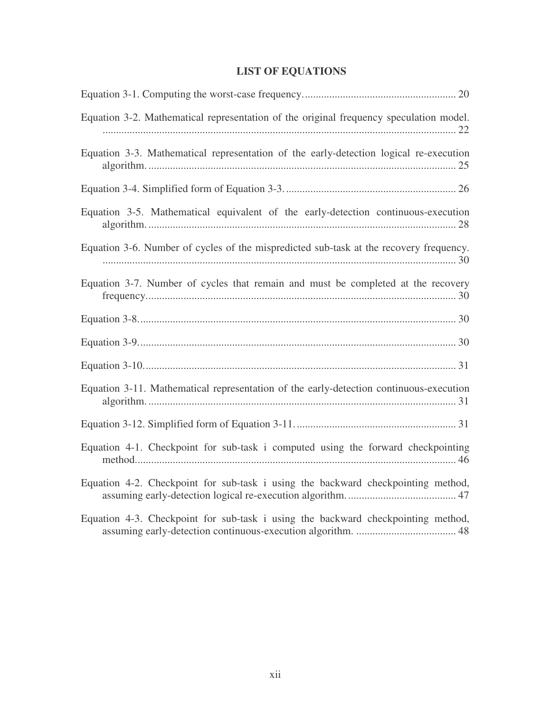# **LIST OF EQUATIONS**

| Equation 3-2. Mathematical representation of the original frequency speculation model. |
|----------------------------------------------------------------------------------------|
| Equation 3-3. Mathematical representation of the early-detection logical re-execution  |
|                                                                                        |
| Equation 3-5. Mathematical equivalent of the early-detection continuous-execution      |
| Equation 3-6. Number of cycles of the mispredicted sub-task at the recovery frequency. |
| Equation 3-7. Number of cycles that remain and must be completed at the recovery       |
|                                                                                        |
|                                                                                        |
|                                                                                        |
| Equation 3-11. Mathematical representation of the early-detection continuous-execution |
|                                                                                        |
| Equation 4-1. Checkpoint for sub-task i computed using the forward checkpointing       |
| Equation 4-2. Checkpoint for sub-task i using the backward checkpointing method,       |
| Equation 4-3. Checkpoint for sub-task i using the backward checkpointing method,       |

assuming early-detection continuous-execution algorithm. ..................................... 48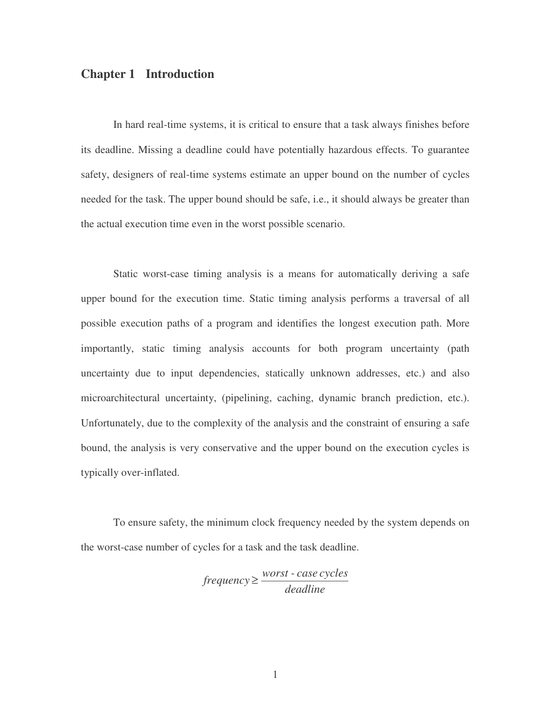## **Chapter 1 Introduction**

In hard real-time systems, it is critical to ensure that a task always finishes before its deadline. Missing a deadline could have potentially hazardous effects. To guarantee safety, designers of real-time systems estimate an upper bound on the number of cycles needed for the task. The upper bound should be safe, i.e., it should always be greater than the actual execution time even in the worst possible scenario.

Static worst-case timing analysis is a means for automatically deriving a safe upper bound for the execution time. Static timing analysis performs a traversal of all possible execution paths of a program and identifies the longest execution path. More importantly, static timing analysis accounts for both program uncertainty (path uncertainty due to input dependencies, statically unknown addresses, etc.) and also microarchitectural uncertainty, (pipelining, caching, dynamic branch prediction, etc.). Unfortunately, due to the complexity of the analysis and the constraint of ensuring a safe bound, the analysis is very conservative and the upper bound on the execution cycles is typically over-inflated.

To ensure safety, the minimum clock frequency needed by the system depends on the worst-case number of cycles for a task and the task deadline.

> *deadline worst - case cycles frequency* ≥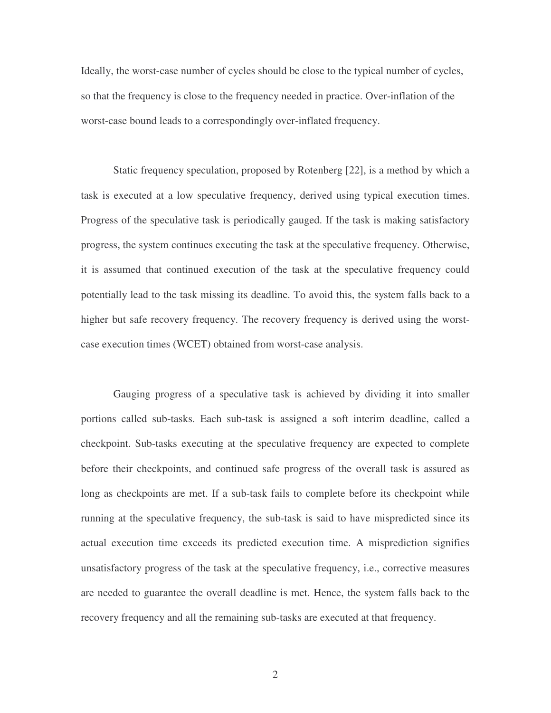Ideally, the worst-case number of cycles should be close to the typical number of cycles, so that the frequency is close to the frequency needed in practice. Over-inflation of the worst-case bound leads to a correspondingly over-inflated frequency.

Static frequency speculation, proposed by Rotenberg [22], is a method by which a task is executed at a low speculative frequency, derived using typical execution times. Progress of the speculative task is periodically gauged. If the task is making satisfactory progress, the system continues executing the task at the speculative frequency. Otherwise, it is assumed that continued execution of the task at the speculative frequency could potentially lead to the task missing its deadline. To avoid this, the system falls back to a higher but safe recovery frequency. The recovery frequency is derived using the worstcase execution times (WCET) obtained from worst-case analysis.

Gauging progress of a speculative task is achieved by dividing it into smaller portions called sub-tasks. Each sub-task is assigned a soft interim deadline, called a checkpoint. Sub-tasks executing at the speculative frequency are expected to complete before their checkpoints, and continued safe progress of the overall task is assured as long as checkpoints are met. If a sub-task fails to complete before its checkpoint while running at the speculative frequency, the sub-task is said to have mispredicted since its actual execution time exceeds its predicted execution time. A misprediction signifies unsatisfactory progress of the task at the speculative frequency, i.e., corrective measures are needed to guarantee the overall deadline is met. Hence, the system falls back to the recovery frequency and all the remaining sub-tasks are executed at that frequency.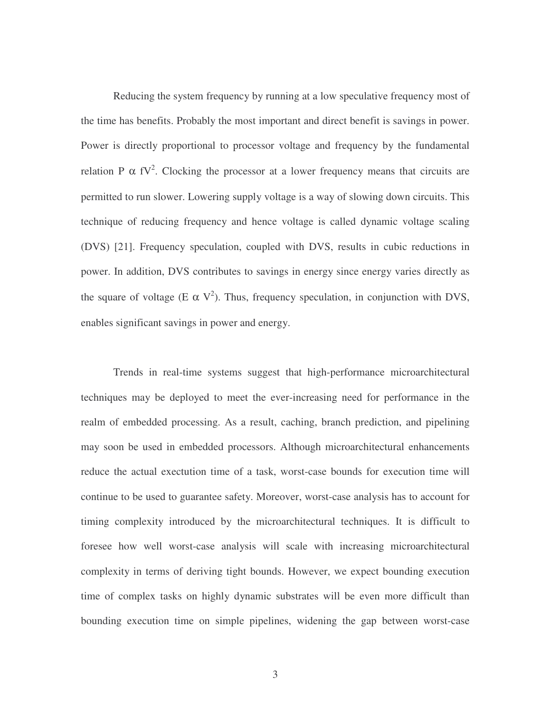Reducing the system frequency by running at a low speculative frequency most of the time has benefits. Probably the most important and direct benefit is savings in power. Power is directly proportional to processor voltage and frequency by the fundamental relation P  $\alpha$  fV<sup>2</sup>. Clocking the processor at a lower frequency means that circuits are permitted to run slower. Lowering supply voltage is a way of slowing down circuits. This technique of reducing frequency and hence voltage is called dynamic voltage scaling (DVS) [21]. Frequency speculation, coupled with DVS, results in cubic reductions in power. In addition, DVS contributes to savings in energy since energy varies directly as the square of voltage (E  $\alpha$  V<sup>2</sup>). Thus, frequency speculation, in conjunction with DVS, enables significant savings in power and energy.

Trends in real-time systems suggest that high-performance microarchitectural techniques may be deployed to meet the ever-increasing need for performance in the realm of embedded processing. As a result, caching, branch prediction, and pipelining may soon be used in embedded processors. Although microarchitectural enhancements reduce the actual exectution time of a task, worst-case bounds for execution time will continue to be used to guarantee safety. Moreover, worst-case analysis has to account for timing complexity introduced by the microarchitectural techniques. It is difficult to foresee how well worst-case analysis will scale with increasing microarchitectural complexity in terms of deriving tight bounds. However, we expect bounding execution time of complex tasks on highly dynamic substrates will be even more difficult than bounding execution time on simple pipelines, widening the gap between worst-case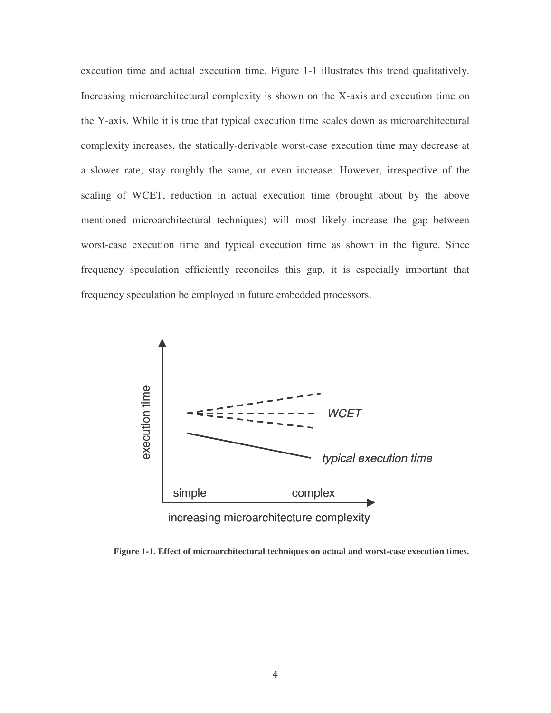execution time and actual execution time. Figure 1-1 illustrates this trend qualitatively. Increasing microarchitectural complexity is shown on the X-axis and execution time on the Y-axis. While it is true that typical execution time scales down as microarchitectural complexity increases, the statically-derivable worst-case execution time may decrease at a slower rate, stay roughly the same, or even increase. However, irrespective of the scaling of WCET, reduction in actual execution time (brought about by the above mentioned microarchitectural techniques) will most likely increase the gap between worst-case execution time and typical execution time as shown in the figure. Since frequency speculation efficiently reconciles this gap, it is especially important that frequency speculation be employed in future embedded processors.



**Figure 1-1. Effect of microarchitectural techniques on actual and worst-case execution times.**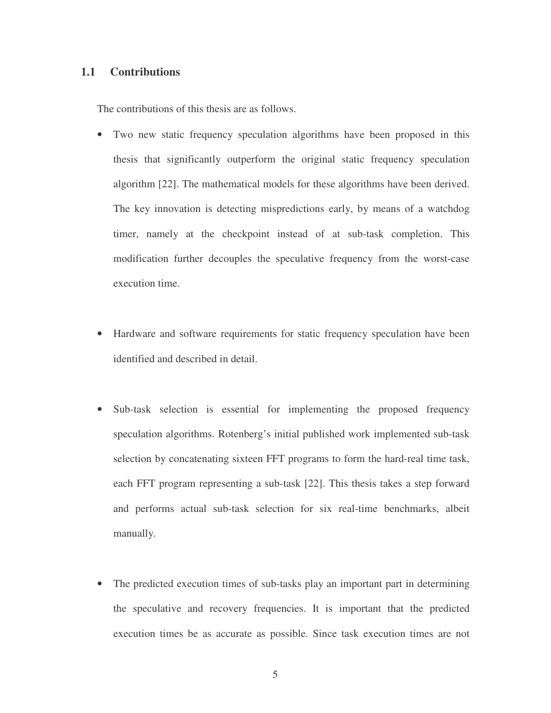#### **1.1 Contributions**

The contributions of this thesis are as follows.

- Two new static frequency speculation algorithms have been proposed in this thesis that significantly outperform the original static frequency speculation algorithm [22]. The mathematical models for these algorithms have been derived. The key innovation is detecting mispredictions early, by means of a watchdog timer, namely at the checkpoint instead of at sub-task completion. This modification further decouples the speculative frequency from the worst-case execution time.
- Hardware and software requirements for static frequency speculation have been identified and described in detail.
- Sub-task selection is essential for implementing the proposed frequency speculation algorithms. Rotenberg's initial published work implemented sub-task selection by concatenating sixteen FFT programs to form the hard-real time task, each FFT program representing a sub-task [22]. This thesis takes a step forward and performs actual sub-task selection for six real-time benchmarks, albeit manually.
- The predicted execution times of sub-tasks play an important part in determining the speculative and recovery frequencies. It is important that the predicted execution times be as accurate as possible. Since task execution times are not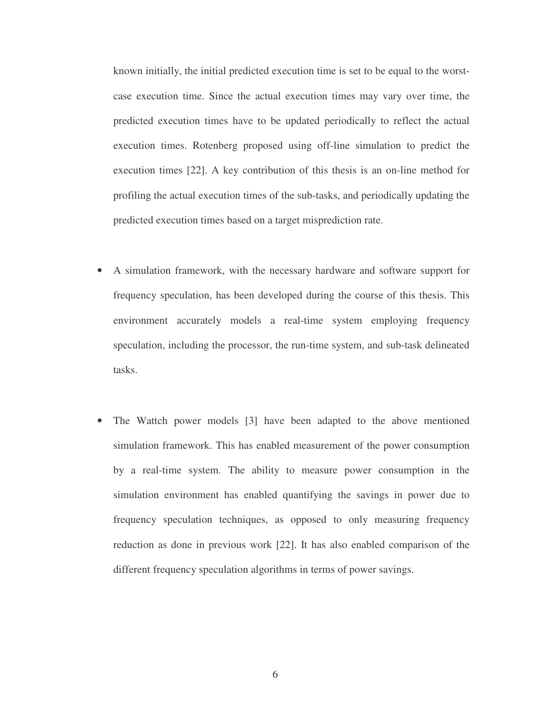known initially, the initial predicted execution time is set to be equal to the worstcase execution time. Since the actual execution times may vary over time, the predicted execution times have to be updated periodically to reflect the actual execution times. Rotenberg proposed using off-line simulation to predict the execution times [22]. A key contribution of this thesis is an on-line method for profiling the actual execution times of the sub-tasks, and periodically updating the predicted execution times based on a target misprediction rate.

- A simulation framework, with the necessary hardware and software support for frequency speculation, has been developed during the course of this thesis. This environment accurately models a real-time system employing frequency speculation, including the processor, the run-time system, and sub-task delineated tasks.
- The Wattch power models [3] have been adapted to the above mentioned simulation framework. This has enabled measurement of the power consumption by a real-time system. The ability to measure power consumption in the simulation environment has enabled quantifying the savings in power due to frequency speculation techniques, as opposed to only measuring frequency reduction as done in previous work [22]. It has also enabled comparison of the different frequency speculation algorithms in terms of power savings.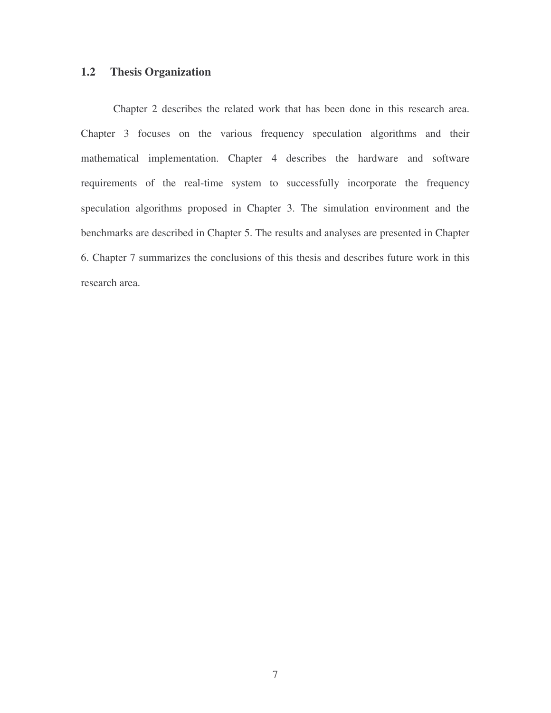### **1.2 Thesis Organization**

Chapter 2 describes the related work that has been done in this research area. Chapter 3 focuses on the various frequency speculation algorithms and their mathematical implementation. Chapter 4 describes the hardware and software requirements of the real-time system to successfully incorporate the frequency speculation algorithms proposed in Chapter 3. The simulation environment and the benchmarks are described in Chapter 5. The results and analyses are presented in Chapter 6. Chapter 7 summarizes the conclusions of this thesis and describes future work in this research area.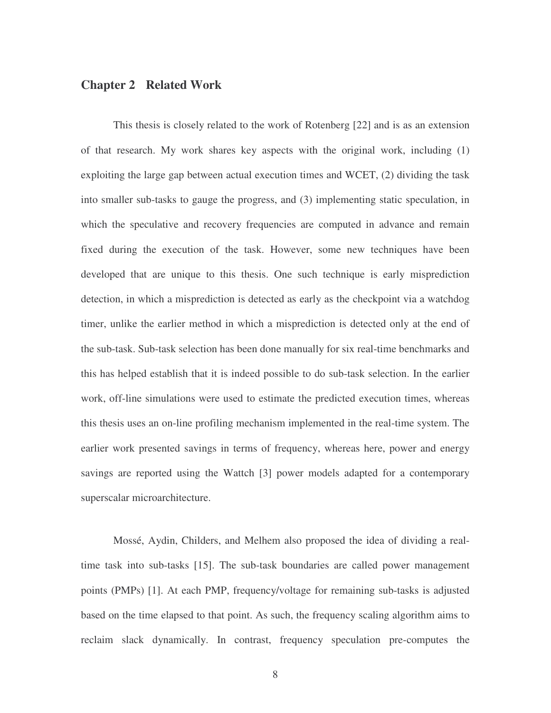## **Chapter 2 Related Work**

This thesis is closely related to the work of Rotenberg [22] and is as an extension of that research. My work shares key aspects with the original work, including (1) exploiting the large gap between actual execution times and WCET, (2) dividing the task into smaller sub-tasks to gauge the progress, and (3) implementing static speculation, in which the speculative and recovery frequencies are computed in advance and remain fixed during the execution of the task. However, some new techniques have been developed that are unique to this thesis. One such technique is early misprediction detection, in which a misprediction is detected as early as the checkpoint via a watchdog timer, unlike the earlier method in which a misprediction is detected only at the end of the sub-task. Sub-task selection has been done manually for six real-time benchmarks and this has helped establish that it is indeed possible to do sub-task selection. In the earlier work, off-line simulations were used to estimate the predicted execution times, whereas this thesis uses an on-line profiling mechanism implemented in the real-time system. The earlier work presented savings in terms of frequency, whereas here, power and energy savings are reported using the Wattch [3] power models adapted for a contemporary superscalar microarchitecture.

Mossé, Aydin, Childers, and Melhem also proposed the idea of dividing a realtime task into sub-tasks [15]. The sub-task boundaries are called power management points (PMPs) [1]. At each PMP, frequency/voltage for remaining sub-tasks is adjusted based on the time elapsed to that point. As such, the frequency scaling algorithm aims to reclaim slack dynamically. In contrast, frequency speculation pre-computes the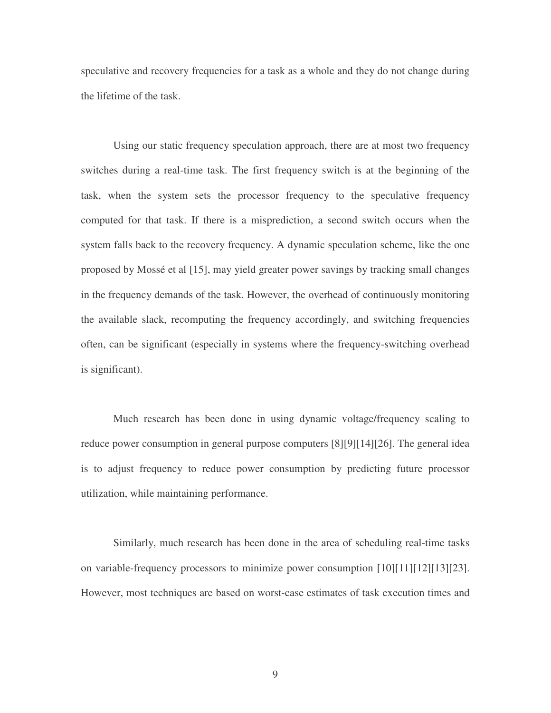speculative and recovery frequencies for a task as a whole and they do not change during the lifetime of the task.

Using our static frequency speculation approach, there are at most two frequency switches during a real-time task. The first frequency switch is at the beginning of the task, when the system sets the processor frequency to the speculative frequency computed for that task. If there is a misprediction, a second switch occurs when the system falls back to the recovery frequency. A dynamic speculation scheme, like the one proposed by Mossé et al [15], may yield greater power savings by tracking small changes in the frequency demands of the task. However, the overhead of continuously monitoring the available slack, recomputing the frequency accordingly, and switching frequencies often, can be significant (especially in systems where the frequency-switching overhead is significant).

Much research has been done in using dynamic voltage/frequency scaling to reduce power consumption in general purpose computers [8][9][14][26]. The general idea is to adjust frequency to reduce power consumption by predicting future processor utilization, while maintaining performance.

Similarly, much research has been done in the area of scheduling real-time tasks on variable-frequency processors to minimize power consumption [10][11][12][13][23]. However, most techniques are based on worst-case estimates of task execution times and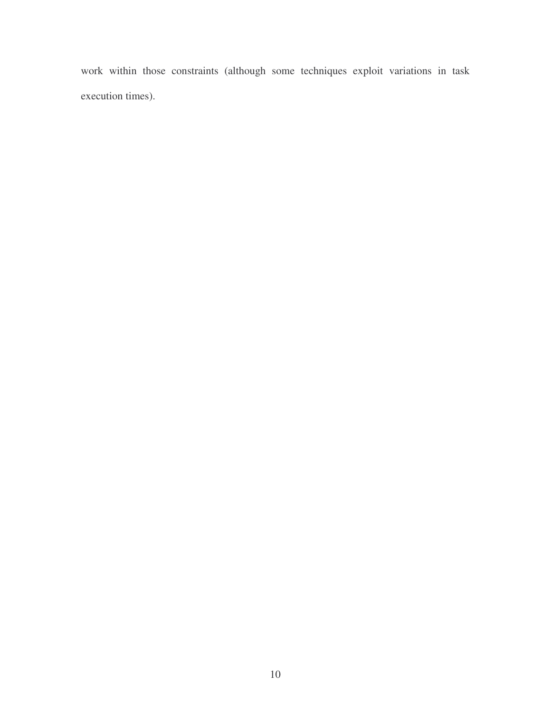work within those constraints (although some techniques exploit variations in task execution times).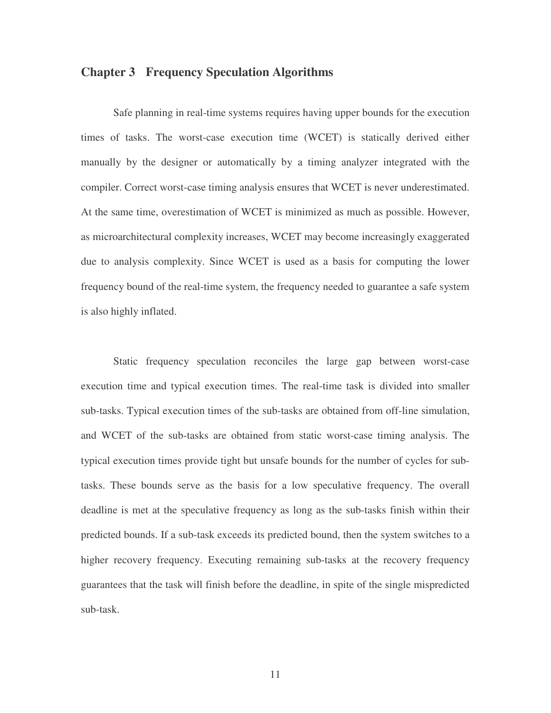#### **Chapter 3 Frequency Speculation Algorithms**

Safe planning in real-time systems requires having upper bounds for the execution times of tasks. The worst-case execution time (WCET) is statically derived either manually by the designer or automatically by a timing analyzer integrated with the compiler. Correct worst-case timing analysis ensures that WCET is never underestimated. At the same time, overestimation of WCET is minimized as much as possible. However, as microarchitectural complexity increases, WCET may become increasingly exaggerated due to analysis complexity. Since WCET is used as a basis for computing the lower frequency bound of the real-time system, the frequency needed to guarantee a safe system is also highly inflated.

Static frequency speculation reconciles the large gap between worst-case execution time and typical execution times. The real-time task is divided into smaller sub-tasks. Typical execution times of the sub-tasks are obtained from off-line simulation, and WCET of the sub-tasks are obtained from static worst-case timing analysis. The typical execution times provide tight but unsafe bounds for the number of cycles for subtasks. These bounds serve as the basis for a low speculative frequency. The overall deadline is met at the speculative frequency as long as the sub-tasks finish within their predicted bounds. If a sub-task exceeds its predicted bound, then the system switches to a higher recovery frequency. Executing remaining sub-tasks at the recovery frequency guarantees that the task will finish before the deadline, in spite of the single mispredicted sub-task.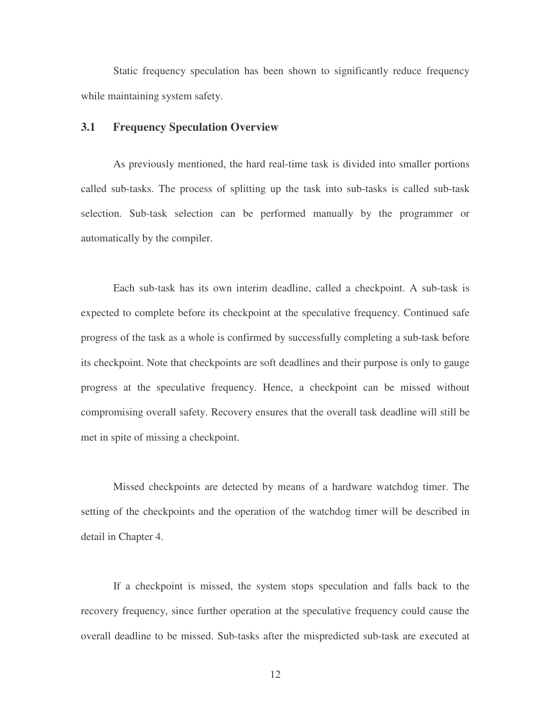Static frequency speculation has been shown to significantly reduce frequency while maintaining system safety.

#### **3.1 Frequency Speculation Overview**

As previously mentioned, the hard real-time task is divided into smaller portions called sub-tasks. The process of splitting up the task into sub-tasks is called sub-task selection. Sub-task selection can be performed manually by the programmer or automatically by the compiler.

Each sub-task has its own interim deadline, called a checkpoint. A sub-task is expected to complete before its checkpoint at the speculative frequency. Continued safe progress of the task as a whole is confirmed by successfully completing a sub-task before its checkpoint. Note that checkpoints are soft deadlines and their purpose is only to gauge progress at the speculative frequency. Hence, a checkpoint can be missed without compromising overall safety. Recovery ensures that the overall task deadline will still be met in spite of missing a checkpoint.

Missed checkpoints are detected by means of a hardware watchdog timer. The setting of the checkpoints and the operation of the watchdog timer will be described in detail in Chapter 4.

If a checkpoint is missed, the system stops speculation and falls back to the recovery frequency, since further operation at the speculative frequency could cause the overall deadline to be missed. Sub-tasks after the mispredicted sub-task are executed at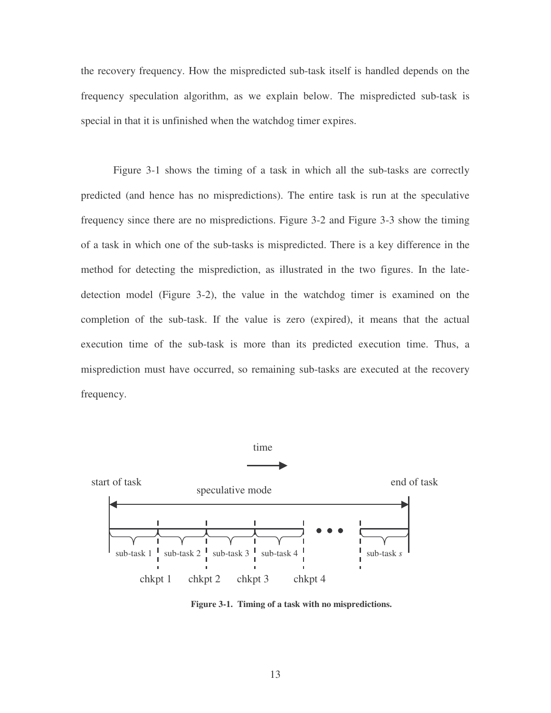the recovery frequency. How the mispredicted sub-task itself is handled depends on the frequency speculation algorithm, as we explain below. The mispredicted sub-task is special in that it is unfinished when the watchdog timer expires.

Figure 3-1 shows the timing of a task in which all the sub-tasks are correctly predicted (and hence has no mispredictions). The entire task is run at the speculative frequency since there are no mispredictions. Figure 3-2 and Figure 3-3 show the timing of a task in which one of the sub-tasks is mispredicted. There is a key difference in the method for detecting the misprediction, as illustrated in the two figures. In the latedetection model (Figure 3-2), the value in the watchdog timer is examined on the completion of the sub-task. If the value is zero (expired), it means that the actual execution time of the sub-task is more than its predicted execution time. Thus, a misprediction must have occurred, so remaining sub-tasks are executed at the recovery frequency.



**Figure 3-1. Timing of a task with no mispredictions.**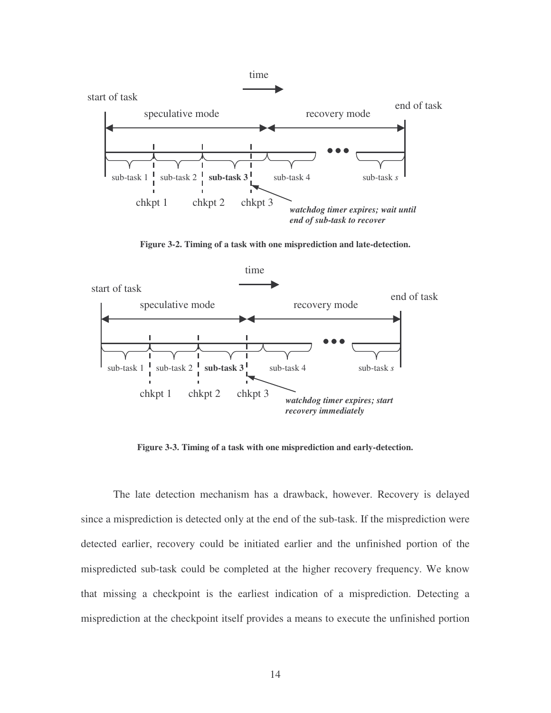

**Figure 3-2. Timing of a task with one misprediction and late-detection.**



**Figure 3-3. Timing of a task with one misprediction and early-detection.**

The late detection mechanism has a drawback, however. Recovery is delayed since a misprediction is detected only at the end of the sub-task. If the misprediction were detected earlier, recovery could be initiated earlier and the unfinished portion of the mispredicted sub-task could be completed at the higher recovery frequency. We know that missing a checkpoint is the earliest indication of a misprediction. Detecting a misprediction at the checkpoint itself provides a means to execute the unfinished portion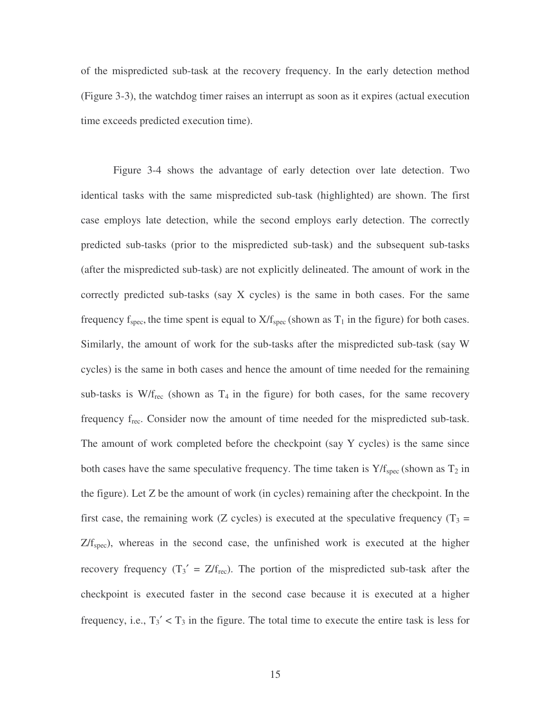of the mispredicted sub-task at the recovery frequency. In the early detection method (Figure 3-3), the watchdog timer raises an interrupt as soon as it expires (actual execution time exceeds predicted execution time).

Figure 3-4 shows the advantage of early detection over late detection. Two identical tasks with the same mispredicted sub-task (highlighted) are shown. The first case employs late detection, while the second employs early detection. The correctly predicted sub-tasks (prior to the mispredicted sub-task) and the subsequent sub-tasks (after the mispredicted sub-task) are not explicitly delineated. The amount of work in the correctly predicted sub-tasks (say X cycles) is the same in both cases. For the same frequency  $f_{spec}$ , the time spent is equal to  $X/f_{spec}$  (shown as  $T_1$  in the figure) for both cases. Similarly, the amount of work for the sub-tasks after the mispredicted sub-task (say W cycles) is the same in both cases and hence the amount of time needed for the remaining sub-tasks is  $W/f_{rec}$  (shown as  $T_4$  in the figure) for both cases, for the same recovery frequency frec. Consider now the amount of time needed for the mispredicted sub-task. The amount of work completed before the checkpoint (say Y cycles) is the same since both cases have the same speculative frequency. The time taken is  $Y/f_{\text{spec}}$  (shown as  $T_2$  in the figure). Let Z be the amount of work (in cycles) remaining after the checkpoint. In the first case, the remaining work (Z cycles) is executed at the speculative frequency ( $T_3$  =  $Z/f<sub>spec</sub>$ ), whereas in the second case, the unfinished work is executed at the higher recovery frequency  $(T_3' = Z/f_{rec})$ . The portion of the mispredicted sub-task after the checkpoint is executed faster in the second case because it is executed at a higher frequency, i.e.,  $T_3' < T_3$  in the figure. The total time to execute the entire task is less for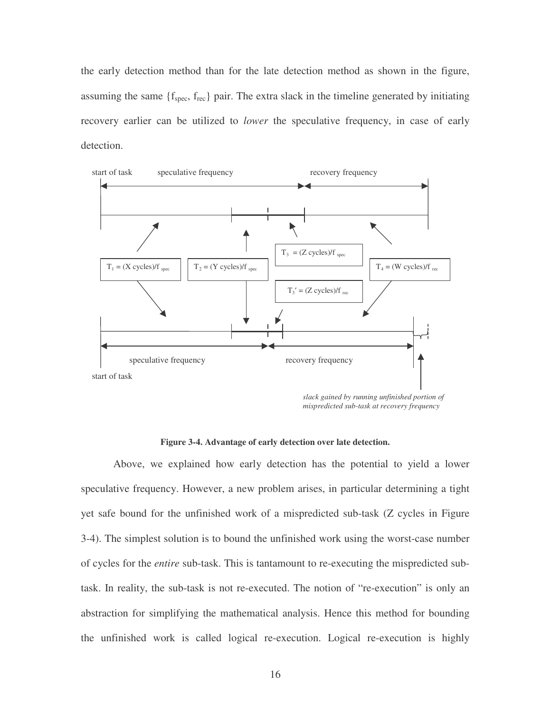the early detection method than for the late detection method as shown in the figure, assuming the same  $\{f_{\text{spec}}, f_{\text{rec}}\}$  pair. The extra slack in the timeline generated by initiating recovery earlier can be utilized to *lower* the speculative frequency, in case of early detection.



*slack gained by running unfinished portion of mispredicted sub-task at recovery frequency*

#### **Figure 3-4. Advantage of early detection over late detection.**

Above, we explained how early detection has the potential to yield a lower speculative frequency. However, a new problem arises, in particular determining a tight yet safe bound for the unfinished work of a mispredicted sub-task (Z cycles in Figure 3-4). The simplest solution is to bound the unfinished work using the worst-case number of cycles for the *entire* sub-task. This is tantamount to re-executing the mispredicted subtask. In reality, the sub-task is not re-executed. The notion of "re-execution" is only an abstraction for simplifying the mathematical analysis. Hence this method for bounding the unfinished work is called logical re-execution. Logical re-execution is highly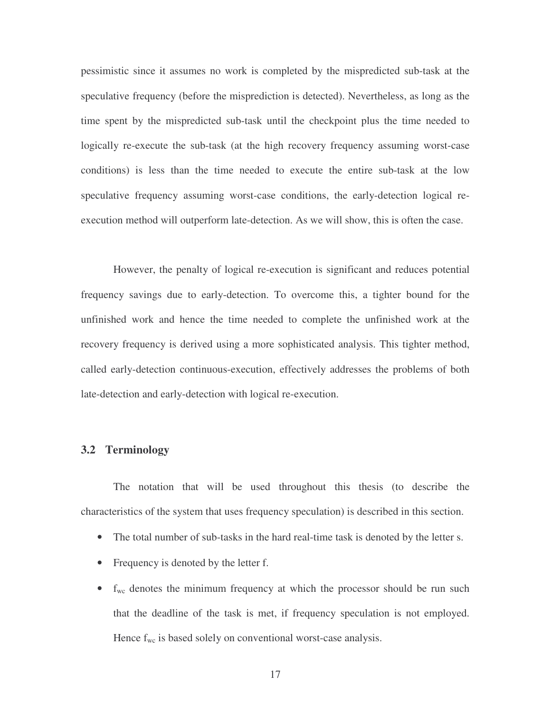pessimistic since it assumes no work is completed by the mispredicted sub-task at the speculative frequency (before the misprediction is detected). Nevertheless, as long as the time spent by the mispredicted sub-task until the checkpoint plus the time needed to logically re-execute the sub-task (at the high recovery frequency assuming worst-case conditions) is less than the time needed to execute the entire sub-task at the low speculative frequency assuming worst-case conditions, the early-detection logical reexecution method will outperform late-detection. As we will show, this is often the case.

However, the penalty of logical re-execution is significant and reduces potential frequency savings due to early-detection. To overcome this, a tighter bound for the unfinished work and hence the time needed to complete the unfinished work at the recovery frequency is derived using a more sophisticated analysis. This tighter method, called early-detection continuous-execution, effectively addresses the problems of both late-detection and early-detection with logical re-execution.

#### **3.2 Terminology**

The notation that will be used throughout this thesis (to describe the characteristics of the system that uses frequency speculation) is described in this section.

- The total number of sub-tasks in the hard real-time task is denoted by the letter s.
- Frequency is denoted by the letter f.
- $\bullet$   $f_{wc}$  denotes the minimum frequency at which the processor should be run such that the deadline of the task is met, if frequency speculation is not employed. Hence  $f_{wc}$  is based solely on conventional worst-case analysis.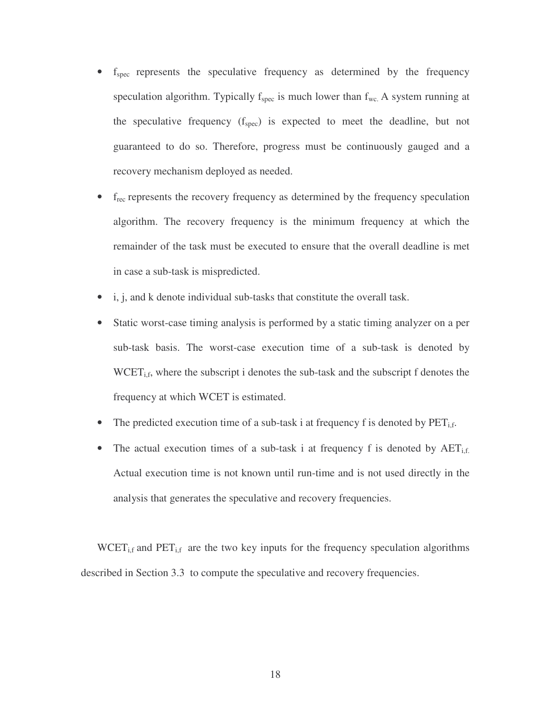- $\bullet$   $f_{\text{spec}}$  represents the speculative frequency as determined by the frequency speculation algorithm. Typically  $f_{spec}$  is much lower than  $f_{wc}$ . A system running at the speculative frequency  $(f_{spec})$  is expected to meet the deadline, but not guaranteed to do so. Therefore, progress must be continuously gauged and a recovery mechanism deployed as needed.
- f<sub>rec</sub> represents the recovery frequency as determined by the frequency speculation algorithm. The recovery frequency is the minimum frequency at which the remainder of the task must be executed to ensure that the overall deadline is met in case a sub-task is mispredicted.
- i, j, and k denote individual sub-tasks that constitute the overall task.
- Static worst-case timing analysis is performed by a static timing analyzer on a per sub-task basis. The worst-case execution time of a sub-task is denoted by  $WCET<sub>i,f</sub>$ , where the subscript i denotes the sub-task and the subscript f denotes the frequency at which WCET is estimated.
- The predicted execution time of a sub-task i at frequency f is denoted by  $PET_{i,f}$ .
- The actual execution times of a sub-task i at frequency f is denoted by  $AET_{i,f}$ . Actual execution time is not known until run-time and is not used directly in the analysis that generates the speculative and recovery frequencies.

 $WCEPT_{i,f}$  and  $PET_{i,f}$  are the two key inputs for the frequency speculation algorithms described in Section 3.3 to compute the speculative and recovery frequencies.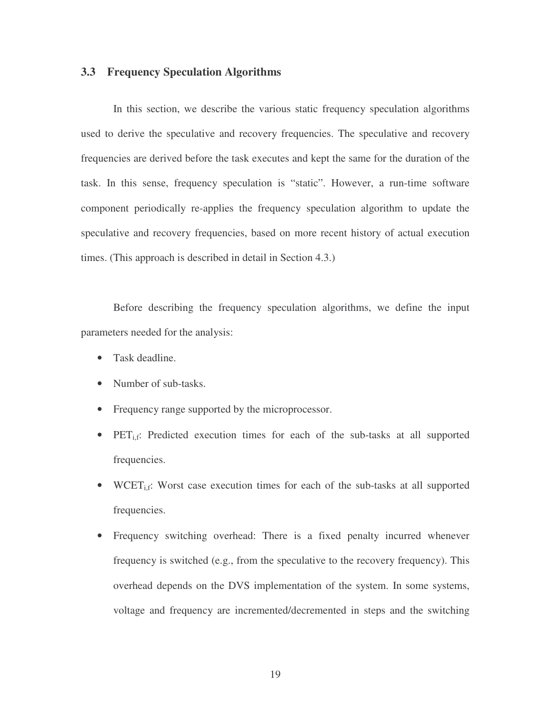#### **3.3 Frequency Speculation Algorithms**

In this section, we describe the various static frequency speculation algorithms used to derive the speculative and recovery frequencies. The speculative and recovery frequencies are derived before the task executes and kept the same for the duration of the task. In this sense, frequency speculation is "static". However, a run-time software component periodically re-applies the frequency speculation algorithm to update the speculative and recovery frequencies, based on more recent history of actual execution times. (This approach is described in detail in Section 4.3.)

Before describing the frequency speculation algorithms, we define the input parameters needed for the analysis:

- Task deadline.
- Number of sub-tasks.
- Frequency range supported by the microprocessor.
- PET<sub>i,f</sub>: Predicted execution times for each of the sub-tasks at all supported frequencies.
- WCET<sub>i.f</sub>: Worst case execution times for each of the sub-tasks at all supported frequencies.
- Frequency switching overhead: There is a fixed penalty incurred whenever frequency is switched (e.g., from the speculative to the recovery frequency). This overhead depends on the DVS implementation of the system. In some systems, voltage and frequency are incremented/decremented in steps and the switching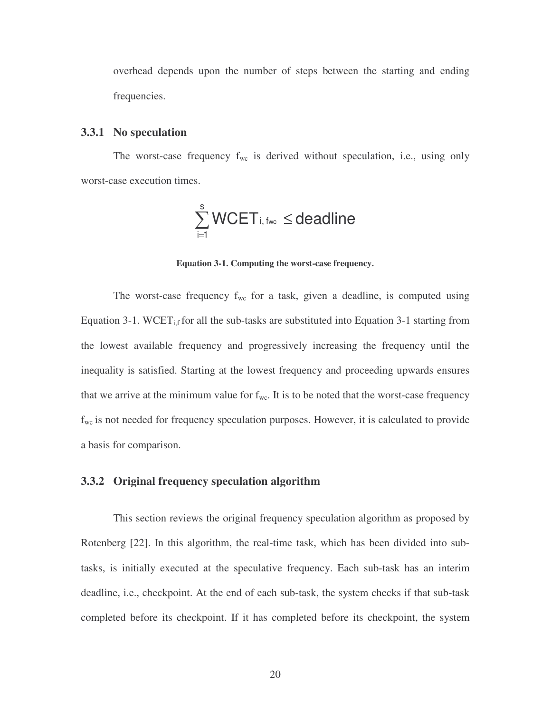overhead depends upon the number of steps between the starting and ending frequencies.

#### **3.3.1 No speculation**

The worst-case frequency  $f_{wc}$  is derived without speculation, i.e., using only worst-case execution times.

$$
\sum_{i=1}^s WCET_{i,\, {\rm fwc}}\leq {\rm deadline}
$$

**Equation 3-1. Computing the worst-case frequency.**

The worst-case frequency  $f_{wc}$  for a task, given a deadline, is computed using Equation 3-1. WCET<sub>i,f</sub> for all the sub-tasks are substituted into Equation 3-1 starting from the lowest available frequency and progressively increasing the frequency until the inequality is satisfied. Starting at the lowest frequency and proceeding upwards ensures that we arrive at the minimum value for  $f_{wc}$ . It is to be noted that the worst-case frequency  $f_{wc}$  is not needed for frequency speculation purposes. However, it is calculated to provide a basis for comparison.

#### **3.3.2 Original frequency speculation algorithm**

This section reviews the original frequency speculation algorithm as proposed by Rotenberg [22]. In this algorithm, the real-time task, which has been divided into subtasks, is initially executed at the speculative frequency. Each sub-task has an interim deadline, i.e., checkpoint. At the end of each sub-task, the system checks if that sub-task completed before its checkpoint. If it has completed before its checkpoint, the system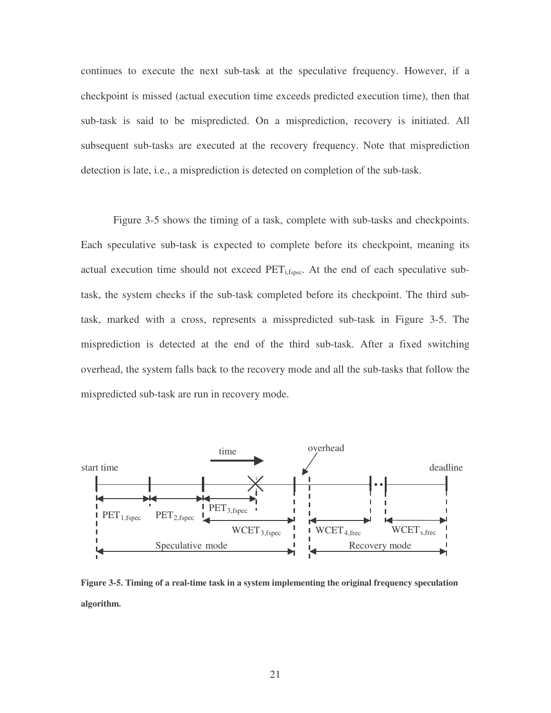continues to execute the next sub-task at the speculative frequency. However, if a checkpoint is missed (actual execution time exceeds predicted execution time), then that sub-task is said to be mispredicted. On a misprediction, recovery is initiated. All subsequent sub-tasks are executed at the recovery frequency. Note that misprediction detection is late, i.e., a misprediction is detected on completion of the sub-task.

Figure 3-5 shows the timing of a task, complete with sub-tasks and checkpoints. Each speculative sub-task is expected to complete before its checkpoint, meaning its actual execution time should not exceed  $\text{PET}_{i, \text{fppec}}$ . At the end of each speculative subtask, the system checks if the sub-task completed before its checkpoint. The third subtask, marked with a cross, represents a misspredicted sub-task in Figure 3-5. The misprediction is detected at the end of the third sub-task. After a fixed switching overhead, the system falls back to the recovery mode and all the sub-tasks that follow the mispredicted sub-task are run in recovery mode.



**Figure 3-5. Timing of a real-time task in a system implementing the original frequency speculation algorithm.**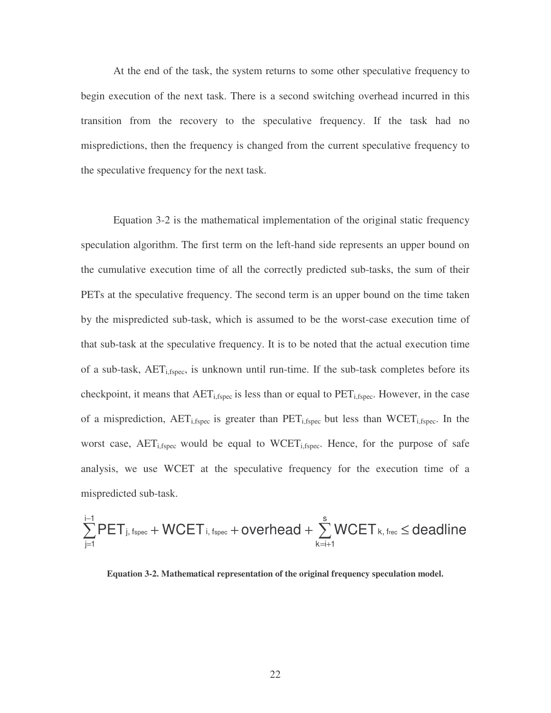At the end of the task, the system returns to some other speculative frequency to begin execution of the next task. There is a second switching overhead incurred in this transition from the recovery to the speculative frequency. If the task had no mispredictions, then the frequency is changed from the current speculative frequency to the speculative frequency for the next task.

Equation 3-2 is the mathematical implementation of the original static frequency speculation algorithm. The first term on the left-hand side represents an upper bound on the cumulative execution time of all the correctly predicted sub-tasks, the sum of their PETs at the speculative frequency. The second term is an upper bound on the time taken by the mispredicted sub-task, which is assumed to be the worst-case execution time of that sub-task at the speculative frequency. It is to be noted that the actual execution time of a sub-task,  $AET_{i,fspec}$ , is unknown until run-time. If the sub-task completes before its checkpoint, it means that  $AET_{i,fpec}$  is less than or equal to  $PET_{i,fpec}$ . However, in the case of a misprediction,  $AET_{i,fspec}$  is greater than  $PET_{i,fspec}$  but less than  $WCEPT_{i,fspec}$ . In the worst case,  $AET_{i,fspec}$  would be equal to  $WCEPT_{i,fspec}$ . Hence, for the purpose of safe analysis, we use WCET at the speculative frequency for the execution time of a mispredicted sub-task.

$$
\sum_{j=1}^{i-1} PET_{j,\text{ fspec}} + WGET_{i,\text{ fspec}} + overhead + \sum_{k=i+1}^{s} WGET_{k,\text{ frec}} \leq deadline
$$

**Equation 3-2. Mathematical representation of the original frequency speculation model.**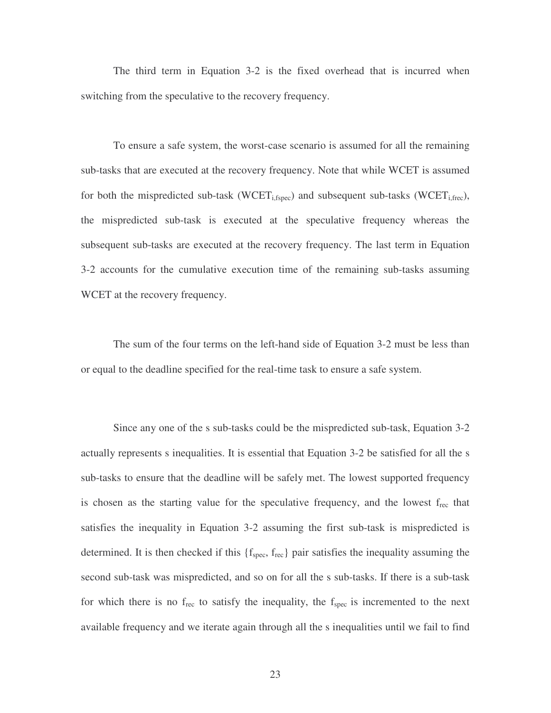The third term in Equation 3-2 is the fixed overhead that is incurred when switching from the speculative to the recovery frequency.

To ensure a safe system, the worst-case scenario is assumed for all the remaining sub-tasks that are executed at the recovery frequency. Note that while WCET is assumed for both the mispredicted sub-task (WCET<sub>i,fspec</sub>) and subsequent sub-tasks (WCET<sub>i,frec</sub>), the mispredicted sub-task is executed at the speculative frequency whereas the subsequent sub-tasks are executed at the recovery frequency. The last term in Equation 3-2 accounts for the cumulative execution time of the remaining sub-tasks assuming WCET at the recovery frequency.

The sum of the four terms on the left-hand side of Equation 3-2 must be less than or equal to the deadline specified for the real-time task to ensure a safe system.

Since any one of the s sub-tasks could be the mispredicted sub-task, Equation 3-2 actually represents s inequalities. It is essential that Equation 3-2 be satisfied for all the s sub-tasks to ensure that the deadline will be safely met. The lowest supported frequency is chosen as the starting value for the speculative frequency, and the lowest frec that satisfies the inequality in Equation 3-2 assuming the first sub-task is mispredicted is determined. It is then checked if this  $\{f_{\text{spec}}, f_{\text{rec}}\}$  pair satisfies the inequality assuming the second sub-task was mispredicted, and so on for all the s sub-tasks. If there is a sub-task for which there is no  $f_{\text{rec}}$  to satisfy the inequality, the  $f_{\text{spec}}$  is incremented to the next available frequency and we iterate again through all the s inequalities until we fail to find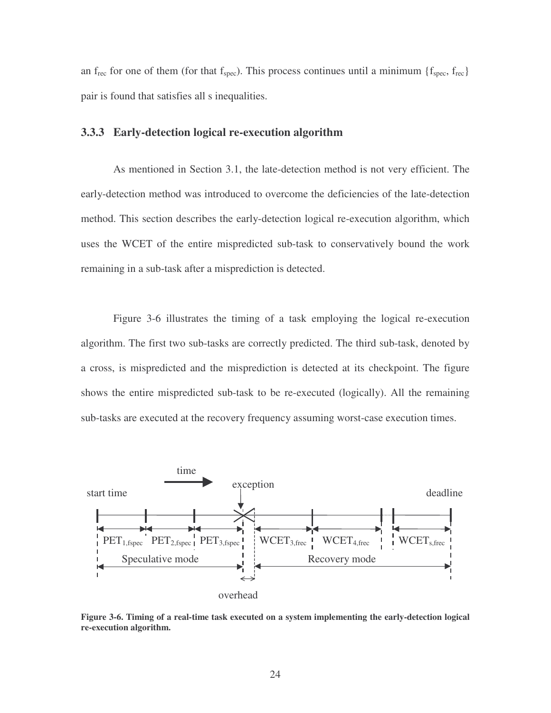an f<sub>rec</sub> for one of them (for that  $f_{spec}$ ). This process continues until a minimum { $f_{spec}$ ,  $f_{rec}$ } pair is found that satisfies all s inequalities.

#### **3.3.3 Early-detection logical re-execution algorithm**

As mentioned in Section 3.1, the late-detection method is not very efficient. The early-detection method was introduced to overcome the deficiencies of the late-detection method. This section describes the early-detection logical re-execution algorithm, which uses the WCET of the entire mispredicted sub-task to conservatively bound the work remaining in a sub-task after a misprediction is detected.

Figure 3-6 illustrates the timing of a task employing the logical re-execution algorithm. The first two sub-tasks are correctly predicted. The third sub-task, denoted by a cross, is mispredicted and the misprediction is detected at its checkpoint. The figure shows the entire mispredicted sub-task to be re-executed (logically). All the remaining sub-tasks are executed at the recovery frequency assuming worst-case execution times.



**Figure 3-6. Timing of a real-time task executed on a system implementing the early-detection logical re-execution algorithm.**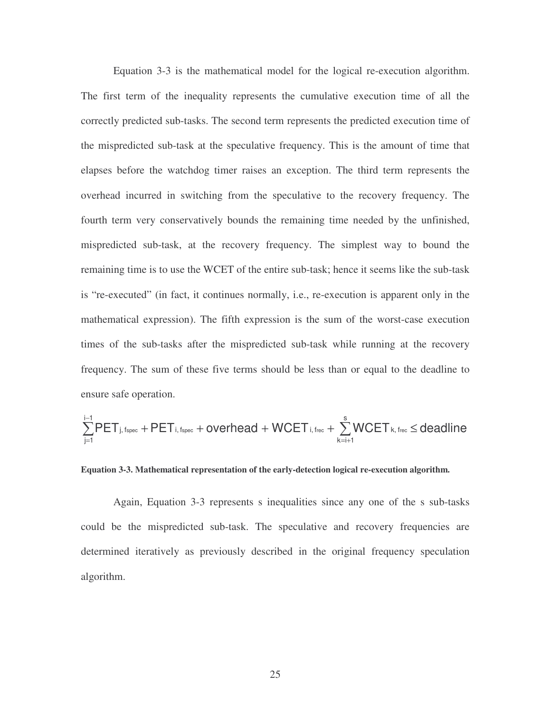Equation 3-3 is the mathematical model for the logical re-execution algorithm. The first term of the inequality represents the cumulative execution time of all the correctly predicted sub-tasks. The second term represents the predicted execution time of the mispredicted sub-task at the speculative frequency. This is the amount of time that elapses before the watchdog timer raises an exception. The third term represents the overhead incurred in switching from the speculative to the recovery frequency. The fourth term very conservatively bounds the remaining time needed by the unfinished, mispredicted sub-task, at the recovery frequency. The simplest way to bound the remaining time is to use the WCET of the entire sub-task; hence it seems like the sub-task is "re-executed" (in fact, it continues normally, i.e., re-execution is apparent only in the mathematical expression). The fifth expression is the sum of the worst-case execution times of the sub-tasks after the mispredicted sub-task while running at the recovery frequency. The sum of these five terms should be less than or equal to the deadline to ensure safe operation.

$$
\sum_{j=1}^{i-1} PET_{j,\,fspec} + PET_{i,\,fspec} + overhead + WGET_{i,\,free} + \sum_{k=i+1}^{s} WGET_{k,\,free} \leq deadline
$$

**Equation 3-3. Mathematical representation of the early-detection logical re-execution algorithm.**

Again, Equation 3-3 represents s inequalities since any one of the s sub-tasks could be the mispredicted sub-task. The speculative and recovery frequencies are determined iteratively as previously described in the original frequency speculation algorithm.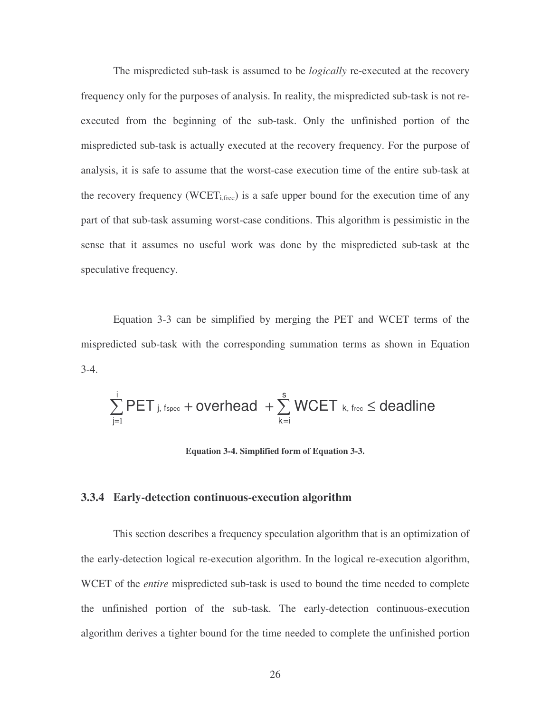The mispredicted sub-task is assumed to be *logically* re-executed at the recovery frequency only for the purposes of analysis. In reality, the mispredicted sub-task is not reexecuted from the beginning of the sub-task. Only the unfinished portion of the mispredicted sub-task is actually executed at the recovery frequency. For the purpose of analysis, it is safe to assume that the worst-case execution time of the entire sub-task at the recovery frequency (WCET<sub>i,frec</sub>) is a safe upper bound for the execution time of any part of that sub-task assuming worst-case conditions. This algorithm is pessimistic in the sense that it assumes no useful work was done by the mispredicted sub-task at the speculative frequency.

Equation 3-3 can be simplified by merging the PET and WCET terms of the mispredicted sub-task with the corresponding summation terms as shown in Equation 3-4.

$$
\sum_{j=1}^{i} PET_{j,\;fspec}+overhead\;+\sum_{k=i}^{s} WGET_{k,\;free}\leq deadline
$$

**Equation 3-4. Simplified form of Equation 3-3.**

#### **3.3.4 Early-detection continuous-execution algorithm**

This section describes a frequency speculation algorithm that is an optimization of the early-detection logical re-execution algorithm. In the logical re-execution algorithm, WCET of the *entire* mispredicted sub-task is used to bound the time needed to complete the unfinished portion of the sub-task. The early-detection continuous-execution algorithm derives a tighter bound for the time needed to complete the unfinished portion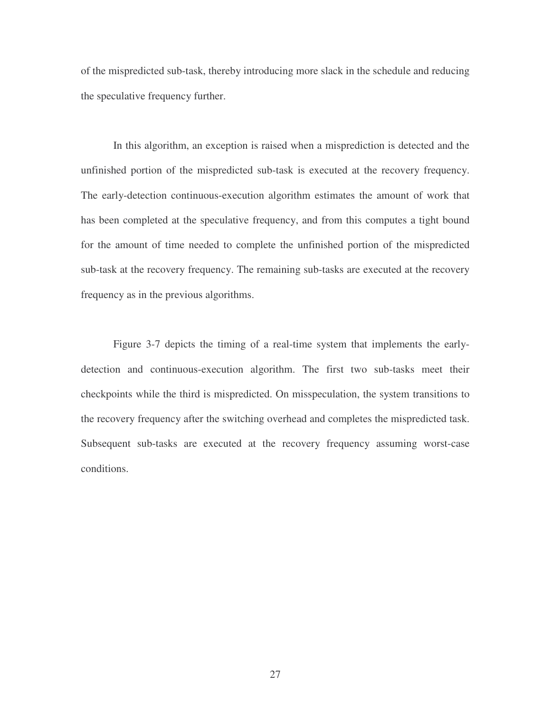of the mispredicted sub-task, thereby introducing more slack in the schedule and reducing the speculative frequency further.

In this algorithm, an exception is raised when a misprediction is detected and the unfinished portion of the mispredicted sub-task is executed at the recovery frequency. The early-detection continuous-execution algorithm estimates the amount of work that has been completed at the speculative frequency, and from this computes a tight bound for the amount of time needed to complete the unfinished portion of the mispredicted sub-task at the recovery frequency. The remaining sub-tasks are executed at the recovery frequency as in the previous algorithms.

Figure 3-7 depicts the timing of a real-time system that implements the earlydetection and continuous-execution algorithm. The first two sub-tasks meet their checkpoints while the third is mispredicted. On misspeculation, the system transitions to the recovery frequency after the switching overhead and completes the mispredicted task. Subsequent sub-tasks are executed at the recovery frequency assuming worst-case conditions.

27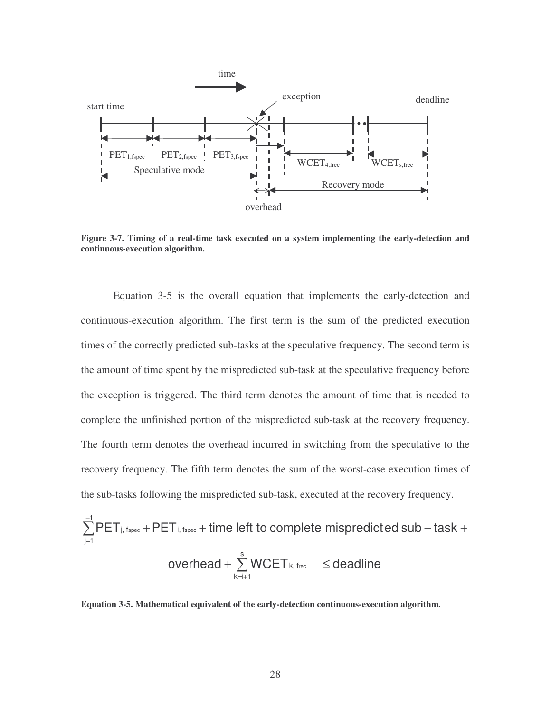

**Figure 3-7. Timing of a real-time task executed on a system implementing the early-detection and continuous-execution algorithm.**

Equation 3-5 is the overall equation that implements the early-detection and continuous-execution algorithm. The first term is the sum of the predicted execution times of the correctly predicted sub-tasks at the speculative frequency. The second term is the amount of time spent by the mispredicted sub-task at the speculative frequency before the exception is triggered. The third term denotes the amount of time that is needed to complete the unfinished portion of the mispredicted sub-task at the recovery frequency. The fourth term denotes the overhead incurred in switching from the speculative to the recovery frequency. The fifth term denotes the sum of the worst-case execution times of the sub-tasks following the mispredicted sub-task, executed at the recovery frequency.

$$
\sum_{j=1}^{i-1} PET_{j, \text{ fspec}} + PET_{i, \text{ fspec}} + \text{ time left to complete mispredicted sub-task} + \text{overhead} + \sum_{k=i+1}^{s} WCET_{k, \text{ frec}} \leq \text{deadline}
$$

**Equation 3-5. Mathematical equivalent of the early-detection continuous-execution algorithm.**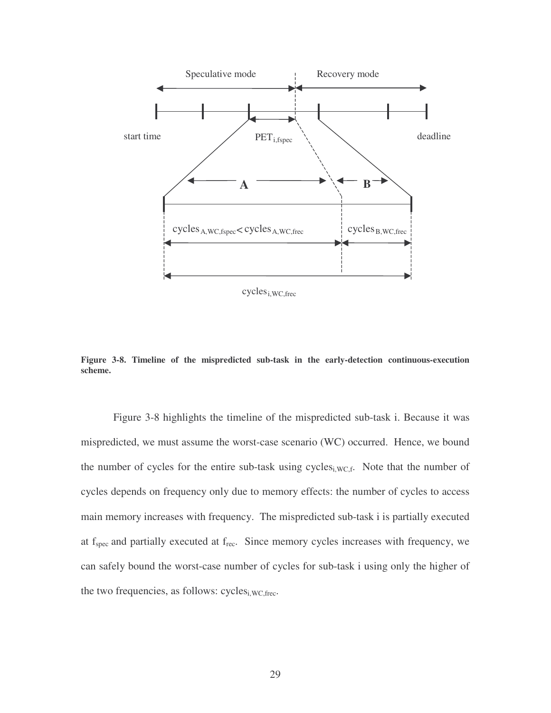

 $cycles<sub>i,WC,free</sub>$ 

**Figure 3-8. Timeline of the mispredicted sub-task in the early-detection continuous-execution scheme.**

Figure 3-8 highlights the timeline of the mispredicted sub-task i. Because it was mispredicted, we must assume the worst-case scenario (WC) occurred. Hence, we bound the number of cycles for the entire sub-task using cycles<sub>i,WC,f</sub>. Note that the number of cycles depends on frequency only due to memory effects: the number of cycles to access main memory increases with frequency. The mispredicted sub-task i is partially executed at  $f_{\text{spec}}$  and partially executed at  $f_{\text{rec}}$ . Since memory cycles increases with frequency, we can safely bound the worst-case number of cycles for sub-task i using only the higher of the two frequencies, as follows:  $cycles<sub>i,WC,free</sub>$ .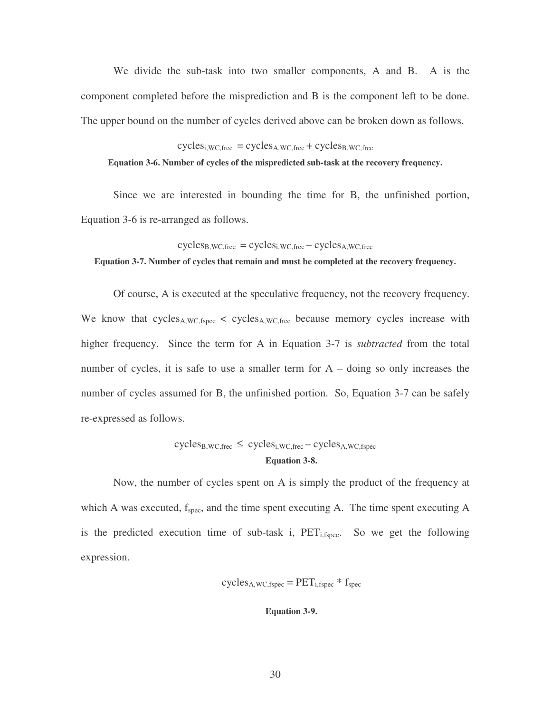We divide the sub-task into two smaller components, A and B. A is the component completed before the misprediction and B is the component left to be done. The upper bound on the number of cycles derived above can be broken down as follows.

 $cycles<sub>i,WC,free</sub> = cycles<sub>A,WC,free</sub> + cycles<sub>B,WC,free</sub>$ **Equation 3-6. Number of cycles of the mispredicted sub-task at the recovery frequency.**

Since we are interested in bounding the time for B, the unfinished portion, Equation 3-6 is re-arranged as follows.

 $cycles_{B,WC,free} = cycles_{i,WC,free} - cycles_{A,WC,free}$ 

**Equation 3-7. Number of cycles that remain and must be completed at the recovery frequency.**

Of course, A is executed at the speculative frequency, not the recovery frequency. We know that cycles<sub>A,WC,fspec</sub>  $\lt$  cycles<sub>A,WC,frec</sub> because memory cycles increase with higher frequency. Since the term for A in Equation 3-7 is *subtracted* from the total number of cycles, it is safe to use a smaller term for  $A - \text{doing}$  so only increases the number of cycles assumed for B, the unfinished portion. So, Equation 3-7 can be safely re-expressed as follows.

# $cycles_{B,WC,free} \leq cycle_{i,WC,free} - cycles_{A,WC,fspec}$ **Equation 3-8.**

Now, the number of cycles spent on A is simply the product of the frequency at which A was executed,  $f_{\text{spec}}$ , and the time spent executing A. The time spent executing A is the predicted execution time of sub-task i,  $\text{PET}_{i, \text{fppec}}$ . So we get the following expression.

 $cycles<sub>A,WC,fspec</sub> = PET<sub>i,fspec</sub> * f<sub>spec</sub>$ 

#### **Equation 3-9.**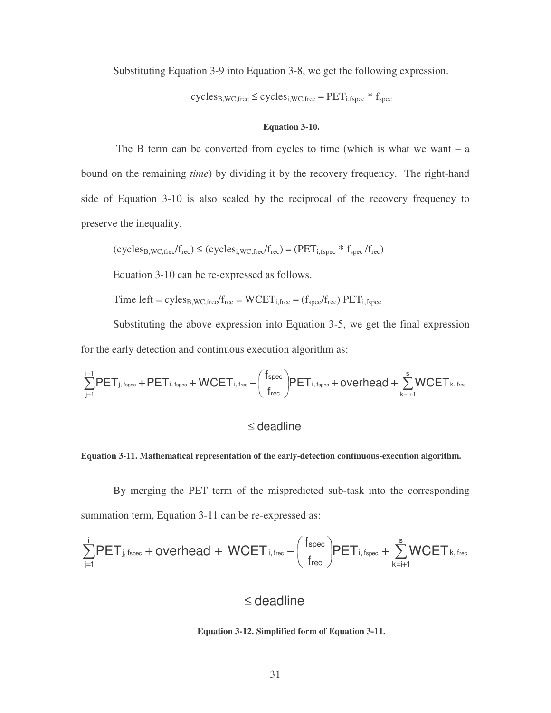Substituting Equation 3-9 into Equation 3-8, we get the following expression.

cycles<sub>B,WC,frec</sub> ≤ cycles<sub>i,WC,frec</sub> – PET<sub>i,fspec</sub> \* f<sub>spec</sub>

#### **Equation 3-10.**

The B term can be converted from cycles to time (which is what we want  $- a$ ) bound on the remaining *time*) by dividing it by the recovery frequency. The right-hand side of Equation 3-10 is also scaled by the reciprocal of the recovery frequency to preserve the inequality.

$$
(cycles_{B,WC,free}/f_{rec}) \le (cycles_{i,WC,free}/f_{rec}) - (PET_{i,fspec} * f_{spec}/f_{rec})
$$

Equation 3-10 can be re-expressed as follows.

Time left = cyles<sub>B,WC,frec</sub>/ $f_{\text{rec}}$  = WCET<sub>i,frec</sub> – ( $f_{\text{spec}}/f_{\text{rec}}$ ) PET<sub>i,fspec</sub>

Substituting the above expression into Equation 3-5, we get the final expression for the early detection and continuous execution algorithm as:

$$
\sum_{j=1}^{i-1} PET_{j,\,\rm{fspec}} + PET_{i,\,\rm{fspec}} + WCET_{i,\,\rm{free}} - \Bigg(\frac{f_{\rm{spec}}}{f_{\rm{rec}}}\BigPFT_{i,\,\rm{fspec}} + overhead + \sum_{k=i+1}^{s} WCET_{k,\,\rm{free}}
$$

### ≤ deadline

#### **Equation 3-11. Mathematical representation of the early-detection continuous-execution algorithm.**

By merging the PET term of the mispredicted sub-task into the corresponding summation term, Equation 3-11 can be re-expressed as:

$$
\sum_{j=1}^{i} PET_{j,\,\rm{fpec}} + overhead + WGET_{i,\,\rm{free}} - \Bigg(\frac{f_{\rm{spec}}}{f_{\rm{rec}}}\Bigg) PET_{i,\,\rm{fpec}} + \sum_{k=i+1}^{s} WGET_{k,\,\rm{free}}
$$

# ≤ deadline

#### **Equation 3-12. Simplified form of Equation 3-11.**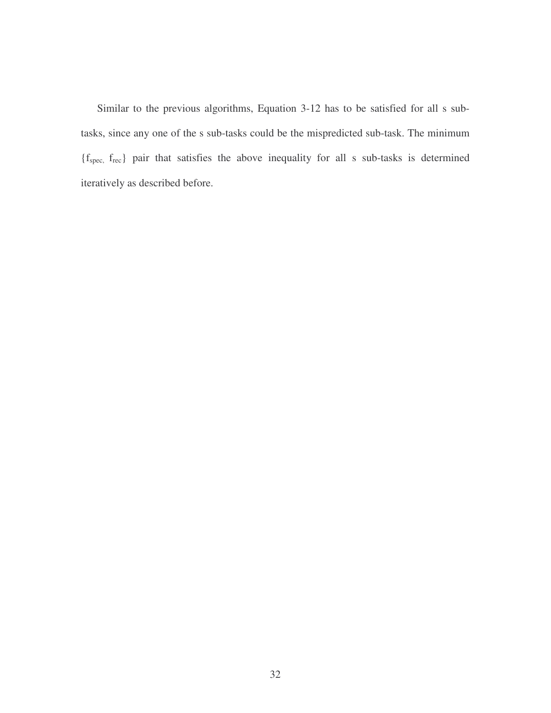Similar to the previous algorithms, Equation 3-12 has to be satisfied for all s subtasks, since any one of the s sub-tasks could be the mispredicted sub-task. The minimum {fspec, frec} pair that satisfies the above inequality for all s sub-tasks is determined iteratively as described before.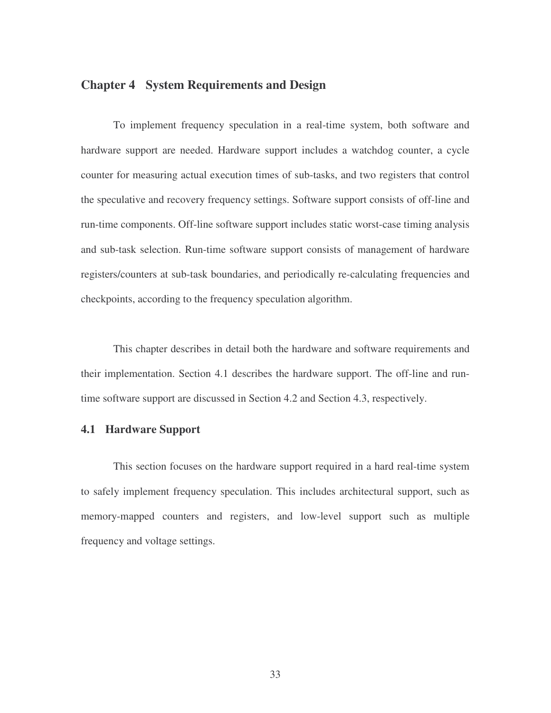# **Chapter 4 System Requirements and Design**

To implement frequency speculation in a real-time system, both software and hardware support are needed. Hardware support includes a watchdog counter, a cycle counter for measuring actual execution times of sub-tasks, and two registers that control the speculative and recovery frequency settings. Software support consists of off-line and run-time components. Off-line software support includes static worst-case timing analysis and sub-task selection. Run-time software support consists of management of hardware registers/counters at sub-task boundaries, and periodically re-calculating frequencies and checkpoints, according to the frequency speculation algorithm.

This chapter describes in detail both the hardware and software requirements and their implementation. Section 4.1 describes the hardware support. The off-line and runtime software support are discussed in Section 4.2 and Section 4.3, respectively.

### **4.1 Hardware Support**

This section focuses on the hardware support required in a hard real-time system to safely implement frequency speculation. This includes architectural support, such as memory-mapped counters and registers, and low-level support such as multiple frequency and voltage settings.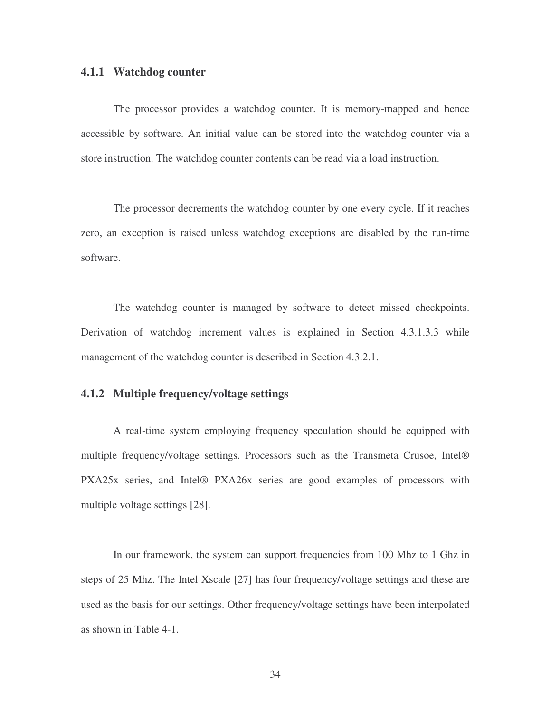#### **4.1.1 Watchdog counter**

The processor provides a watchdog counter. It is memory-mapped and hence accessible by software. An initial value can be stored into the watchdog counter via a store instruction. The watchdog counter contents can be read via a load instruction.

The processor decrements the watchdog counter by one every cycle. If it reaches zero, an exception is raised unless watchdog exceptions are disabled by the run-time software.

The watchdog counter is managed by software to detect missed checkpoints. Derivation of watchdog increment values is explained in Section 4.3.1.3.3 while management of the watchdog counter is described in Section 4.3.2.1.

### **4.1.2 Multiple frequency/voltage settings**

A real-time system employing frequency speculation should be equipped with multiple frequency/voltage settings. Processors such as the Transmeta Crusoe, Intel® PXA25x series, and Intel® PXA26x series are good examples of processors with multiple voltage settings [28].

In our framework, the system can support frequencies from 100 Mhz to 1 Ghz in steps of 25 Mhz. The Intel Xscale [27] has four frequency/voltage settings and these are used as the basis for our settings. Other frequency/voltage settings have been interpolated as shown in Table 4-1.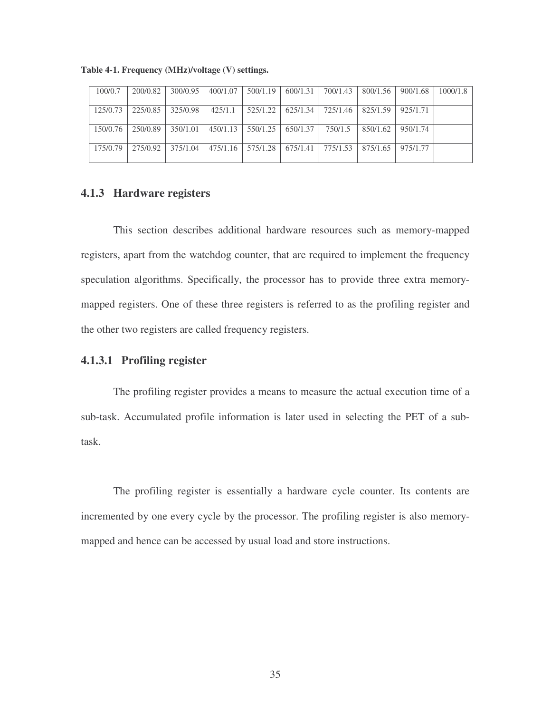| 100/0.7  | 200/0.82 | 300/0.95 | 400/1.07 | 500/1.19 | 600/1.31   | 700/1.43 | 800/1.56 | 900/1.68 | 1000/1.8 |
|----------|----------|----------|----------|----------|------------|----------|----------|----------|----------|
|          |          |          |          |          |            |          |          |          |          |
| 125/0.73 | 225/0.85 | 325/0.98 | 425/1.1  | 525/1.22 | $625/1.34$ | 725/1.46 | 825/1.59 | 925/1.71 |          |
|          |          |          |          |          |            |          |          |          |          |
| 150/0.76 | 250/0.89 | 350/1.01 | 450/1.13 | 550/1.25 | 650/1.37   | 750/1.5  | 850/1.62 | 950/1.74 |          |
|          |          |          |          |          |            |          |          |          |          |
| 175/0.79 | 275/0.92 | 375/1.04 | 475/1.16 | 575/1.28 | 675/1.41   | 775/1.53 | 875/1.65 | 975/1.77 |          |
|          |          |          |          |          |            |          |          |          |          |

**Table 4-1. Frequency (MHz)/voltage (V) settings.**

### **4.1.3 Hardware registers**

This section describes additional hardware resources such as memory-mapped registers, apart from the watchdog counter, that are required to implement the frequency speculation algorithms. Specifically, the processor has to provide three extra memorymapped registers. One of these three registers is referred to as the profiling register and the other two registers are called frequency registers.

## **4.1.3.1 Profiling register**

The profiling register provides a means to measure the actual execution time of a sub-task. Accumulated profile information is later used in selecting the PET of a subtask.

The profiling register is essentially a hardware cycle counter. Its contents are incremented by one every cycle by the processor. The profiling register is also memorymapped and hence can be accessed by usual load and store instructions.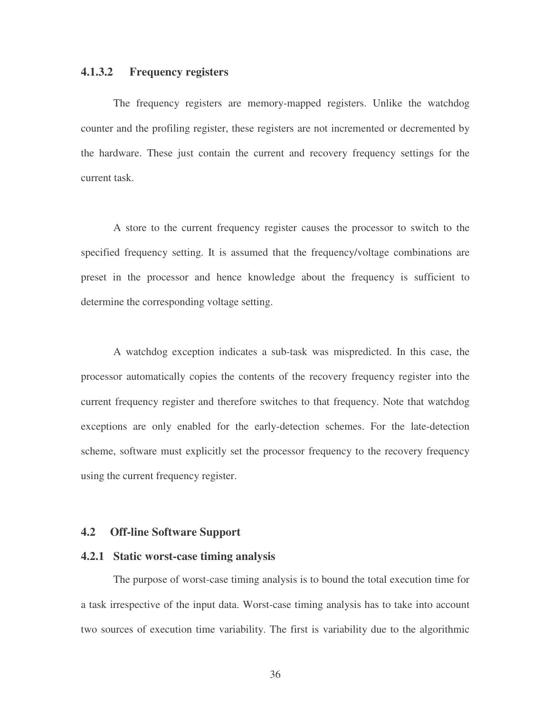### **4.1.3.2 Frequency registers**

The frequency registers are memory-mapped registers. Unlike the watchdog counter and the profiling register, these registers are not incremented or decremented by the hardware. These just contain the current and recovery frequency settings for the current task.

A store to the current frequency register causes the processor to switch to the specified frequency setting. It is assumed that the frequency/voltage combinations are preset in the processor and hence knowledge about the frequency is sufficient to determine the corresponding voltage setting.

A watchdog exception indicates a sub-task was mispredicted. In this case, the processor automatically copies the contents of the recovery frequency register into the current frequency register and therefore switches to that frequency. Note that watchdog exceptions are only enabled for the early-detection schemes. For the late-detection scheme, software must explicitly set the processor frequency to the recovery frequency using the current frequency register.

### **4.2 Off-line Software Support**

#### **4.2.1 Static worst-case timing analysis**

The purpose of worst-case timing analysis is to bound the total execution time for a task irrespective of the input data. Worst-case timing analysis has to take into account two sources of execution time variability. The first is variability due to the algorithmic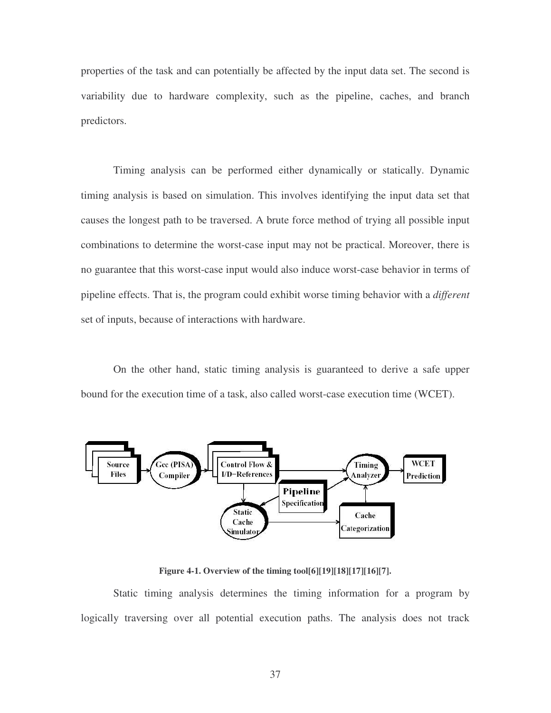properties of the task and can potentially be affected by the input data set. The second is variability due to hardware complexity, such as the pipeline, caches, and branch predictors.

Timing analysis can be performed either dynamically or statically. Dynamic timing analysis is based on simulation. This involves identifying the input data set that causes the longest path to be traversed. A brute force method of trying all possible input combinations to determine the worst-case input may not be practical. Moreover, there is no guarantee that this worst-case input would also induce worst-case behavior in terms of pipeline effects. That is, the program could exhibit worse timing behavior with a *different* set of inputs, because of interactions with hardware.

On the other hand, static timing analysis is guaranteed to derive a safe upper bound for the execution time of a task, also called worst-case execution time (WCET).



**Figure 4-1. Overview of the timing tool[6][19][18][17][16][7].**

Static timing analysis determines the timing information for a program by logically traversing over all potential execution paths. The analysis does not track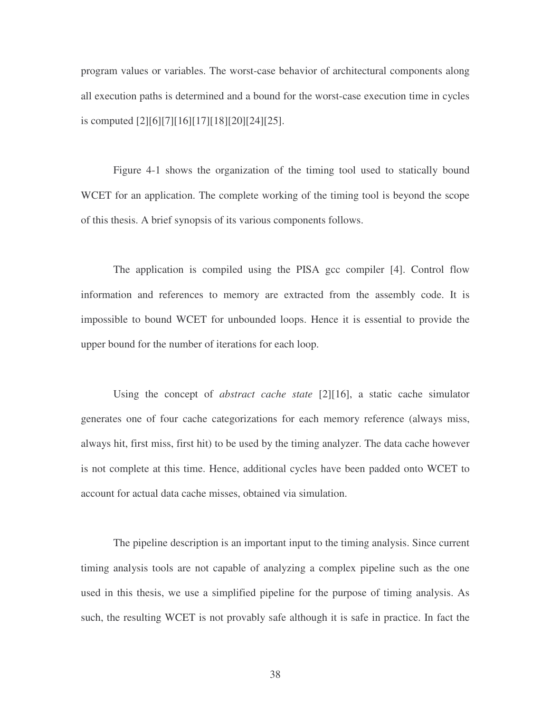program values or variables. The worst-case behavior of architectural components along all execution paths is determined and a bound for the worst-case execution time in cycles is computed [2][6][7][16][17][18][20][24][25].

Figure 4-1 shows the organization of the timing tool used to statically bound WCET for an application. The complete working of the timing tool is beyond the scope of this thesis. A brief synopsis of its various components follows.

The application is compiled using the PISA gcc compiler [4]. Control flow information and references to memory are extracted from the assembly code. It is impossible to bound WCET for unbounded loops. Hence it is essential to provide the upper bound for the number of iterations for each loop.

Using the concept of *abstract cache state* [2][16], a static cache simulator generates one of four cache categorizations for each memory reference (always miss, always hit, first miss, first hit) to be used by the timing analyzer. The data cache however is not complete at this time. Hence, additional cycles have been padded onto WCET to account for actual data cache misses, obtained via simulation.

The pipeline description is an important input to the timing analysis. Since current timing analysis tools are not capable of analyzing a complex pipeline such as the one used in this thesis, we use a simplified pipeline for the purpose of timing analysis. As such, the resulting WCET is not provably safe although it is safe in practice. In fact the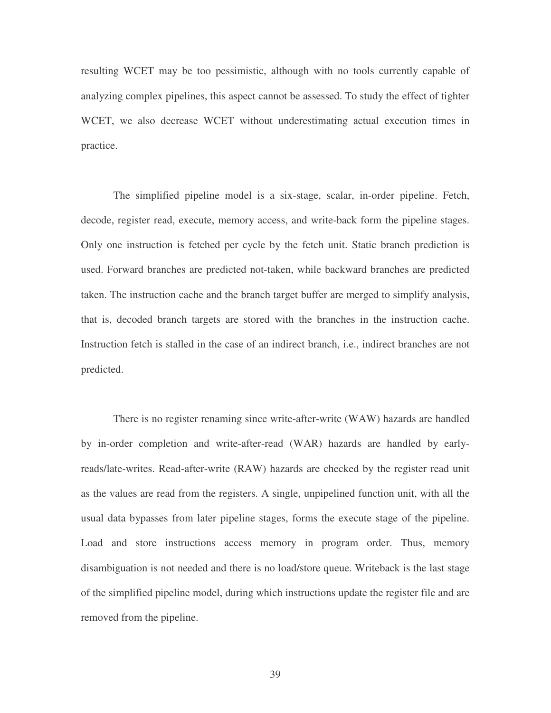resulting WCET may be too pessimistic, although with no tools currently capable of analyzing complex pipelines, this aspect cannot be assessed. To study the effect of tighter WCET, we also decrease WCET without underestimating actual execution times in practice.

The simplified pipeline model is a six-stage, scalar, in-order pipeline. Fetch, decode, register read, execute, memory access, and write-back form the pipeline stages. Only one instruction is fetched per cycle by the fetch unit. Static branch prediction is used. Forward branches are predicted not-taken, while backward branches are predicted taken. The instruction cache and the branch target buffer are merged to simplify analysis, that is, decoded branch targets are stored with the branches in the instruction cache. Instruction fetch is stalled in the case of an indirect branch, i.e., indirect branches are not predicted.

There is no register renaming since write-after-write (WAW) hazards are handled by in-order completion and write-after-read (WAR) hazards are handled by earlyreads/late-writes. Read-after-write (RAW) hazards are checked by the register read unit as the values are read from the registers. A single, unpipelined function unit, with all the usual data bypasses from later pipeline stages, forms the execute stage of the pipeline. Load and store instructions access memory in program order. Thus, memory disambiguation is not needed and there is no load/store queue. Writeback is the last stage of the simplified pipeline model, during which instructions update the register file and are removed from the pipeline.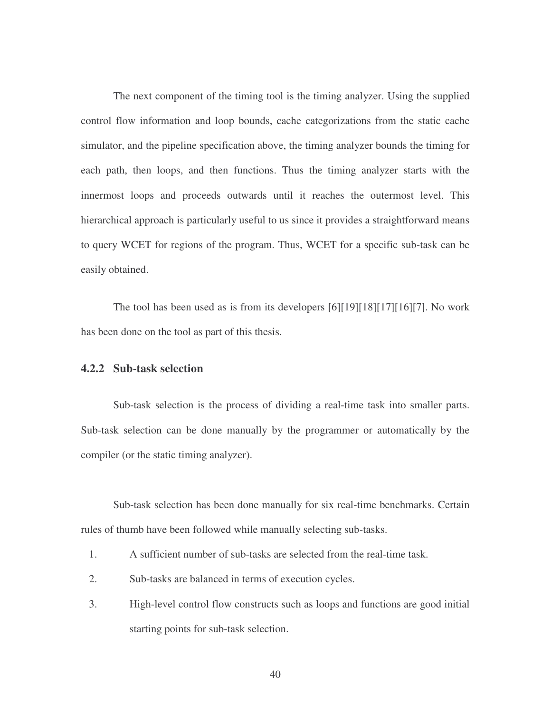The next component of the timing tool is the timing analyzer. Using the supplied control flow information and loop bounds, cache categorizations from the static cache simulator, and the pipeline specification above, the timing analyzer bounds the timing for each path, then loops, and then functions. Thus the timing analyzer starts with the innermost loops and proceeds outwards until it reaches the outermost level. This hierarchical approach is particularly useful to us since it provides a straightforward means to query WCET for regions of the program. Thus, WCET for a specific sub-task can be easily obtained.

The tool has been used as is from its developers [6][19][18][17][16][7]. No work has been done on the tool as part of this thesis.

### **4.2.2 Sub-task selection**

Sub-task selection is the process of dividing a real-time task into smaller parts. Sub-task selection can be done manually by the programmer or automatically by the compiler (or the static timing analyzer).

Sub-task selection has been done manually for six real-time benchmarks. Certain rules of thumb have been followed while manually selecting sub-tasks.

- 1. A sufficient number of sub-tasks are selected from the real-time task.
- 2. Sub-tasks are balanced in terms of execution cycles.
- 3. High-level control flow constructs such as loops and functions are good initial starting points for sub-task selection.

40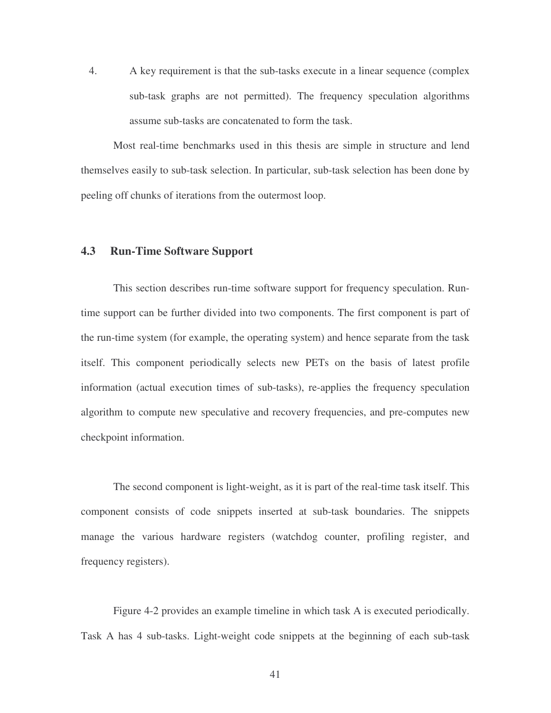4. A key requirement is that the sub-tasks execute in a linear sequence (complex sub-task graphs are not permitted). The frequency speculation algorithms assume sub-tasks are concatenated to form the task.

Most real-time benchmarks used in this thesis are simple in structure and lend themselves easily to sub-task selection. In particular, sub-task selection has been done by peeling off chunks of iterations from the outermost loop.

### **4.3 Run-Time Software Support**

This section describes run-time software support for frequency speculation. Runtime support can be further divided into two components. The first component is part of the run-time system (for example, the operating system) and hence separate from the task itself. This component periodically selects new PETs on the basis of latest profile information (actual execution times of sub-tasks), re-applies the frequency speculation algorithm to compute new speculative and recovery frequencies, and pre-computes new checkpoint information.

The second component is light-weight, as it is part of the real-time task itself. This component consists of code snippets inserted at sub-task boundaries. The snippets manage the various hardware registers (watchdog counter, profiling register, and frequency registers).

Figure 4-2 provides an example timeline in which task A is executed periodically. Task A has 4 sub-tasks. Light-weight code snippets at the beginning of each sub-task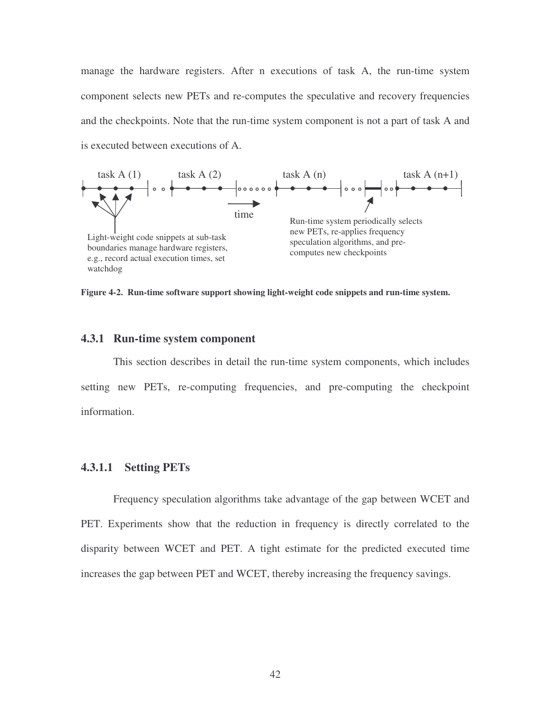manage the hardware registers. After n executions of task A, the run-time system component selects new PETs and re-computes the speculative and recovery frequencies and the checkpoints. Note that the run-time system component is not a part of task A and is executed between executions of A.



**Figure 4-2. Run-time software support showing light-weight code snippets and run-time system.**

### **4.3.1 Run-time system component**

This section describes in detail the run-time system components, which includes setting new PETs, re-computing frequencies, and pre-computing the checkpoint information.

### **4.3.1.1 Setting PETs**

Frequency speculation algorithms take advantage of the gap between WCET and PET. Experiments show that the reduction in frequency is directly correlated to the disparity between WCET and PET. A tight estimate for the predicted executed time increases the gap between PET and WCET, thereby increasing the frequency savings.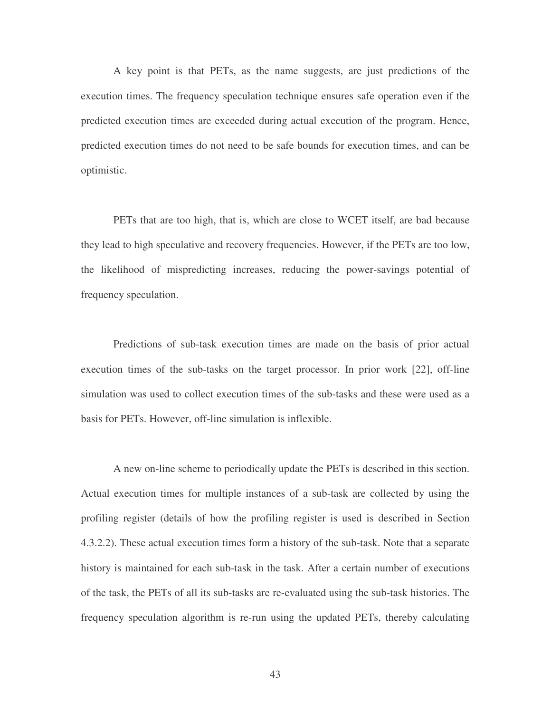A key point is that PETs, as the name suggests, are just predictions of the execution times. The frequency speculation technique ensures safe operation even if the predicted execution times are exceeded during actual execution of the program. Hence, predicted execution times do not need to be safe bounds for execution times, and can be optimistic.

PETs that are too high, that is, which are close to WCET itself, are bad because they lead to high speculative and recovery frequencies. However, if the PETs are too low, the likelihood of mispredicting increases, reducing the power-savings potential of frequency speculation.

Predictions of sub-task execution times are made on the basis of prior actual execution times of the sub-tasks on the target processor. In prior work [22], off-line simulation was used to collect execution times of the sub-tasks and these were used as a basis for PETs. However, off-line simulation is inflexible.

A new on-line scheme to periodically update the PETs is described in this section. Actual execution times for multiple instances of a sub-task are collected by using the profiling register (details of how the profiling register is used is described in Section 4.3.2.2). These actual execution times form a history of the sub-task. Note that a separate history is maintained for each sub-task in the task. After a certain number of executions of the task, the PETs of all its sub-tasks are re-evaluated using the sub-task histories. The frequency speculation algorithm is re-run using the updated PETs, thereby calculating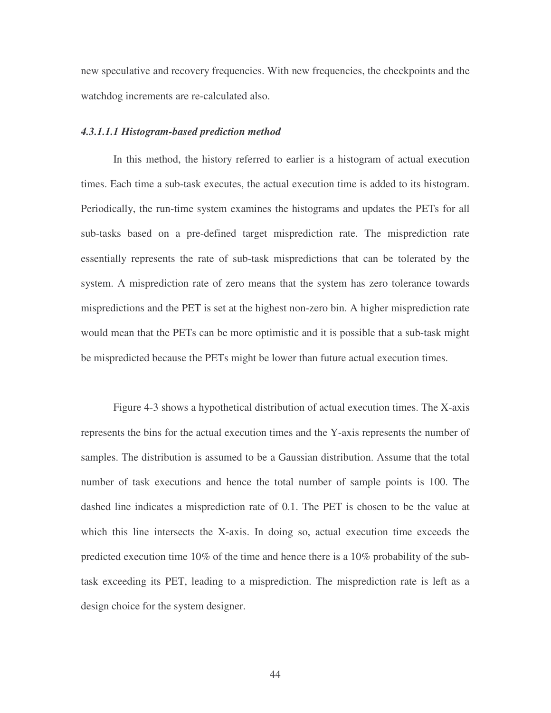new speculative and recovery frequencies. With new frequencies, the checkpoints and the watchdog increments are re-calculated also.

#### *4.3.1.1.1 Histogram-based prediction method*

In this method, the history referred to earlier is a histogram of actual execution times. Each time a sub-task executes, the actual execution time is added to its histogram. Periodically, the run-time system examines the histograms and updates the PETs for all sub-tasks based on a pre-defined target misprediction rate. The misprediction rate essentially represents the rate of sub-task mispredictions that can be tolerated by the system. A misprediction rate of zero means that the system has zero tolerance towards mispredictions and the PET is set at the highest non-zero bin. A higher misprediction rate would mean that the PETs can be more optimistic and it is possible that a sub-task might be mispredicted because the PETs might be lower than future actual execution times.

Figure 4-3 shows a hypothetical distribution of actual execution times. The X-axis represents the bins for the actual execution times and the Y-axis represents the number of samples. The distribution is assumed to be a Gaussian distribution. Assume that the total number of task executions and hence the total number of sample points is 100. The dashed line indicates a misprediction rate of 0.1. The PET is chosen to be the value at which this line intersects the X-axis. In doing so, actual execution time exceeds the predicted execution time 10% of the time and hence there is a 10% probability of the subtask exceeding its PET, leading to a misprediction. The misprediction rate is left as a design choice for the system designer.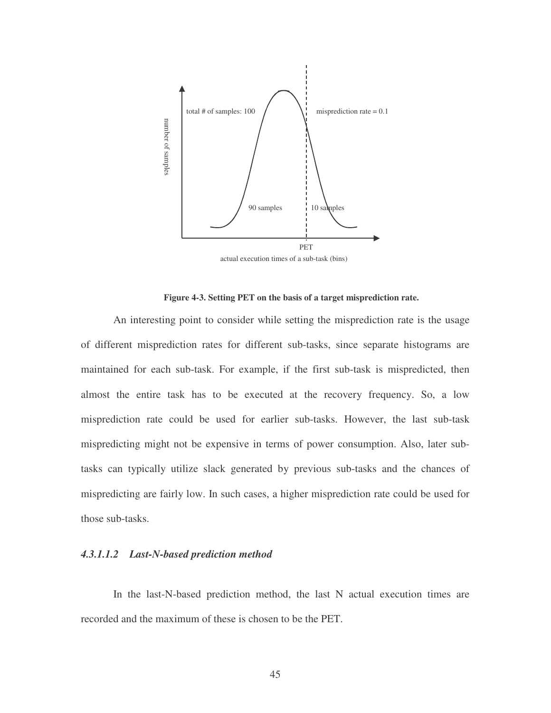

actual execution times of a sub-task (bins)

**Figure 4-3. Setting PET on the basis of a target misprediction rate.**

An interesting point to consider while setting the misprediction rate is the usage of different misprediction rates for different sub-tasks, since separate histograms are maintained for each sub-task. For example, if the first sub-task is mispredicted, then almost the entire task has to be executed at the recovery frequency. So, a low misprediction rate could be used for earlier sub-tasks. However, the last sub-task mispredicting might not be expensive in terms of power consumption. Also, later subtasks can typically utilize slack generated by previous sub-tasks and the chances of mispredicting are fairly low. In such cases, a higher misprediction rate could be used for those sub-tasks.

#### *4.3.1.1.2 Last-N-based prediction method*

In the last-N-based prediction method, the last N actual execution times are recorded and the maximum of these is chosen to be the PET.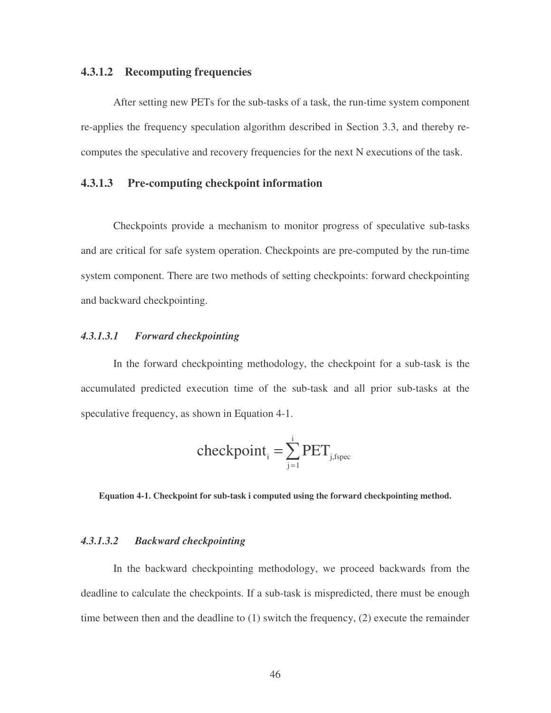### **4.3.1.2 Recomputing frequencies**

After setting new PETs for the sub-tasks of a task, the run-time system component re-applies the frequency speculation algorithm described in Section 3.3, and thereby recomputes the speculative and recovery frequencies for the next N executions of the task.

### **4.3.1.3 Pre-computing checkpoint information**

Checkpoints provide a mechanism to monitor progress of speculative sub-tasks and are critical for safe system operation. Checkpoints are pre-computed by the run-time system component. There are two methods of setting checkpoints: forward checkpointing and backward checkpointing.

### *4.3.1.3.1 Forward checkpointing*

In the forward checkpointing methodology, the checkpoint for a sub-task is the accumulated predicted execution time of the sub-task and all prior sub-tasks at the speculative frequency, as shown in Equation 4-1.

$$
\text{checkpoint}_{i} = \sum_{j=1}^{i} \text{PET}_{j,\text{fspec}}
$$

**Equation 4-1. Checkpoint for sub-task i computed using the forward checkpointing method.**

#### *4.3.1.3.2 Backward checkpointing*

In the backward checkpointing methodology, we proceed backwards from the deadline to calculate the checkpoints. If a sub-task is mispredicted, there must be enough time between then and the deadline to (1) switch the frequency, (2) execute the remainder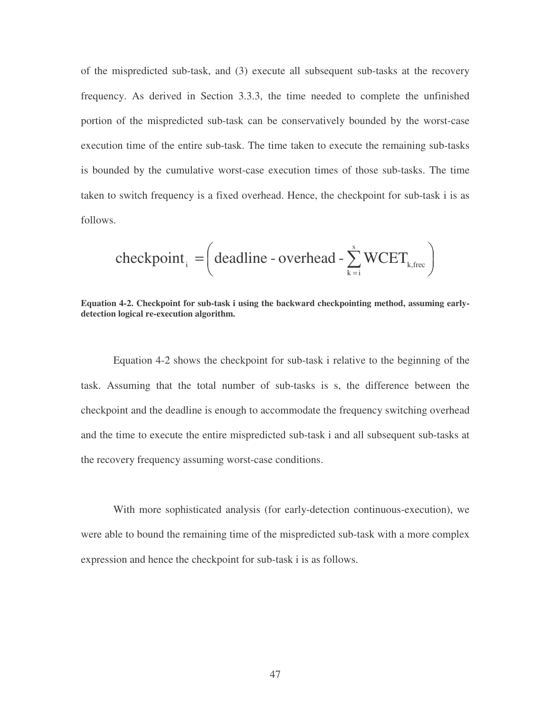of the mispredicted sub-task, and (3) execute all subsequent sub-tasks at the recovery frequency. As derived in Section 3.3.3, the time needed to complete the unfinished portion of the mispredicted sub-task can be conservatively bounded by the worst-case execution time of the entire sub-task. The time taken to execute the remaining sub-tasks is bounded by the cumulative worst-case execution times of those sub-tasks. The time taken to switch frequency is a fixed overhead. Hence, the checkpoint for sub-task i is as follows.

$$
checkpoint_i = \left( deadline - overhead - \sum_{k=i}^{s} WCEPT_{k,free} \right)
$$

**Equation 4-2. Checkpoint for sub-task i using the backward checkpointing method, assuming earlydetection logical re-execution algorithm.**

Equation 4-2 shows the checkpoint for sub-task i relative to the beginning of the task. Assuming that the total number of sub-tasks is s, the difference between the checkpoint and the deadline is enough to accommodate the frequency switching overhead and the time to execute the entire mispredicted sub-task i and all subsequent sub-tasks at the recovery frequency assuming worst-case conditions.

With more sophisticated analysis (for early-detection continuous-execution), we were able to bound the remaining time of the mispredicted sub-task with a more complex expression and hence the checkpoint for sub-task i is as follows.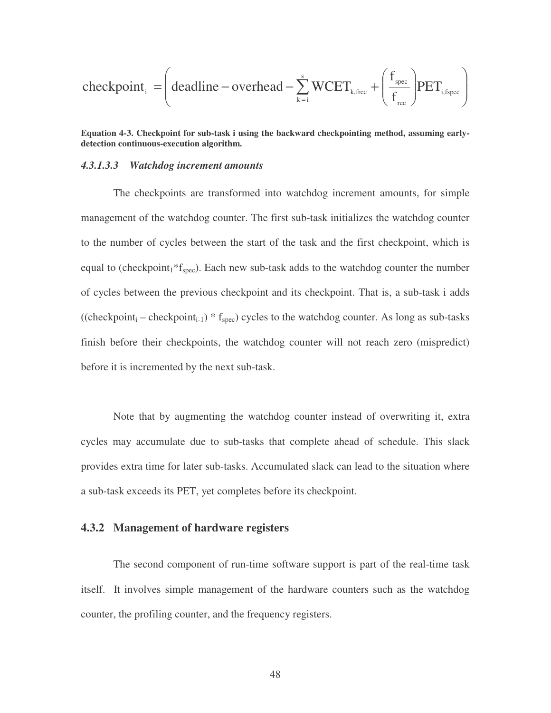$$
\text{checkpoint}_{i} = \left(\text{deadline} - \text{overhead} - \sum_{k=i}^{s} WCEPT_{k,\text{free}} + \left(\frac{f_{\text{spec}}}{f_{\text{rec}}}\right) PET_{i,\text{fspec}}\right)
$$

**Equation 4-3. Checkpoint for sub-task i using the backward checkpointing method, assuming earlydetection continuous-execution algorithm.**

#### *4.3.1.3.3 Watchdog increment amounts*

The checkpoints are transformed into watchdog increment amounts, for simple management of the watchdog counter. The first sub-task initializes the watchdog counter to the number of cycles between the start of the task and the first checkpoint, which is equal to (checkpoint $1*f_{spec}$ ). Each new sub-task adds to the watchdog counter the number of cycles between the previous checkpoint and its checkpoint. That is, a sub-task i adds ((checkpoint<sub>i</sub> – checkpoint<sub>i-1</sub>) \*  $f_{\text{spec}}$ ) cycles to the watchdog counter. As long as sub-tasks finish before their checkpoints, the watchdog counter will not reach zero (mispredict) before it is incremented by the next sub-task.

Note that by augmenting the watchdog counter instead of overwriting it, extra cycles may accumulate due to sub-tasks that complete ahead of schedule. This slack provides extra time for later sub-tasks. Accumulated slack can lead to the situation where a sub-task exceeds its PET, yet completes before its checkpoint.

#### **4.3.2 Management of hardware registers**

The second component of run-time software support is part of the real-time task itself. It involves simple management of the hardware counters such as the watchdog counter, the profiling counter, and the frequency registers.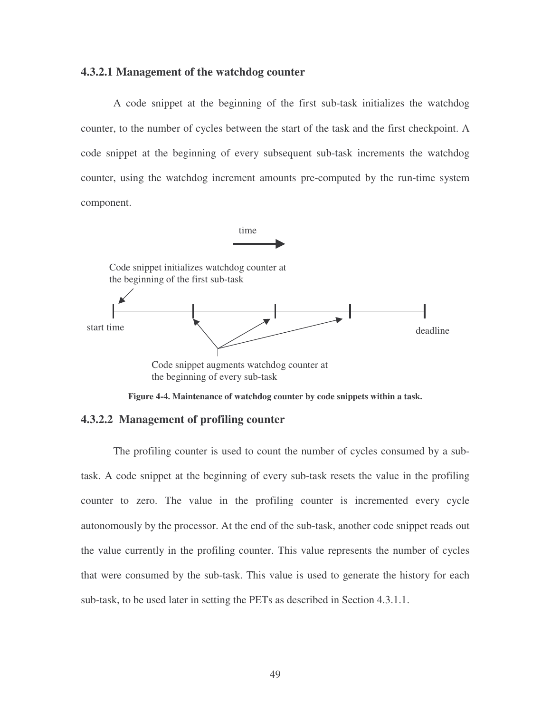#### **4.3.2.1 Management of the watchdog counter**

A code snippet at the beginning of the first sub-task initializes the watchdog counter, to the number of cycles between the start of the task and the first checkpoint. A code snippet at the beginning of every subsequent sub-task increments the watchdog counter, using the watchdog increment amounts pre-computed by the run-time system component.



**Figure 4-4. Maintenance of watchdog counter by code snippets within a task.**

#### **4.3.2.2 Management of profiling counter**

The profiling counter is used to count the number of cycles consumed by a subtask. A code snippet at the beginning of every sub-task resets the value in the profiling counter to zero. The value in the profiling counter is incremented every cycle autonomously by the processor. At the end of the sub-task, another code snippet reads out the value currently in the profiling counter. This value represents the number of cycles that were consumed by the sub-task. This value is used to generate the history for each sub-task, to be used later in setting the PETs as described in Section 4.3.1.1.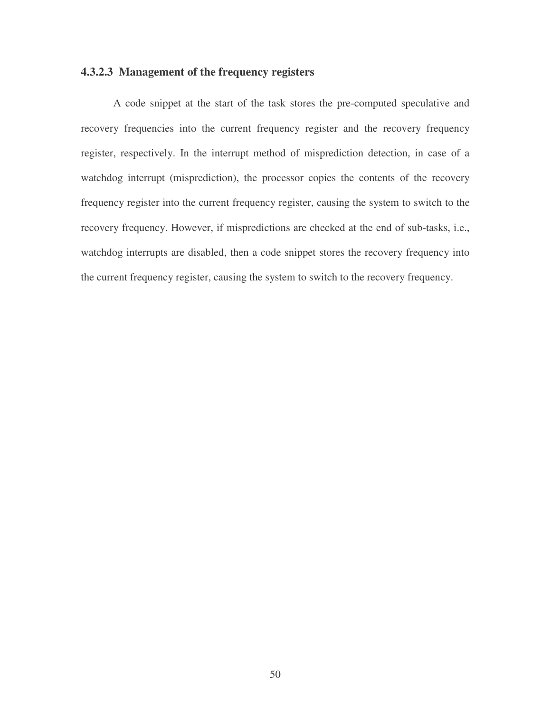## **4.3.2.3 Management of the frequency registers**

A code snippet at the start of the task stores the pre-computed speculative and recovery frequencies into the current frequency register and the recovery frequency register, respectively. In the interrupt method of misprediction detection, in case of a watchdog interrupt (misprediction), the processor copies the contents of the recovery frequency register into the current frequency register, causing the system to switch to the recovery frequency. However, if mispredictions are checked at the end of sub-tasks, i.e., watchdog interrupts are disabled, then a code snippet stores the recovery frequency into the current frequency register, causing the system to switch to the recovery frequency.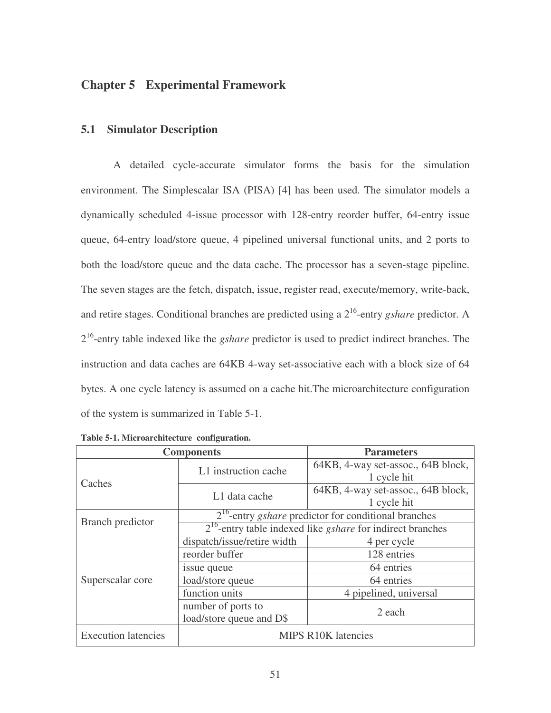# **Chapter 5 Experimental Framework**

### **5.1 Simulator Description**

A detailed cycle-accurate simulator forms the basis for the simulation environment. The Simplescalar ISA (PISA) [4] has been used. The simulator models a dynamically scheduled 4-issue processor with 128-entry reorder buffer, 64-entry issue queue, 64-entry load/store queue, 4 pipelined universal functional units, and 2 ports to both the load/store queue and the data cache. The processor has a seven-stage pipeline. The seven stages are the fetch, dispatch, issue, register read, execute/memory, write-back, and retire stages. Conditional branches are predicted using a 2 16 -entry *gshare* predictor. A 2<sup>16</sup>-entry table indexed like the *gshare* predictor is used to predict indirect branches. The instruction and data caches are 64KB 4-way set-associative each with a block size of 64 bytes. A one cycle latency is assumed on a cache hit.The microarchitecture configuration of the system is summarized in Table 5-1.

|                            | <b>Components</b>                                                                                                                                                                                                                                                                                                                                  | <b>Parameters</b>                                 |  |  |  |
|----------------------------|----------------------------------------------------------------------------------------------------------------------------------------------------------------------------------------------------------------------------------------------------------------------------------------------------------------------------------------------------|---------------------------------------------------|--|--|--|
| Caches                     | L1 instruction cache                                                                                                                                                                                                                                                                                                                               | 64KB, 4-way set-assoc., 64B block,<br>1 cycle hit |  |  |  |
|                            | L1 data cache<br>1 cycle hit<br>$2^{16}$ -entry <i>gshare</i> predictor for conditional branches<br>dispatch/issue/retire width<br>4 per cycle                                                                                                                                                                                                     |                                                   |  |  |  |
|                            | 64KB, 4-way set-assoc., 64B block,<br>$2^{16}$ -entry table indexed like <i>gshare</i> for indirect branches<br>reorder buffer<br>128 entries<br>64 entries<br>issue queue<br>load/store queue<br>64 entries<br>function units<br>4 pipelined, universal<br>number of ports to<br>2 each<br>load/store queue and D\$<br><b>MIPS R10K latencies</b> |                                                   |  |  |  |
| <b>Branch</b> predictor    |                                                                                                                                                                                                                                                                                                                                                    |                                                   |  |  |  |
|                            |                                                                                                                                                                                                                                                                                                                                                    |                                                   |  |  |  |
|                            |                                                                                                                                                                                                                                                                                                                                                    |                                                   |  |  |  |
|                            |                                                                                                                                                                                                                                                                                                                                                    |                                                   |  |  |  |
| Superscalar core           |                                                                                                                                                                                                                                                                                                                                                    |                                                   |  |  |  |
|                            |                                                                                                                                                                                                                                                                                                                                                    |                                                   |  |  |  |
|                            |                                                                                                                                                                                                                                                                                                                                                    |                                                   |  |  |  |
| <b>Execution latencies</b> |                                                                                                                                                                                                                                                                                                                                                    |                                                   |  |  |  |

**Table 5-1. Microarchitecture configuration.**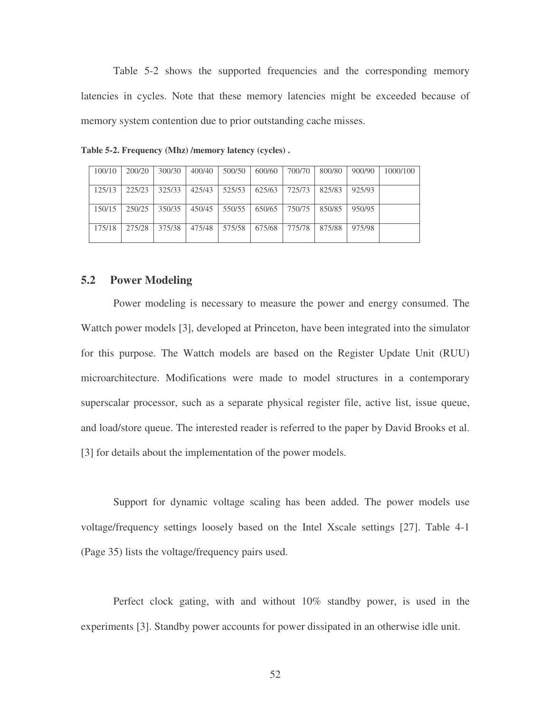Table 5-2 shows the supported frequencies and the corresponding memory latencies in cycles. Note that these memory latencies might be exceeded because of memory system contention due to prior outstanding cache misses.

| 100/10 | 200/20 | 300/30 | 400/40 | 500/50 | 600/60 | 700/70   | 800/80 | 900/90 | 1000/100 |
|--------|--------|--------|--------|--------|--------|----------|--------|--------|----------|
| 125/13 | 225/23 | 325/33 | 425/43 | 525/53 | 625/63 | 725/73   | 825/83 | 925/93 |          |
| 150/15 | 250/25 | 350/35 | 450/45 | 550/55 | 650/65 | 750/75   | 850/85 | 950/95 |          |
| 175/18 | 275/28 | 375/38 | 475/48 | 575/58 | 675/68 | 775/78 L | 875/88 | 975/98 |          |

**Table 5-2. Frequency (Mhz) /memory latency (cycles) .**

### **5.2 Power Modeling**

Power modeling is necessary to measure the power and energy consumed. The Wattch power models [3], developed at Princeton, have been integrated into the simulator for this purpose. The Wattch models are based on the Register Update Unit (RUU) microarchitecture. Modifications were made to model structures in a contemporary superscalar processor, such as a separate physical register file, active list, issue queue, and load/store queue. The interested reader is referred to the paper by David Brooks et al. [3] for details about the implementation of the power models.

Support for dynamic voltage scaling has been added. The power models use voltage/frequency settings loosely based on the Intel Xscale settings [27]. Table 4-1 (Page 35) lists the voltage/frequency pairs used.

Perfect clock gating, with and without 10% standby power, is used in the experiments [3]. Standby power accounts for power dissipated in an otherwise idle unit.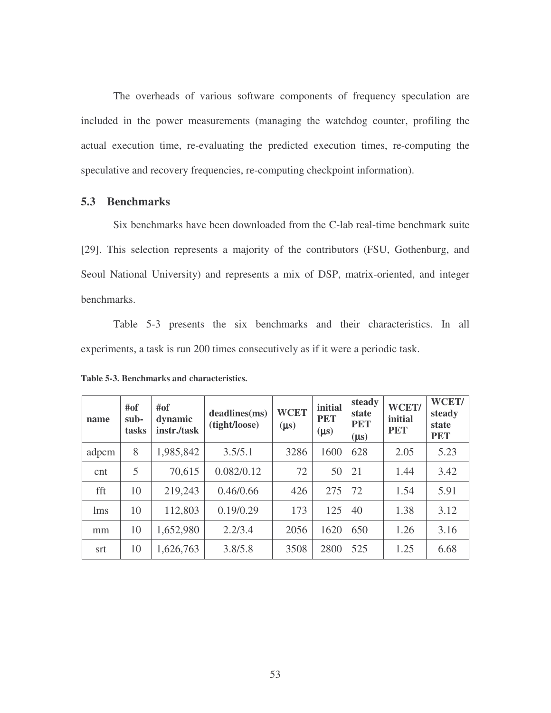The overheads of various software components of frequency speculation are included in the power measurements (managing the watchdog counter, profiling the actual execution time, re-evaluating the predicted execution times, re-computing the speculative and recovery frequencies, re-computing checkpoint information).

### **5.3 Benchmarks**

Six benchmarks have been downloaded from the C-lab real-time benchmark suite [29]. This selection represents a majority of the contributors (FSU, Gothenburg, and Seoul National University) and represents a mix of DSP, matrix-oriented, and integer benchmarks.

Table 5-3 presents the six benchmarks and their characteristics. In all experiments, a task is run 200 times consecutively as if it were a periodic task.

| name  | #of<br>#of<br>sub-<br>dynamic<br>instr./task<br>tasks |                      | deadlines(ms)<br>(tight/loose) | <b>WCET</b><br>$(\mu s)$ | initial<br><b>PET</b><br>$(\mu s)$ | steady<br>state<br><b>PET</b><br>$(\mu s)$ | WCET/<br>initial<br><b>PET</b> | WCET/<br>steady<br>state<br><b>PET</b> |
|-------|-------------------------------------------------------|----------------------|--------------------------------|--------------------------|------------------------------------|--------------------------------------------|--------------------------------|----------------------------------------|
| adpcm | 8                                                     | 1,985,842<br>3.5/5.1 |                                | 3286                     | 1600                               | 628                                        | 2.05                           | 5.23                                   |
| cnt   | 70,615<br>5                                           |                      | 0.082/0.12                     | 72                       | 50                                 | 21                                         | 1.44                           | 3.42                                   |
| fft   | 219,243<br>10                                         |                      | 0.46/0.66                      | 426                      | 275                                | 72                                         | 1.54                           | 5.91                                   |
| lms   | 10                                                    | 112,803              | 0.19/0.29                      | 173                      | 125                                | 40                                         | 1.38                           | 3.12                                   |
| mm    | 10                                                    | 1,652,980            | 2.2/3.4                        | 2056                     | 1620                               | 650                                        | 1.26                           | 3.16                                   |
| srt   | 10                                                    | 1,626,763            | 3.8/5.8                        | 3508                     | 2800                               | 525                                        | 1.25                           | 6.68                                   |

**Table 5-3. Benchmarks and characteristics.**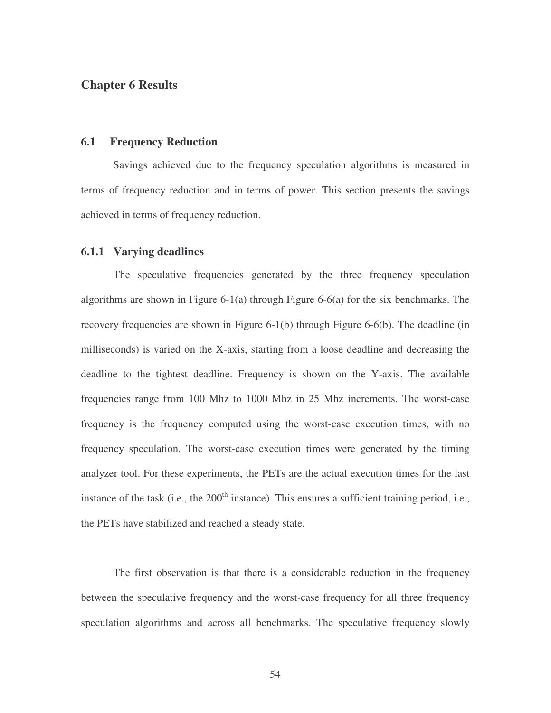# **Chapter 6 Results**

### **6.1 Frequency Reduction**

Savings achieved due to the frequency speculation algorithms is measured in terms of frequency reduction and in terms of power. This section presents the savings achieved in terms of frequency reduction.

#### **6.1.1 Varying deadlines**

The speculative frequencies generated by the three frequency speculation algorithms are shown in Figure 6-1(a) through Figure 6-6(a) for the six benchmarks. The recovery frequencies are shown in Figure 6-1(b) through Figure 6-6(b). The deadline (in milliseconds) is varied on the X-axis, starting from a loose deadline and decreasing the deadline to the tightest deadline. Frequency is shown on the Y-axis. The available frequencies range from 100 Mhz to 1000 Mhz in 25 Mhz increments. The worst-case frequency is the frequency computed using the worst-case execution times, with no frequency speculation. The worst-case execution times were generated by the timing analyzer tool. For these experiments, the PETs are the actual execution times for the last instance of the task (i.e., the  $200<sup>th</sup>$  instance). This ensures a sufficient training period, i.e., the PETs have stabilized and reached a steady state.

The first observation is that there is a considerable reduction in the frequency between the speculative frequency and the worst-case frequency for all three frequency speculation algorithms and across all benchmarks. The speculative frequency slowly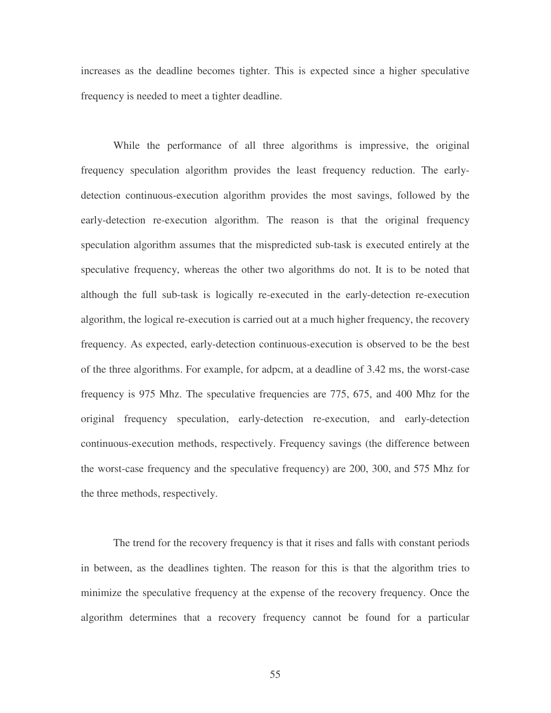increases as the deadline becomes tighter. This is expected since a higher speculative frequency is needed to meet a tighter deadline.

While the performance of all three algorithms is impressive, the original frequency speculation algorithm provides the least frequency reduction. The earlydetection continuous-execution algorithm provides the most savings, followed by the early-detection re-execution algorithm. The reason is that the original frequency speculation algorithm assumes that the mispredicted sub-task is executed entirely at the speculative frequency, whereas the other two algorithms do not. It is to be noted that although the full sub-task is logically re-executed in the early-detection re-execution algorithm, the logical re-execution is carried out at a much higher frequency, the recovery frequency. As expected, early-detection continuous-execution is observed to be the best of the three algorithms. For example, for adpcm, at a deadline of 3.42 ms, the worst-case frequency is 975 Mhz. The speculative frequencies are 775, 675, and 400 Mhz for the original frequency speculation, early-detection re-execution, and early-detection continuous-execution methods, respectively. Frequency savings (the difference between the worst-case frequency and the speculative frequency) are 200, 300, and 575 Mhz for the three methods, respectively.

The trend for the recovery frequency is that it rises and falls with constant periods in between, as the deadlines tighten. The reason for this is that the algorithm tries to minimize the speculative frequency at the expense of the recovery frequency. Once the algorithm determines that a recovery frequency cannot be found for a particular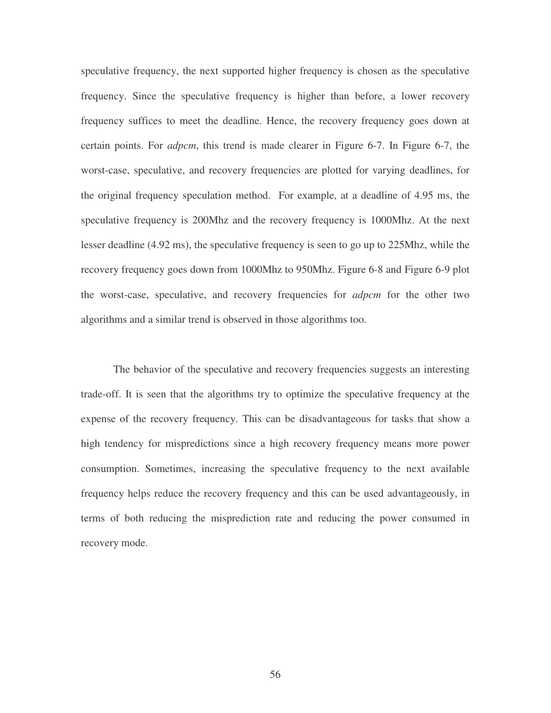speculative frequency, the next supported higher frequency is chosen as the speculative frequency. Since the speculative frequency is higher than before, a lower recovery frequency suffices to meet the deadline. Hence, the recovery frequency goes down at certain points. For *adpcm*, this trend is made clearer in Figure 6-7. In Figure 6-7, the worst-case, speculative, and recovery frequencies are plotted for varying deadlines, for the original frequency speculation method. For example, at a deadline of 4.95 ms, the speculative frequency is 200Mhz and the recovery frequency is 1000Mhz. At the next lesser deadline (4.92 ms), the speculative frequency is seen to go up to 225Mhz, while the recovery frequency goes down from 1000Mhz to 950Mhz. Figure 6-8 and Figure 6-9 plot the worst-case, speculative, and recovery frequencies for *adpcm* for the other two algorithms and a similar trend is observed in those algorithms too.

The behavior of the speculative and recovery frequencies suggests an interesting trade-off. It is seen that the algorithms try to optimize the speculative frequency at the expense of the recovery frequency. This can be disadvantageous for tasks that show a high tendency for mispredictions since a high recovery frequency means more power consumption. Sometimes, increasing the speculative frequency to the next available frequency helps reduce the recovery frequency and this can be used advantageously, in terms of both reducing the misprediction rate and reducing the power consumed in recovery mode.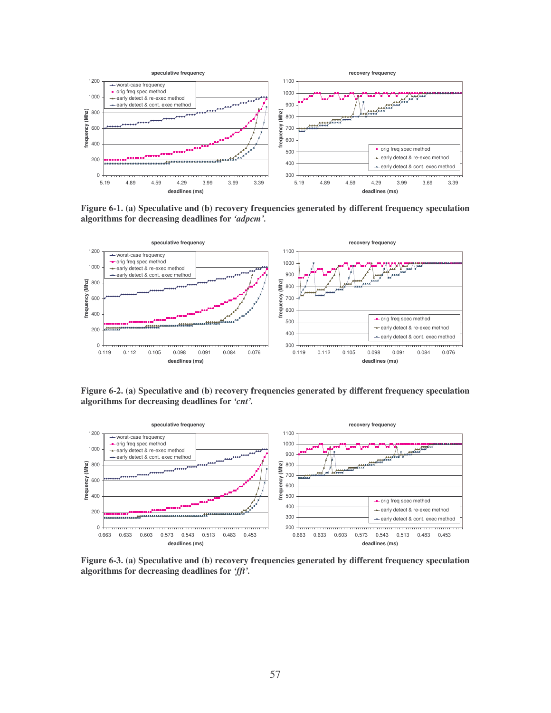

**Figure 6-1. (a) Speculative and (b) recovery frequencies generated by different frequency speculation algorithms for decreasing deadlines for** *'adpcm'.*



**Figure 6-2. (a) Speculative and (b) recovery frequencies generated by different frequency speculation algorithms for decreasing deadlines for** *'cnt'.*



**Figure 6-3. (a) Speculative and (b) recovery frequencies generated by different frequency speculation algorithms for decreasing deadlines for** *'fft'.*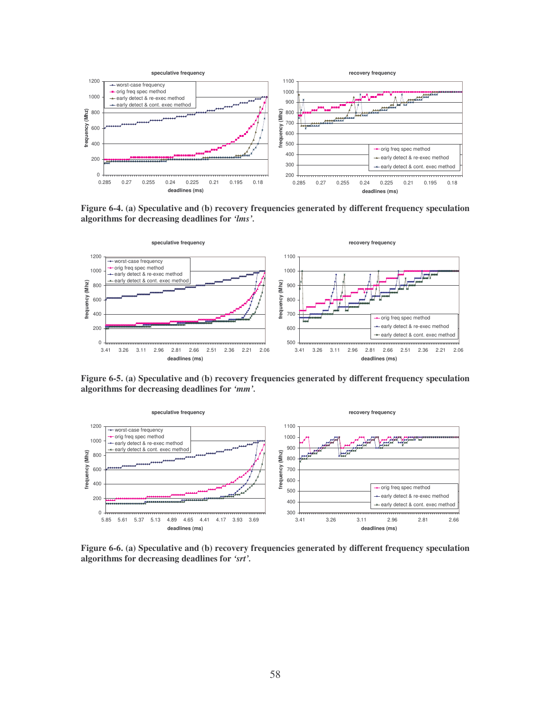

**Figure 6-4. (a) Speculative and (b) recovery frequencies generated by different frequency speculation algorithms for decreasing deadlines for** *'lms'.*



**Figure 6-5. (a) Speculative and (b) recovery frequencies generated by different frequency speculation algorithms for decreasing deadlines for** *'mm'.*



**Figure 6-6. (a) Speculative and (b) recovery frequencies generated by different frequency speculation algorithms for decreasing deadlines for** *'srt'.*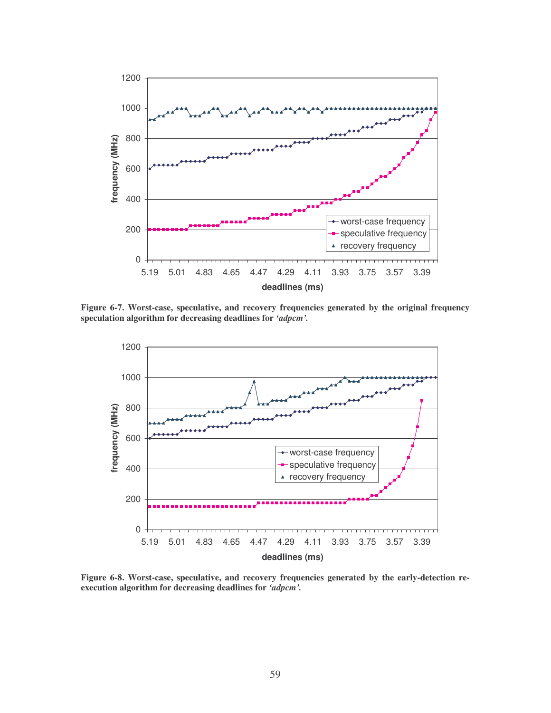

**Figure 6-7. Worst-case, speculative, and recovery frequencies generated by the original frequency speculation algorithm for decreasing deadlines for** *'adpcm'.*



**Figure 6-8. Worst-case, speculative, and recovery frequencies generated by the early-detection reexecution algorithm for decreasing deadlines for** *'adpcm'.*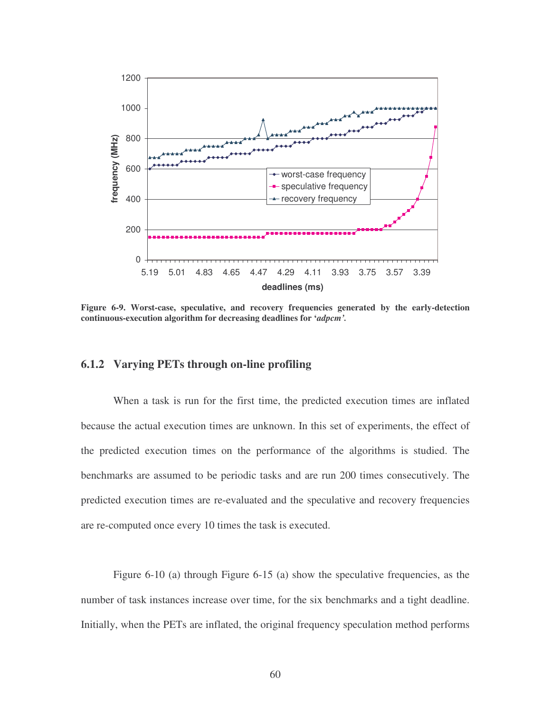

**Figure 6-9. Worst-case, speculative, and recovery frequencies generated by the early-detection continuous-execution algorithm for decreasing deadlines for '***adpcm'.*

#### **6.1.2 Varying PETs through on-line profiling**

When a task is run for the first time, the predicted execution times are inflated because the actual execution times are unknown. In this set of experiments, the effect of the predicted execution times on the performance of the algorithms is studied. The benchmarks are assumed to be periodic tasks and are run 200 times consecutively. The predicted execution times are re-evaluated and the speculative and recovery frequencies are re-computed once every 10 times the task is executed.

Figure 6-10 (a) through Figure 6-15 (a) show the speculative frequencies, as the number of task instances increase over time, for the six benchmarks and a tight deadline. Initially, when the PETs are inflated, the original frequency speculation method performs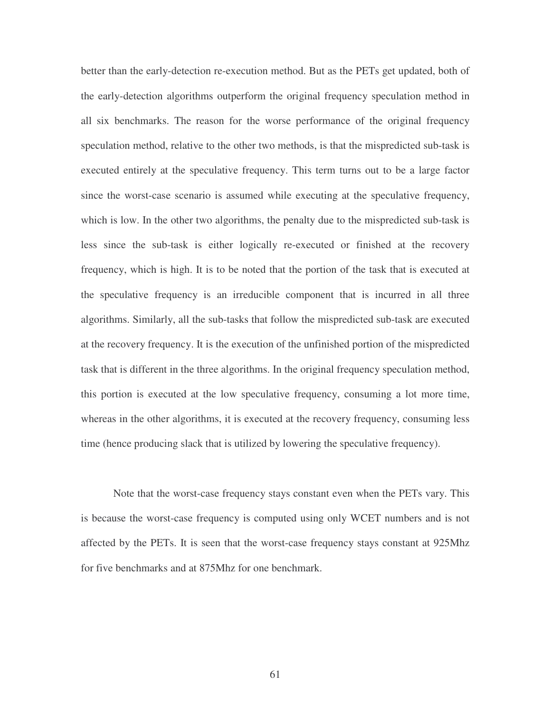better than the early-detection re-execution method. But as the PETs get updated, both of the early-detection algorithms outperform the original frequency speculation method in all six benchmarks. The reason for the worse performance of the original frequency speculation method, relative to the other two methods, is that the mispredicted sub-task is executed entirely at the speculative frequency. This term turns out to be a large factor since the worst-case scenario is assumed while executing at the speculative frequency, which is low. In the other two algorithms, the penalty due to the mispredicted sub-task is less since the sub-task is either logically re-executed or finished at the recovery frequency, which is high. It is to be noted that the portion of the task that is executed at the speculative frequency is an irreducible component that is incurred in all three algorithms. Similarly, all the sub-tasks that follow the mispredicted sub-task are executed at the recovery frequency. It is the execution of the unfinished portion of the mispredicted task that is different in the three algorithms. In the original frequency speculation method, this portion is executed at the low speculative frequency, consuming a lot more time, whereas in the other algorithms, it is executed at the recovery frequency, consuming less time (hence producing slack that is utilized by lowering the speculative frequency).

Note that the worst-case frequency stays constant even when the PETs vary. This is because the worst-case frequency is computed using only WCET numbers and is not affected by the PETs. It is seen that the worst-case frequency stays constant at 925Mhz for five benchmarks and at 875Mhz for one benchmark.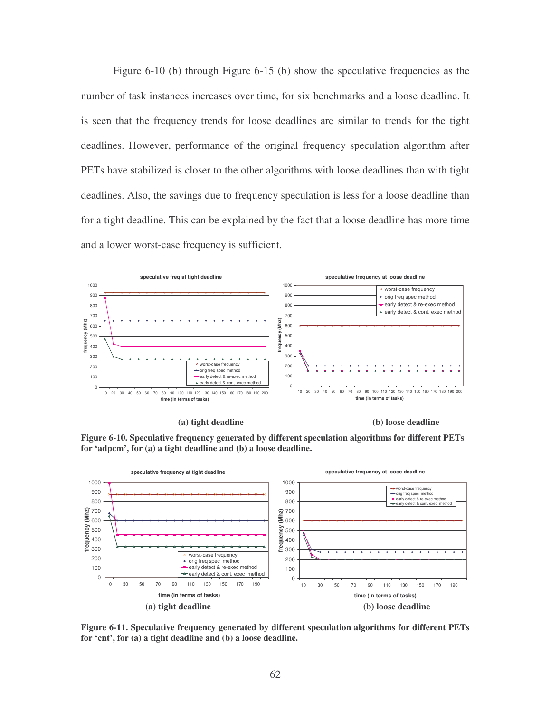Figure 6-10 (b) through Figure 6-15 (b) show the speculative frequencies as the number of task instances increases over time, for six benchmarks and a loose deadline. It is seen that the frequency trends for loose deadlines are similar to trends for the tight deadlines. However, performance of the original frequency speculation algorithm after PETs have stabilized is closer to the other algorithms with loose deadlines than with tight deadlines. Also, the savings due to frequency speculation is less for a loose deadline than for a tight deadline. This can be explained by the fact that a loose deadline has more time and a lower worst-case frequency is sufficient.









**Figure 6-11. Speculative frequency generated by different speculation algorithms for different PETs for 'cnt', for (a) a tight deadline and (b) a loose deadline.**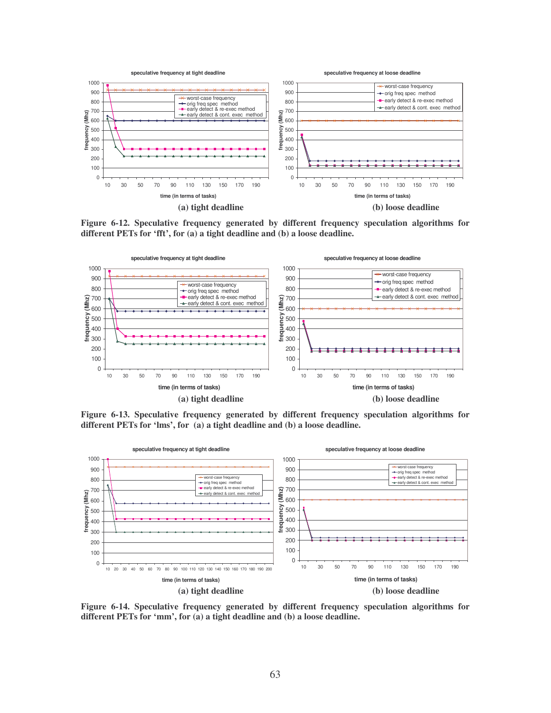

**Figure 6-12. Speculative frequency generated by different frequency speculation algorithms for different PETs for 'fft', for (a) a tight deadline and (b) a loose deadline.**



**Figure 6-13. Speculative frequency generated by different frequency speculation algorithms for different PETs for 'lms', for (a) a tight deadline and (b) a loose deadline.**



**Figure 6-14. Speculative frequency generated by different frequency speculation algorithms for different PETs for 'mm', for (a) a tight deadline and (b) a loose deadline.**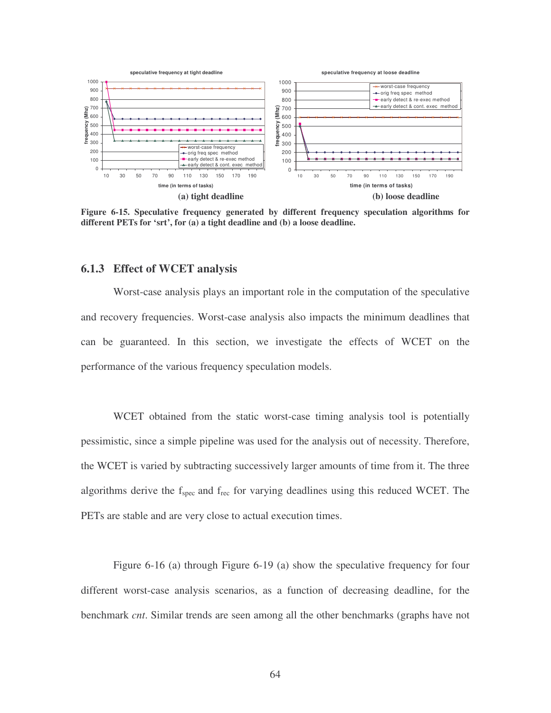

**Figure 6-15. Speculative frequency generated by different frequency speculation algorithms for different PETs for 'srt', for (a) a tight deadline and (b) a loose deadline.**

### **6.1.3 Effect of WCET analysis**

Worst-case analysis plays an important role in the computation of the speculative and recovery frequencies. Worst-case analysis also impacts the minimum deadlines that can be guaranteed. In this section, we investigate the effects of WCET on the performance of the various frequency speculation models.

WCET obtained from the static worst-case timing analysis tool is potentially pessimistic, since a simple pipeline was used for the analysis out of necessity. Therefore, the WCET is varied by subtracting successively larger amounts of time from it. The three algorithms derive the f<sub>spec</sub> and f<sub>rec</sub> for varying deadlines using this reduced WCET. The PETs are stable and are very close to actual execution times.

Figure 6-16 (a) through Figure 6-19 (a) show the speculative frequency for four different worst-case analysis scenarios, as a function of decreasing deadline, for the benchmark *cnt*. Similar trends are seen among all the other benchmarks (graphs have not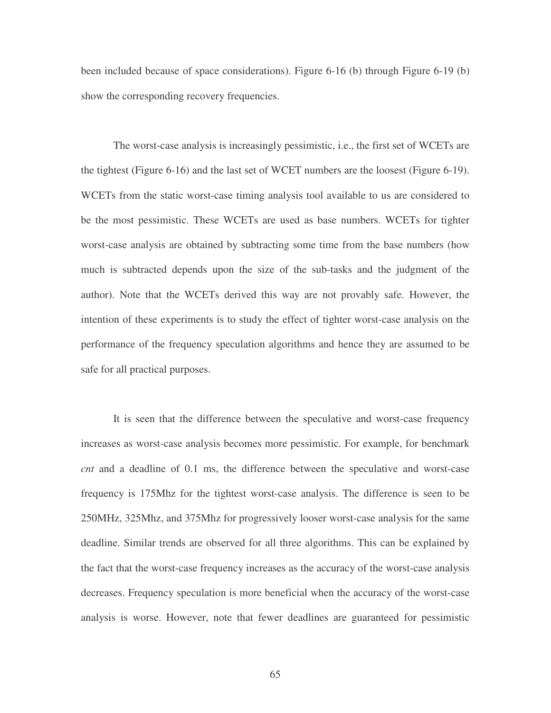been included because of space considerations). Figure 6-16 (b) through Figure 6-19 (b) show the corresponding recovery frequencies.

The worst-case analysis is increasingly pessimistic, i.e., the first set of WCETs are the tightest (Figure 6-16) and the last set of WCET numbers are the loosest (Figure 6-19). WCETs from the static worst-case timing analysis tool available to us are considered to be the most pessimistic. These WCETs are used as base numbers. WCETs for tighter worst-case analysis are obtained by subtracting some time from the base numbers (how much is subtracted depends upon the size of the sub-tasks and the judgment of the author). Note that the WCETs derived this way are not provably safe. However, the intention of these experiments is to study the effect of tighter worst-case analysis on the performance of the frequency speculation algorithms and hence they are assumed to be safe for all practical purposes.

It is seen that the difference between the speculative and worst-case frequency increases as worst-case analysis becomes more pessimistic. For example, for benchmark *cnt* and a deadline of 0.1 ms, the difference between the speculative and worst-case frequency is 175Mhz for the tightest worst-case analysis. The difference is seen to be 250MHz, 325Mhz, and 375Mhz for progressively looser worst-case analysis for the same deadline. Similar trends are observed for all three algorithms. This can be explained by the fact that the worst-case frequency increases as the accuracy of the worst-case analysis decreases. Frequency speculation is more beneficial when the accuracy of the worst-case analysis is worse. However, note that fewer deadlines are guaranteed for pessimistic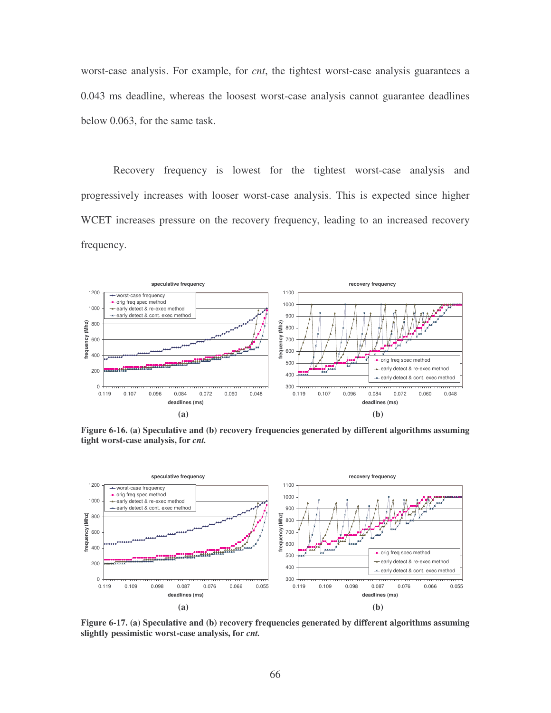worst-case analysis. For example, for *cnt*, the tightest worst-case analysis guarantees a 0.043 ms deadline, whereas the loosest worst-case analysis cannot guarantee deadlines below 0.063, for the same task.

Recovery frequency is lowest for the tightest worst-case analysis and progressively increases with looser worst-case analysis. This is expected since higher WCET increases pressure on the recovery frequency, leading to an increased recovery frequency.



**Figure 6-16. (a) Speculative and (b) recovery frequencies generated by different algorithms assuming tight worst-case analysis, for** *cnt.*



**Figure 6-17. (a) Speculative and (b) recovery frequencies generated by different algorithms assuming slightly pessimistic worst-case analysis, for** *cnt.*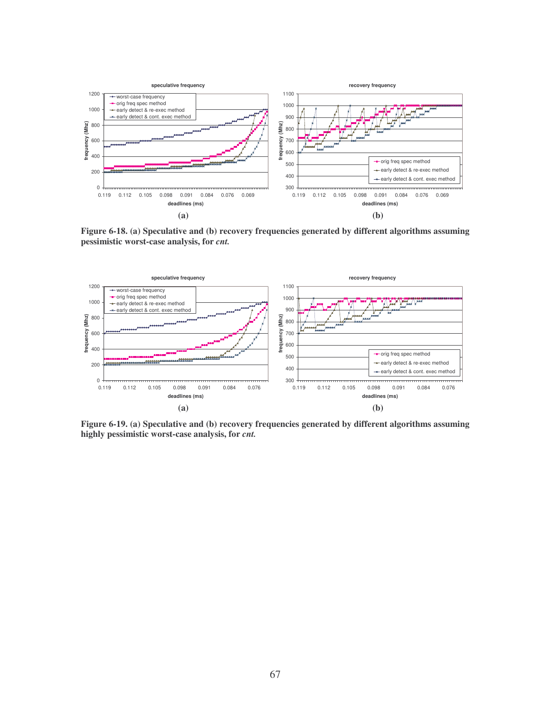

**Figure 6-18. (a) Speculative and (b) recovery frequencies generated by different algorithms assuming pessimistic worst-case analysis, for** *cnt.*



**Figure 6-19. (a) Speculative and (b) recovery frequencies generated by different algorithms assuming highly pessimistic worst-case analysis, for** *cnt.*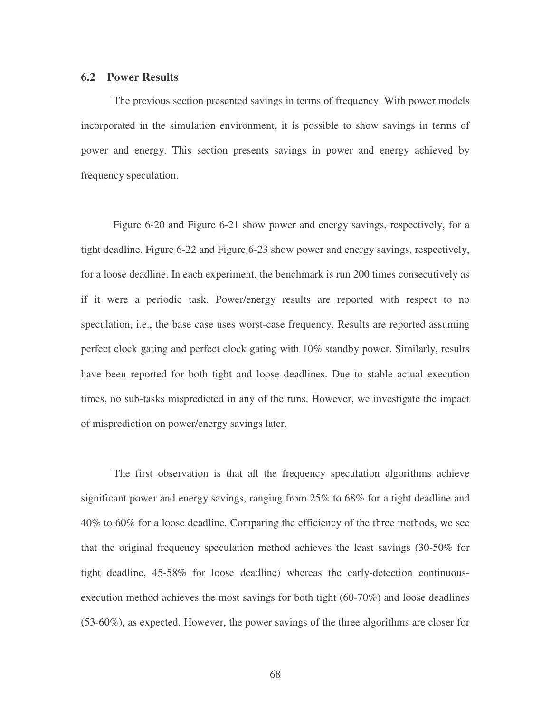#### **6.2 Power Results**

The previous section presented savings in terms of frequency. With power models incorporated in the simulation environment, it is possible to show savings in terms of power and energy. This section presents savings in power and energy achieved by frequency speculation.

Figure 6-20 and Figure 6-21 show power and energy savings, respectively, for a tight deadline. Figure 6-22 and Figure 6-23 show power and energy savings, respectively, for a loose deadline. In each experiment, the benchmark is run 200 times consecutively as if it were a periodic task. Power/energy results are reported with respect to no speculation, i.e., the base case uses worst-case frequency. Results are reported assuming perfect clock gating and perfect clock gating with 10% standby power. Similarly, results have been reported for both tight and loose deadlines. Due to stable actual execution times, no sub-tasks mispredicted in any of the runs. However, we investigate the impact of misprediction on power/energy savings later.

The first observation is that all the frequency speculation algorithms achieve significant power and energy savings, ranging from 25% to 68% for a tight deadline and 40% to 60% for a loose deadline. Comparing the efficiency of the three methods, we see that the original frequency speculation method achieves the least savings (30-50% for tight deadline, 45-58% for loose deadline) whereas the early-detection continuousexecution method achieves the most savings for both tight (60-70%) and loose deadlines (53-60%), as expected. However, the power savings of the three algorithms are closer for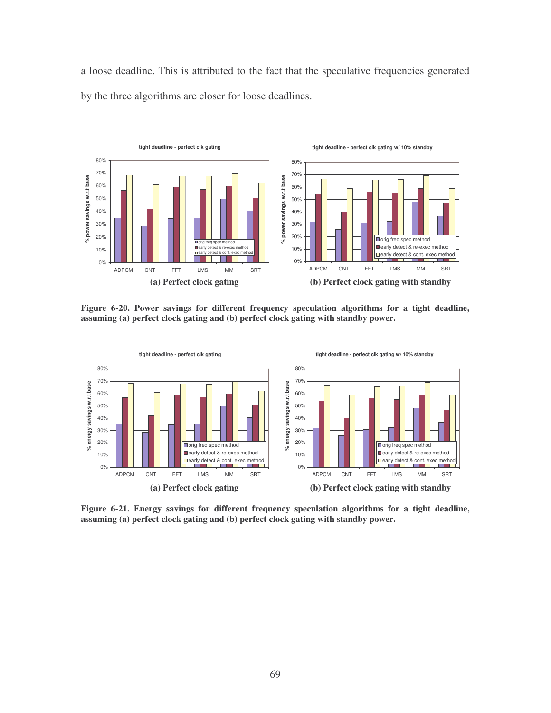a loose deadline. This is attributed to the fact that the speculative frequencies generated by the three algorithms are closer for loose deadlines.



**Figure 6-20. Power savings for different frequency speculation algorithms for a tight deadline, assuming (a) perfect clock gating and (b) perfect clock gating with standby power.**



**Figure 6-21. Energy savings for different frequency speculation algorithms for a tight deadline, assuming (a) perfect clock gating and (b) perfect clock gating with standby power.**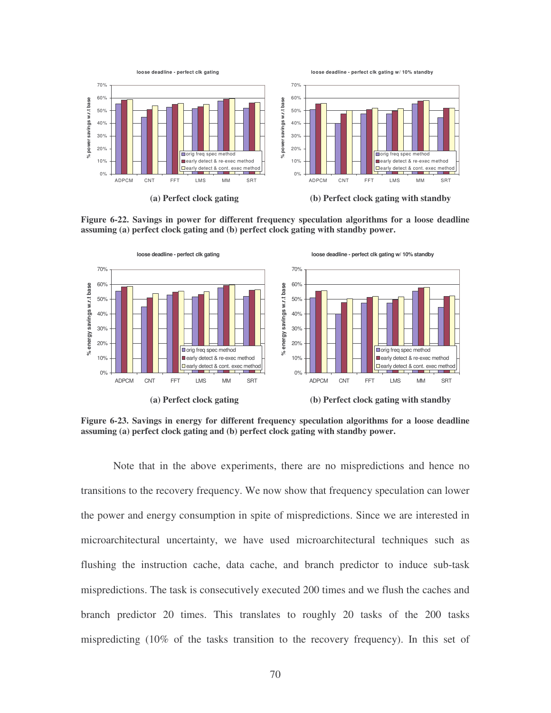

**Figure 6-22. Savings in power for different frequency speculation algorithms for a loose deadline assuming (a) perfect clock gating and (b) perfect clock gating with standby power.**



**Figure 6-23. Savings in energy for different frequency speculation algorithms for a loose deadline assuming (a) perfect clock gating and (b) perfect clock gating with standby power.**

Note that in the above experiments, there are no mispredictions and hence no transitions to the recovery frequency. We now show that frequency speculation can lower the power and energy consumption in spite of mispredictions. Since we are interested in microarchitectural uncertainty, we have used microarchitectural techniques such as flushing the instruction cache, data cache, and branch predictor to induce sub-task mispredictions. The task is consecutively executed 200 times and we flush the caches and branch predictor 20 times. This translates to roughly 20 tasks of the 200 tasks mispredicting (10% of the tasks transition to the recovery frequency). In this set of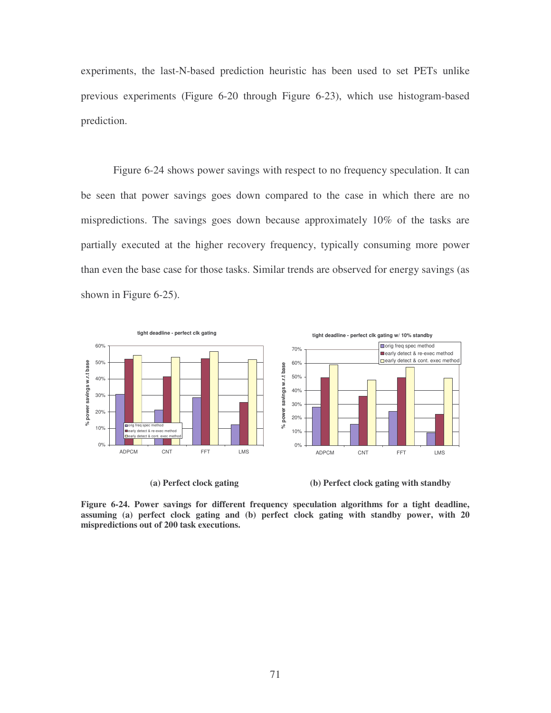experiments, the last-N-based prediction heuristic has been used to set PETs unlike previous experiments (Figure 6-20 through Figure 6-23), which use histogram-based prediction.

Figure 6-24 shows power savings with respect to no frequency speculation. It can be seen that power savings goes down compared to the case in which there are no mispredictions. The savings goes down because approximately 10% of the tasks are partially executed at the higher recovery frequency, typically consuming more power than even the base case for those tasks. Similar trends are observed for energy savings (as shown in Figure 6-25).



**(a) Perfect clock gating (b) Perfect clock gating with standby**

**Figure 6-24. Power savings for different frequency speculation algorithms for a tight deadline, assuming (a) perfect clock gating and (b) perfect clock gating with standby power, with 20 mispredictions out of 200 task executions.**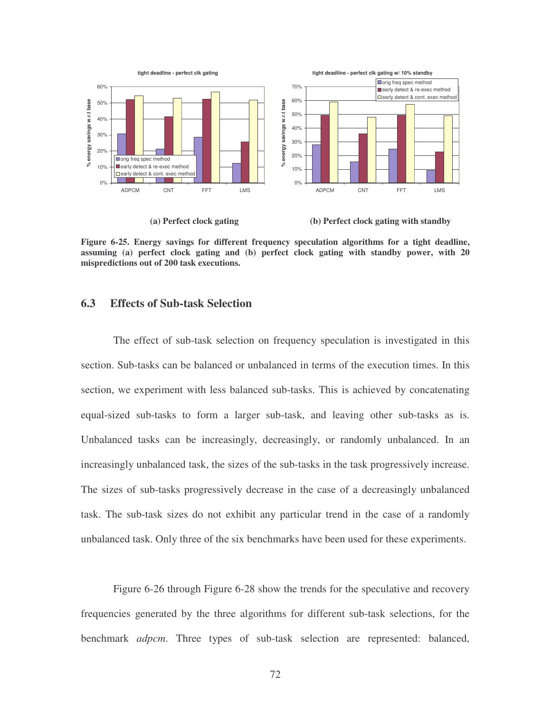

**(a) Perfect clock gating (b) Perfect clock gating with standby**

**Figure 6-25. Energy savings for different frequency speculation algorithms for a tight deadline, assuming (a) perfect clock gating and (b) perfect clock gating with standby power, with 20 mispredictions out of 200 task executions.**

#### **6.3 Effects of Sub-task Selection**

The effect of sub-task selection on frequency speculation is investigated in this section. Sub-tasks can be balanced or unbalanced in terms of the execution times. In this section, we experiment with less balanced sub-tasks. This is achieved by concatenating equal-sized sub-tasks to form a larger sub-task, and leaving other sub-tasks as is. Unbalanced tasks can be increasingly, decreasingly, or randomly unbalanced. In an increasingly unbalanced task, the sizes of the sub-tasks in the task progressively increase. The sizes of sub-tasks progressively decrease in the case of a decreasingly unbalanced task. The sub-task sizes do not exhibit any particular trend in the case of a randomly unbalanced task. Only three of the six benchmarks have been used for these experiments.

Figure 6-26 through Figure 6-28 show the trends for the speculative and recovery frequencies generated by the three algorithms for different sub-task selections, for the benchmark *adpcm*. Three types of sub-task selection are represented: balanced,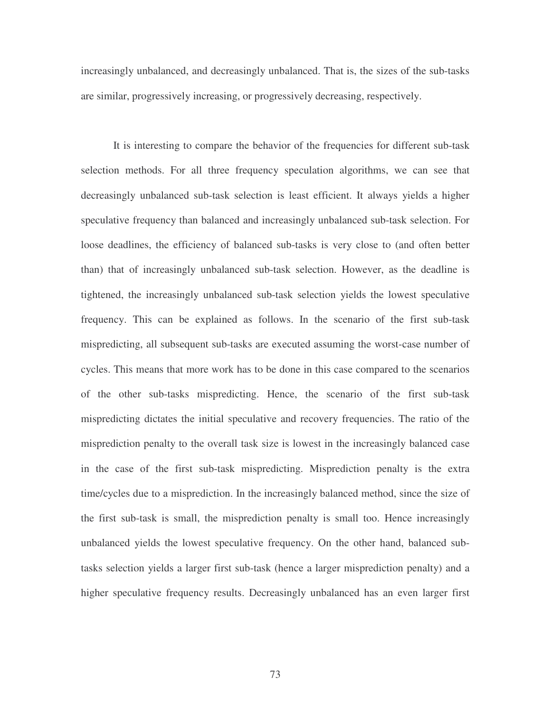increasingly unbalanced, and decreasingly unbalanced. That is, the sizes of the sub-tasks are similar, progressively increasing, or progressively decreasing, respectively.

It is interesting to compare the behavior of the frequencies for different sub-task selection methods. For all three frequency speculation algorithms, we can see that decreasingly unbalanced sub-task selection is least efficient. It always yields a higher speculative frequency than balanced and increasingly unbalanced sub-task selection. For loose deadlines, the efficiency of balanced sub-tasks is very close to (and often better than) that of increasingly unbalanced sub-task selection. However, as the deadline is tightened, the increasingly unbalanced sub-task selection yields the lowest speculative frequency. This can be explained as follows. In the scenario of the first sub-task mispredicting, all subsequent sub-tasks are executed assuming the worst-case number of cycles. This means that more work has to be done in this case compared to the scenarios of the other sub-tasks mispredicting. Hence, the scenario of the first sub-task mispredicting dictates the initial speculative and recovery frequencies. The ratio of the misprediction penalty to the overall task size is lowest in the increasingly balanced case in the case of the first sub-task mispredicting. Misprediction penalty is the extra time/cycles due to a misprediction. In the increasingly balanced method, since the size of the first sub-task is small, the misprediction penalty is small too. Hence increasingly unbalanced yields the lowest speculative frequency. On the other hand, balanced subtasks selection yields a larger first sub-task (hence a larger misprediction penalty) and a higher speculative frequency results. Decreasingly unbalanced has an even larger first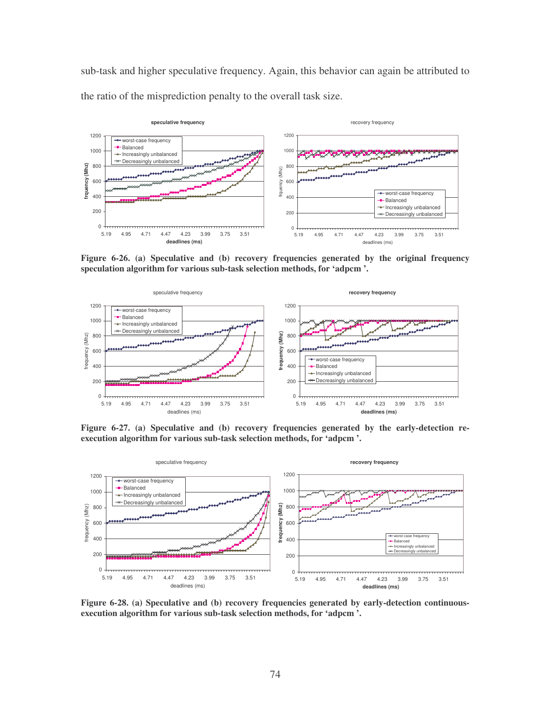sub-task and higher speculative frequency. Again, this behavior can again be attributed to the ratio of the misprediction penalty to the overall task size.



**Figure 6-26. (a) Speculative and (b) recovery frequencies generated by the original frequency speculation algorithm for various sub-task selection methods, for 'adpcm '.**



**Figure 6-27. (a) Speculative and (b) recovery frequencies generated by the early-detection reexecution algorithm for various sub-task selection methods, for 'adpcm '.**



**Figure 6-28. (a) Speculative and (b) recovery frequencies generated by early-detection continuousexecution algorithm for various sub-task selection methods, for 'adpcm '.**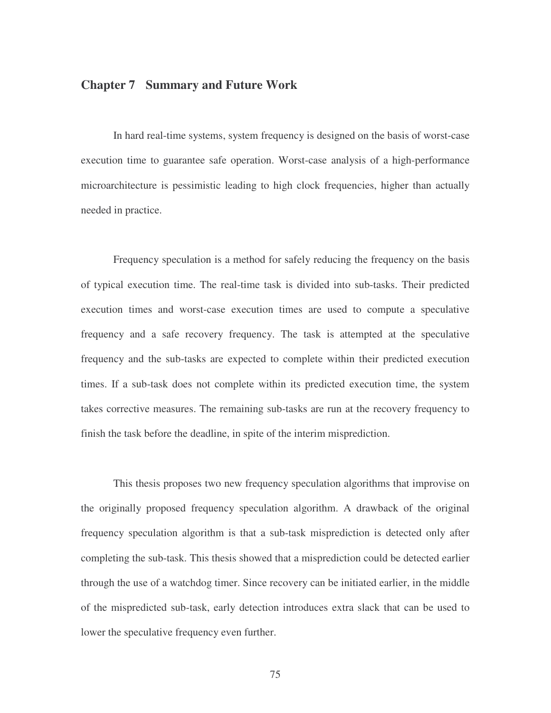# **Chapter 7 Summary and Future Work**

In hard real-time systems, system frequency is designed on the basis of worst-case execution time to guarantee safe operation. Worst-case analysis of a high-performance microarchitecture is pessimistic leading to high clock frequencies, higher than actually needed in practice.

Frequency speculation is a method for safely reducing the frequency on the basis of typical execution time. The real-time task is divided into sub-tasks. Their predicted execution times and worst-case execution times are used to compute a speculative frequency and a safe recovery frequency. The task is attempted at the speculative frequency and the sub-tasks are expected to complete within their predicted execution times. If a sub-task does not complete within its predicted execution time, the system takes corrective measures. The remaining sub-tasks are run at the recovery frequency to finish the task before the deadline, in spite of the interim misprediction.

This thesis proposes two new frequency speculation algorithms that improvise on the originally proposed frequency speculation algorithm. A drawback of the original frequency speculation algorithm is that a sub-task misprediction is detected only after completing the sub-task. This thesis showed that a misprediction could be detected earlier through the use of a watchdog timer. Since recovery can be initiated earlier, in the middle of the mispredicted sub-task, early detection introduces extra slack that can be used to lower the speculative frequency even further.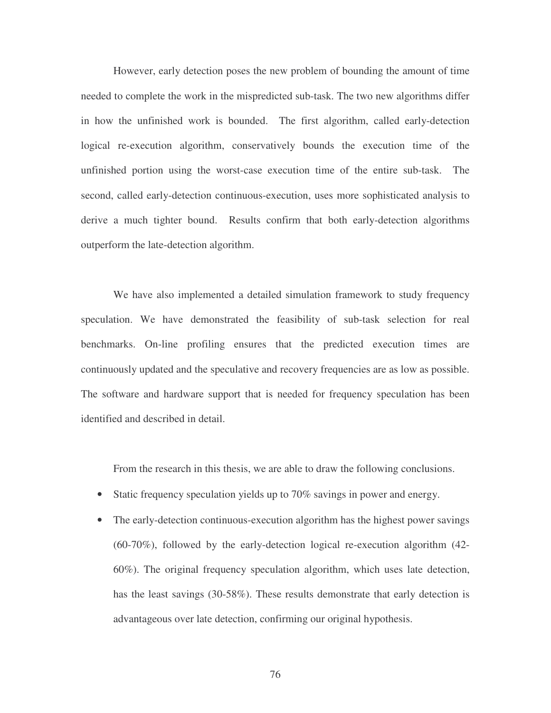However, early detection poses the new problem of bounding the amount of time needed to complete the work in the mispredicted sub-task. The two new algorithms differ in how the unfinished work is bounded. The first algorithm, called early-detection logical re-execution algorithm, conservatively bounds the execution time of the unfinished portion using the worst-case execution time of the entire sub-task. The second, called early-detection continuous-execution, uses more sophisticated analysis to derive a much tighter bound. Results confirm that both early-detection algorithms outperform the late-detection algorithm.

We have also implemented a detailed simulation framework to study frequency speculation. We have demonstrated the feasibility of sub-task selection for real benchmarks. On-line profiling ensures that the predicted execution times are continuously updated and the speculative and recovery frequencies are as low as possible. The software and hardware support that is needed for frequency speculation has been identified and described in detail.

From the research in this thesis, we are able to draw the following conclusions.

- Static frequency speculation yields up to 70% savings in power and energy.
- The early-detection continuous-execution algorithm has the highest power savings (60-70%), followed by the early-detection logical re-execution algorithm (42- 60%). The original frequency speculation algorithm, which uses late detection, has the least savings (30-58%). These results demonstrate that early detection is advantageous over late detection, confirming our original hypothesis.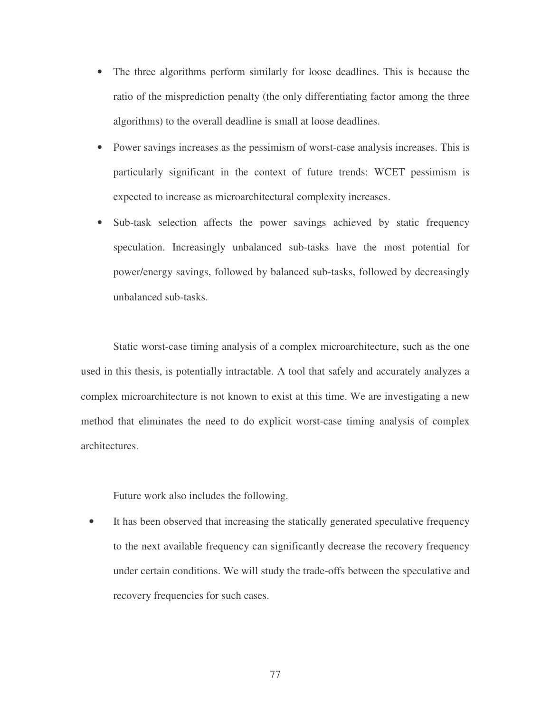- The three algorithms perform similarly for loose deadlines. This is because the ratio of the misprediction penalty (the only differentiating factor among the three algorithms) to the overall deadline is small at loose deadlines.
- Power savings increases as the pessimism of worst-case analysis increases. This is particularly significant in the context of future trends: WCET pessimism is expected to increase as microarchitectural complexity increases.
- Sub-task selection affects the power savings achieved by static frequency speculation. Increasingly unbalanced sub-tasks have the most potential for power/energy savings, followed by balanced sub-tasks, followed by decreasingly unbalanced sub-tasks.

Static worst-case timing analysis of a complex microarchitecture, such as the one used in this thesis, is potentially intractable. A tool that safely and accurately analyzes a complex microarchitecture is not known to exist at this time. We are investigating a new method that eliminates the need to do explicit worst-case timing analysis of complex architectures.

Future work also includes the following.

• It has been observed that increasing the statically generated speculative frequency to the next available frequency can significantly decrease the recovery frequency under certain conditions. We will study the trade-offs between the speculative and recovery frequencies for such cases.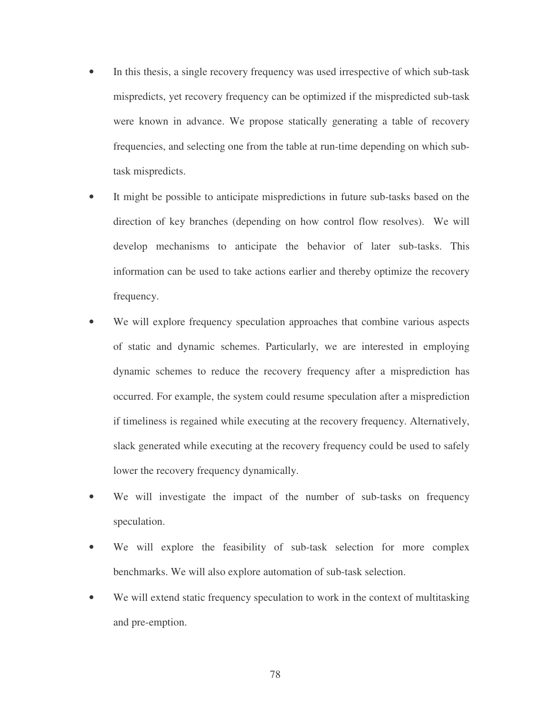- In this thesis, a single recovery frequency was used irrespective of which sub-task mispredicts, yet recovery frequency can be optimized if the mispredicted sub-task were known in advance. We propose statically generating a table of recovery frequencies, and selecting one from the table at run-time depending on which subtask mispredicts.
- It might be possible to anticipate mispredictions in future sub-tasks based on the direction of key branches (depending on how control flow resolves). We will develop mechanisms to anticipate the behavior of later sub-tasks. This information can be used to take actions earlier and thereby optimize the recovery frequency.
- We will explore frequency speculation approaches that combine various aspects of static and dynamic schemes. Particularly, we are interested in employing dynamic schemes to reduce the recovery frequency after a misprediction has occurred. For example, the system could resume speculation after a misprediction if timeliness is regained while executing at the recovery frequency. Alternatively, slack generated while executing at the recovery frequency could be used to safely lower the recovery frequency dynamically.
- We will investigate the impact of the number of sub-tasks on frequency speculation.
- We will explore the feasibility of sub-task selection for more complex benchmarks. We will also explore automation of sub-task selection.
- We will extend static frequency speculation to work in the context of multitasking and pre-emption.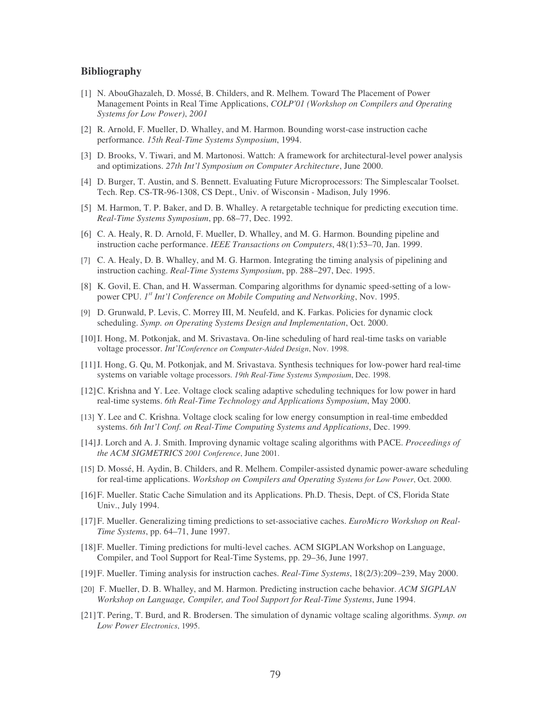#### **Bibliography**

- [1] N. AbouGhazaleh, D. Mossé, B. Childers, and R. Melhem. Toward The Placement of Power Management Points in Real Time Applications, *COLP'01 (Workshop on Compilers and Operating Systems for Low Power)*, *2001*
- [2] R. Arnold, F. Mueller, D. Whalley, and M. Harmon. Bounding worst-case instruction cache performance. *15th Real-Time Systems Symposium*, 1994.
- [3] D. Brooks, V. Tiwari, and M. Martonosi. Wattch: A framework for architectural-level power analysis and optimizations. *27th Int'l Symposium on Computer Architecture*, June 2000.
- [4] D. Burger, T. Austin, and S. Bennett. Evaluating Future Microprocessors: The Simplescalar Toolset. Tech. Rep. CS-TR-96-1308, CS Dept., Univ. of Wisconsin - Madison, July 1996.
- [5] M. Harmon, T. P. Baker, and D. B. Whalley. A retargetable technique for predicting execution time. *Real-Time Systems Symposium*, pp. 68–77, Dec. 1992.
- [6] C. A. Healy, R. D. Arnold, F. Mueller, D. Whalley, and M. G. Harmon. Bounding pipeline and instruction cache performance. *IEEE Transactions on Computers*, 48(1):53–70, Jan. 1999.
- [7] C. A. Healy, D. B. Whalley, and M. G. Harmon. Integrating the timing analysis of pipelining and instruction caching. *Real-Time Systems Symposium*, pp. 288–297, Dec. 1995.
- [8] K. Govil, E. Chan, and H. Wasserman. Comparing algorithms for dynamic speed-setting of a lowpower CPU. *1 st Int'l Conference on Mobile Computing and Networking*, Nov. 1995.
- [9] D. Grunwald, P. Levis, C. Morrey III, M. Neufeld, and K. Farkas. Policies for dynamic clock scheduling. *Symp. on Operating Systems Design and Implementation*, Oct. 2000.
- [10]I. Hong, M. Potkonjak, and M. Srivastava. On-line scheduling of hard real-time tasks on variable voltage processor. *Int'lConference on Computer-Aided Design*, Nov. 1998.
- [11]I. Hong, G. Qu, M. Potkonjak, and M. Srivastava. Synthesis techniques for low-power hard real-time systems on variable voltage processors. *19th Real-Time Systems Symposium*, Dec. 1998.
- [12]C. Krishna and Y. Lee. Voltage clock scaling adaptive scheduling techniques for low power in hard real-time systems. *6th Real-Time Technology and Applications Symposium*, May 2000.
- [13] Y. Lee and C. Krishna. Voltage clock scaling for low energy consumption in real-time embedded systems. *6th Int'l Conf. on Real-Time Computing Systems and Applications*, Dec. 1999.
- [14]J. Lorch and A. J. Smith. Improving dynamic voltage scaling algorithms with PACE. *Proceedings of the ACM SIGMETRICS 2001 Conference*, June 2001.
- [15] D. Mossé, H. Aydin, B. Childers, and R. Melhem. Compiler-assisted dynamic power-aware scheduling for real-time applications. *Workshop on Compilers and Operating Systems for Low Power*, Oct. 2000.
- [16]F. Mueller. Static Cache Simulation and its Applications. Ph.D. Thesis, Dept. of CS, Florida State Univ., July 1994.
- [17]F. Mueller. Generalizing timing predictions to set-associative caches. *EuroMicro Workshop on Real-Time Systems*, pp. 64–71, June 1997.
- [18]F. Mueller. Timing predictions for multi-level caches. ACM SIGPLAN Workshop on Language, Compiler, and Tool Support for Real-Time Systems, pp. 29–36, June 1997.
- [19]F. Mueller. Timing analysis for instruction caches. *Real-Time Systems*, 18(2/3):209–239, May 2000.
- [20] F. Mueller, D. B. Whalley, and M. Harmon. Predicting instruction cache behavior. *ACM SIGPLAN Workshop on Language, Compiler, and Tool Support for Real-Time Systems*, June 1994.
- [21]T. Pering, T. Burd, and R. Brodersen. The simulation of dynamic voltage scaling algorithms. *Symp. on Low Power Electronics*, 1995.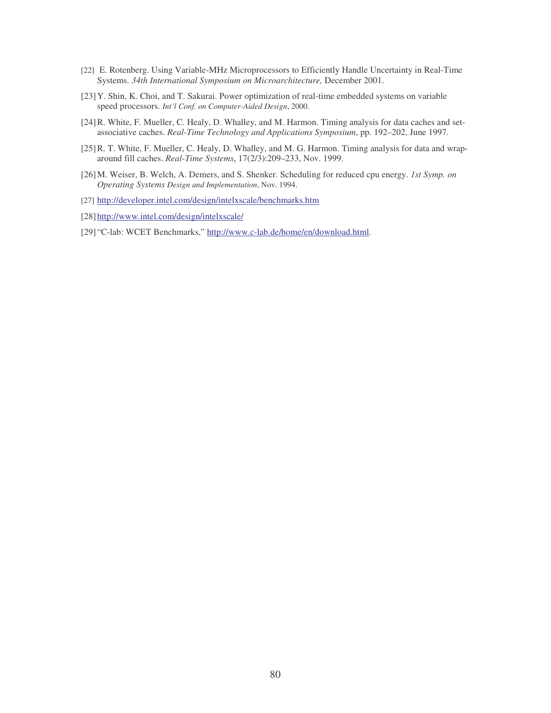- [22] E. Rotenberg. Using Variable-MHz Microprocessors to Efficiently Handle Uncertainty in Real-Time Systems. *34th International Symposium on Microarchitecture,* December 2001.
- [23]Y. Shin, K. Choi, and T. Sakurai. Power optimization of real-time embedded systems on variable speed processors. *Int'l Conf. on Computer-Aided Design*, 2000.
- [24]R. White, F. Mueller, C. Healy, D. Whalley, and M. Harmon. Timing analysis for data caches and setassociative caches. *Real-Time Technology and Applications Symposium*, pp. 192–202, June 1997.
- [25] R. T. White, F. Mueller, C. Healy, D. Whalley, and M. G. Harmon. Timing analysis for data and wraparound fill caches. *Real-Time Systems*, 17(2/3):209–233, Nov. 1999.
- [26]M. Weiser, B. Welch, A. Demers, and S. Shenker. Scheduling for reduced cpu energy. *1st Symp. on Operating Systems Design and Implementation*, Nov. 1994.
- [27] http://developer.intel.com/design/intelxscale/benchmarks.htm
- [28] http://www.intel.com/design/intelxscale/
- [29] "C-lab: WCET Benchmarks," http://www.c-lab.de/home/en/download.html.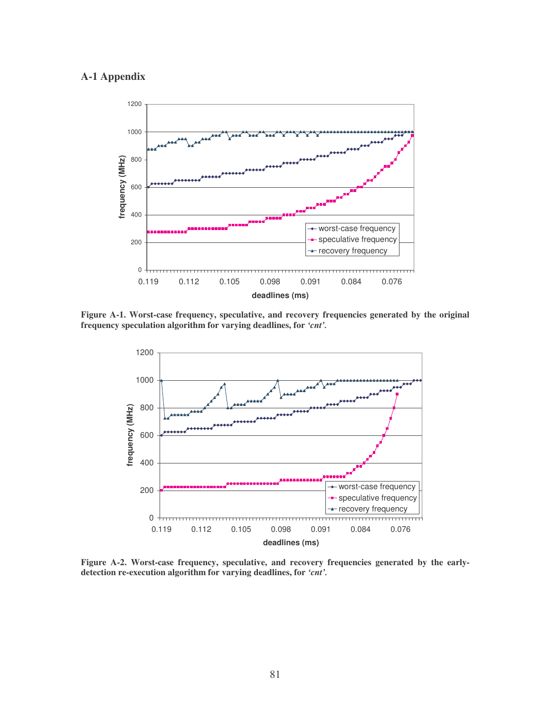## **A-1 Appendix**



**Figure A-1. Worst-case frequency, speculative, and recovery frequencies generated by the original frequency speculation algorithm for varying deadlines, for** *'cnt'.*



**Figure A-2. Worst-case frequency, speculative, and recovery frequencies generated by the earlydetection re-execution algorithm for varying deadlines, for** *'cnt'.*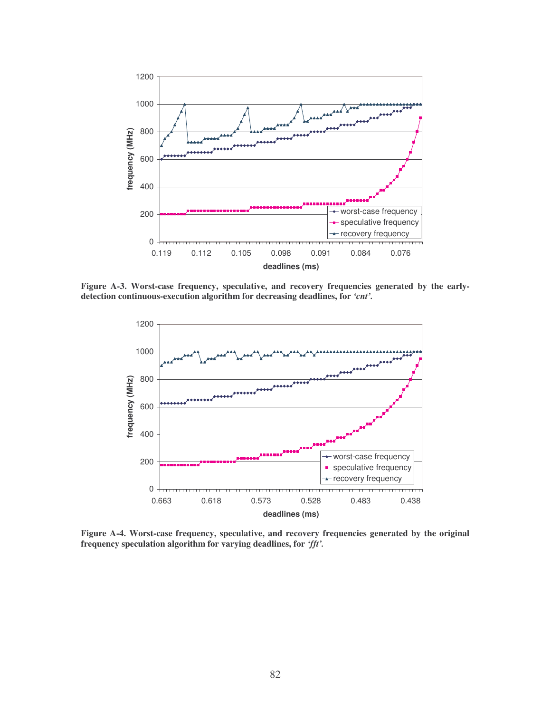

**Figure A-3. Worst-case frequency, speculative, and recovery frequencies generated by the earlydetection continuous-execution algorithm for decreasing deadlines, for** *'cnt'.*



**Figure A-4. Worst-case frequency, speculative, and recovery frequencies generated by the original frequency speculation algorithm for varying deadlines, for** *'fft'.*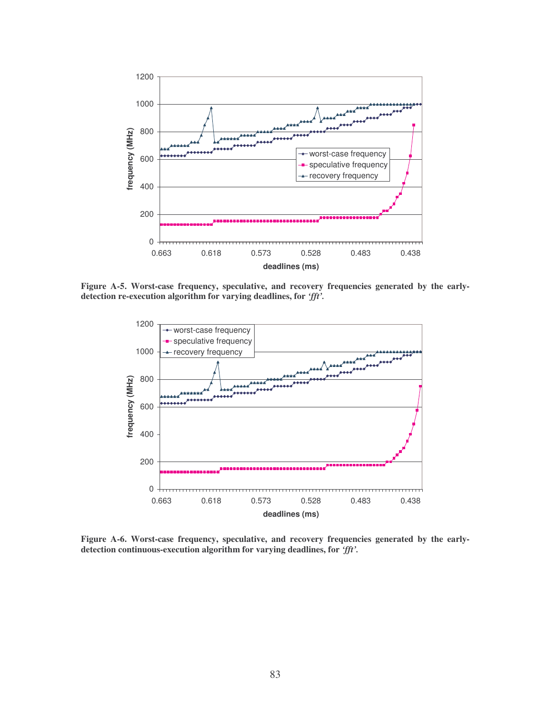

**Figure A-5. Worst-case frequency, speculative, and recovery frequencies generated by the earlydetection re-execution algorithm for varying deadlines, for** *'fft'.*



**Figure A-6. Worst-case frequency, speculative, and recovery frequencies generated by the earlydetection continuous-execution algorithm for varying deadlines, for** *'fft'.*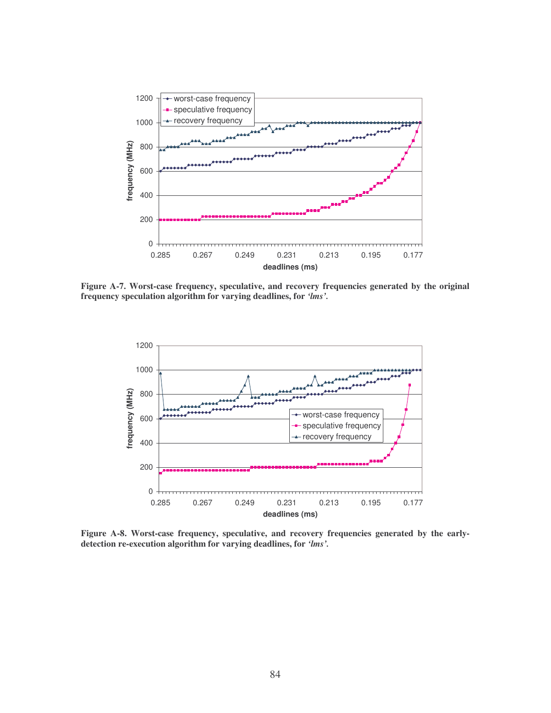

**Figure A-7. Worst-case frequency, speculative, and recovery frequencies generated by the original frequency speculation algorithm for varying deadlines, for** *'lms'.*



**Figure A-8. Worst-case frequency, speculative, and recovery frequencies generated by the earlydetection re-execution algorithm for varying deadlines, for** *'lms'.*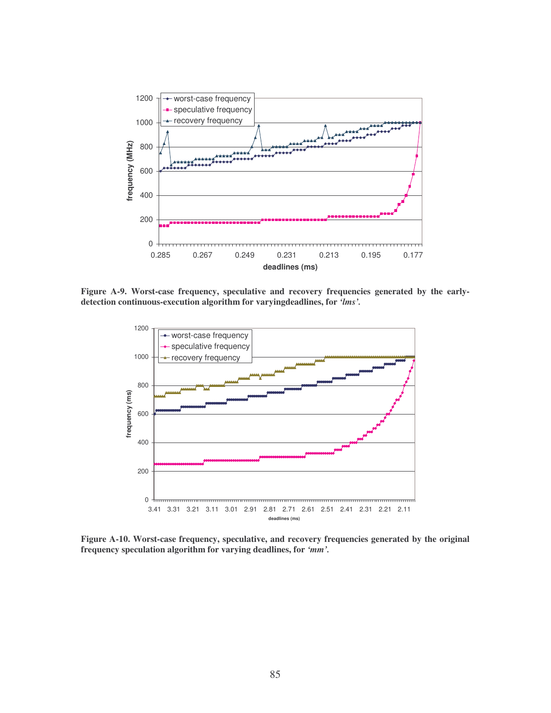

**Figure A-9. Worst-case frequency, speculative and recovery frequencies generated by the earlydetection continuous-execution algorithm for varyingdeadlines, for** *'lms'.*



**Figure A-10. Worst-case frequency, speculative, and recovery frequencies generated by the original frequency speculation algorithm for varying deadlines, for** *'mm'.*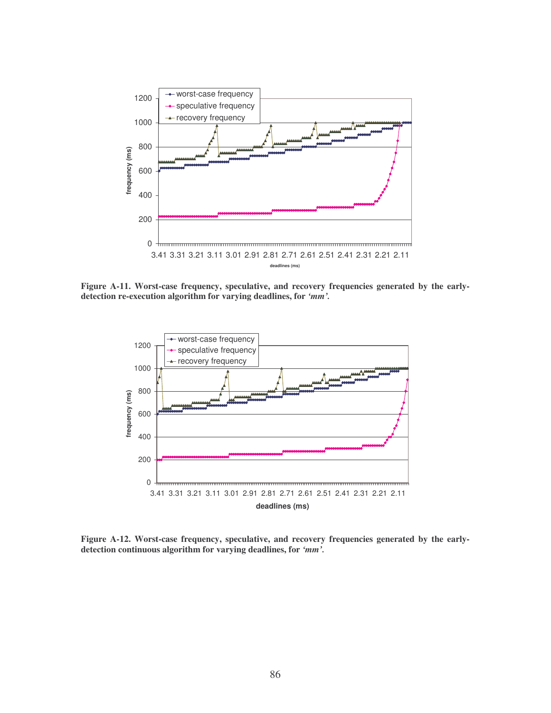

**Figure A-11. Worst-case frequency, speculative, and recovery frequencies generated by the earlydetection re-execution algorithm for varying deadlines, for** *'mm'.*



**Figure A-12. Worst-case frequency, speculative, and recovery frequencies generated by the earlydetection continuous algorithm for varying deadlines, for** *'mm'.*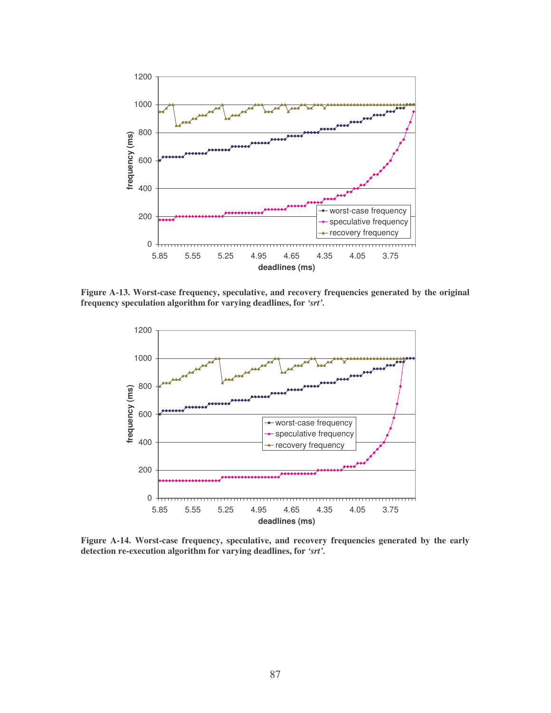

**Figure A-13. Worst-case frequency, speculative, and recovery frequencies generated by the original frequency speculation algorithm for varying deadlines, for** *'srt'.*



**Figure A-14. Worst-case frequency, speculative, and recovery frequencies generated by the early detection re-execution algorithm for varying deadlines, for** *'srt'.*